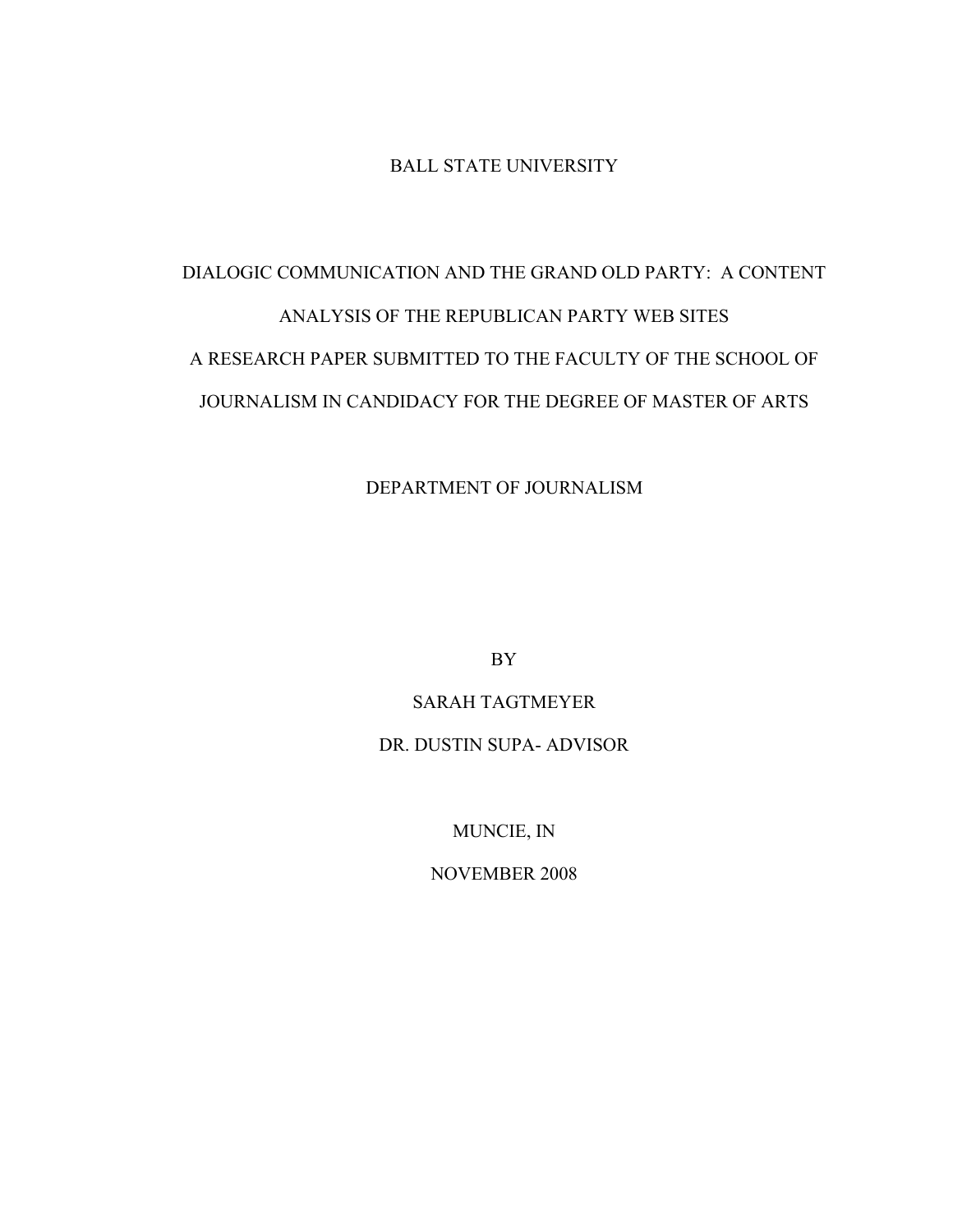### BALL STATE UNIVERSITY

# DIALOGIC COMMUNICATION AND THE GRAND OLD PARTY: A CONTENT ANALYSIS OF THE REPUBLICAN PARTY WEB SITES A RESEARCH PAPER SUBMITTED TO THE FACULTY OF THE SCHOOL OF JOURNALISM IN CANDIDACY FOR THE DEGREE OF MASTER OF ARTS

DEPARTMENT OF JOURNALISM

BY

SARAH TAGTMEYER

DR. DUSTIN SUPA- ADVISOR

MUNCIE, IN

NOVEMBER 2008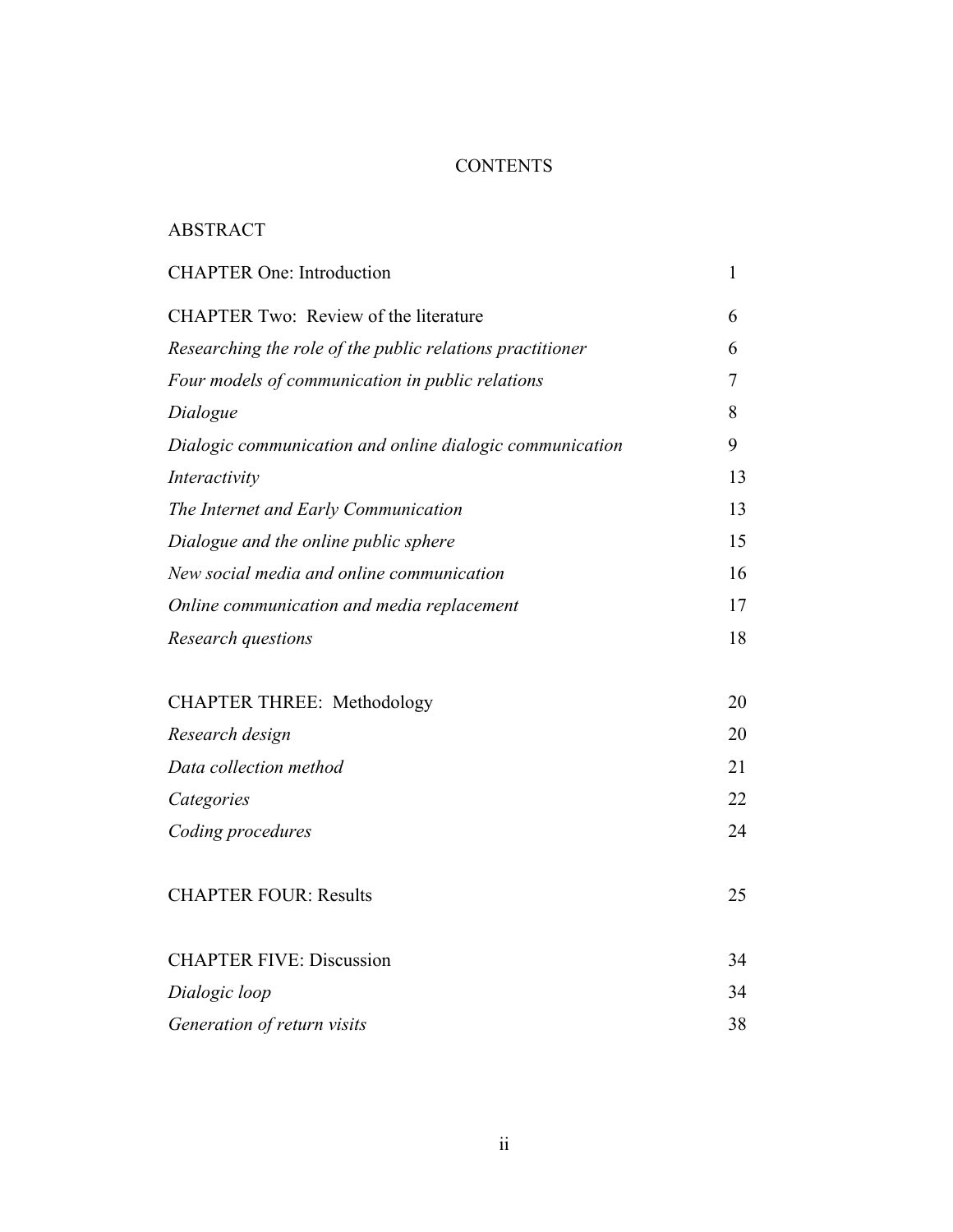# **CONTENTS**

# ABSTRACT

| <b>CHAPTER One: Introduction</b>                          | 1  |
|-----------------------------------------------------------|----|
| CHAPTER Two: Review of the literature                     | 6  |
| Researching the role of the public relations practitioner | 6  |
| Four models of communication in public relations          | 7  |
| Dialogue                                                  | 8  |
| Dialogic communication and online dialogic communication  | 9  |
| Interactivity                                             | 13 |
| The Internet and Early Communication                      | 13 |
| Dialogue and the online public sphere                     | 15 |
| New social media and online communication                 | 16 |
| Online communication and media replacement                | 17 |
| Research questions                                        | 18 |
|                                                           |    |
| <b>CHAPTER THREE: Methodology</b>                         | 20 |
| Research design                                           | 20 |
| Data collection method                                    | 21 |
| Categories                                                | 22 |
| Coding procedures                                         | 24 |
|                                                           |    |
| <b>CHAPTER FOUR: Results</b>                              | 25 |
|                                                           |    |
| <b>CHAPTER FIVE: Discussion</b>                           | 34 |
| Dialogic loop                                             | 34 |
| Generation of return visits                               | 38 |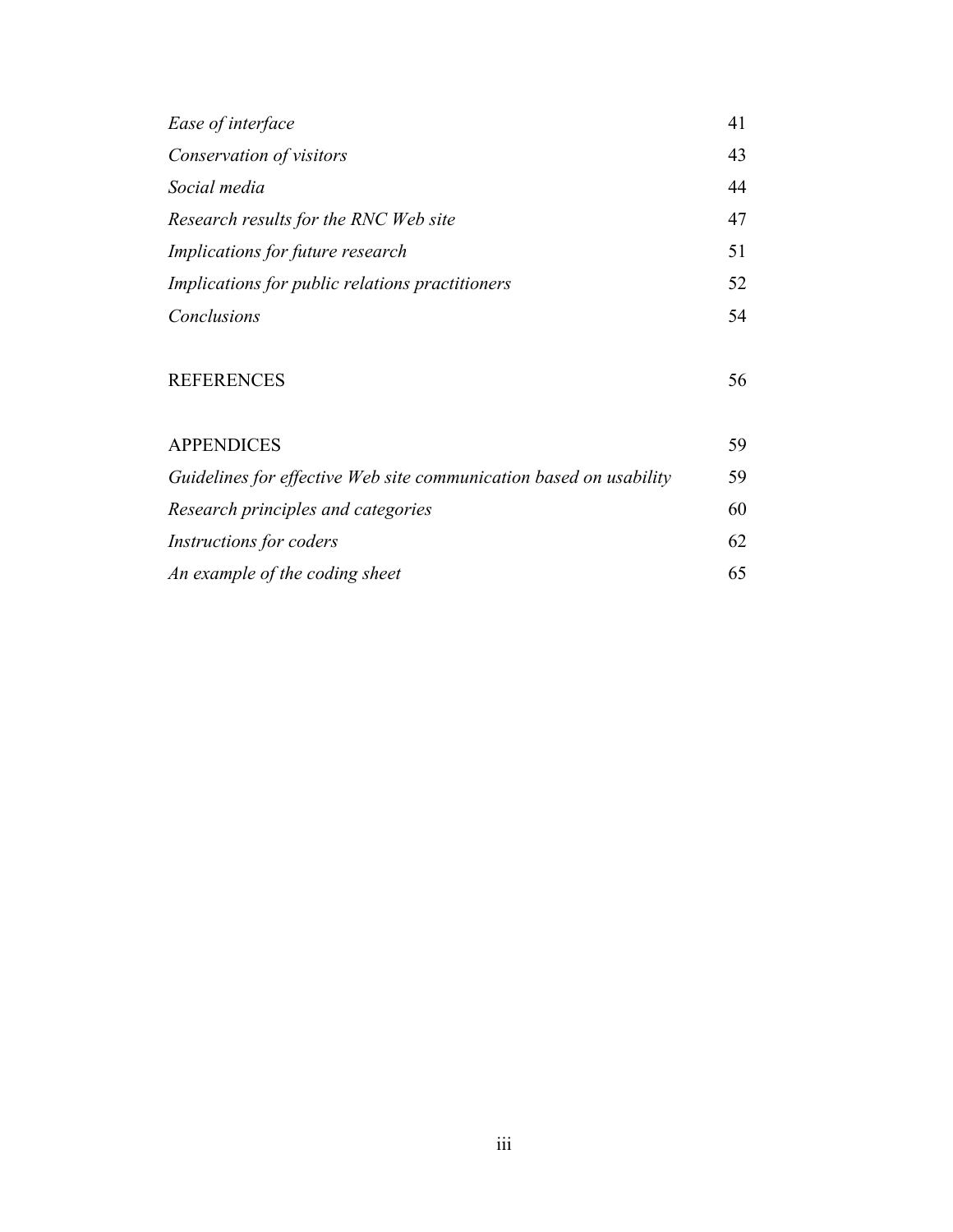| Ease of interface                                                  | 41 |
|--------------------------------------------------------------------|----|
| Conservation of visitors                                           | 43 |
| Social media                                                       | 44 |
| Research results for the RNC Web site                              | 47 |
| Implications for future research                                   | 51 |
| Implications for public relations practitioners                    | 52 |
| Conclusions                                                        | 54 |
| <b>REFERENCES</b>                                                  | 56 |
| <b>APPENDICES</b>                                                  | 59 |
| Guidelines for effective Web site communication based on usability | 59 |
| Research principles and categories                                 | 60 |
| Instructions for coders                                            | 62 |
| An example of the coding sheet                                     | 65 |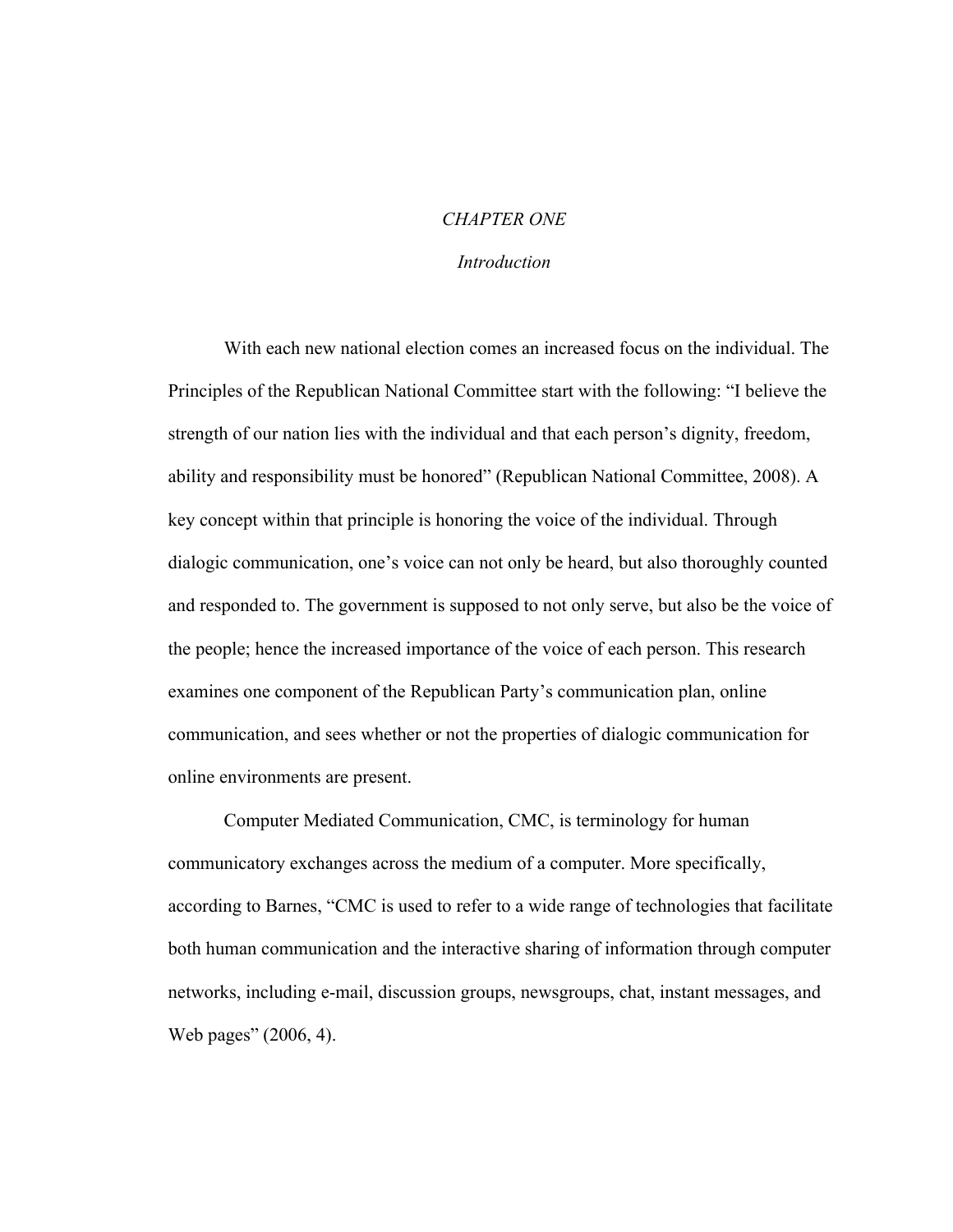#### *CHAPTER ONE*

#### *Introduction*

With each new national election comes an increased focus on the individual. The Principles of the Republican National Committee start with the following: "I believe the strength of our nation lies with the individual and that each person's dignity, freedom, ability and responsibility must be honored" (Republican National Committee, 2008). A key concept within that principle is honoring the voice of the individual. Through dialogic communication, one's voice can not only be heard, but also thoroughly counted and responded to. The government is supposed to not only serve, but also be the voice of the people; hence the increased importance of the voice of each person. This research examines one component of the Republican Party's communication plan, online communication, and sees whether or not the properties of dialogic communication for online environments are present.

Computer Mediated Communication, CMC, is terminology for human communicatory exchanges across the medium of a computer. More specifically, according to Barnes, "CMC is used to refer to a wide range of technologies that facilitate both human communication and the interactive sharing of information through computer networks, including e-mail, discussion groups, newsgroups, chat, instant messages, and Web pages" (2006, 4).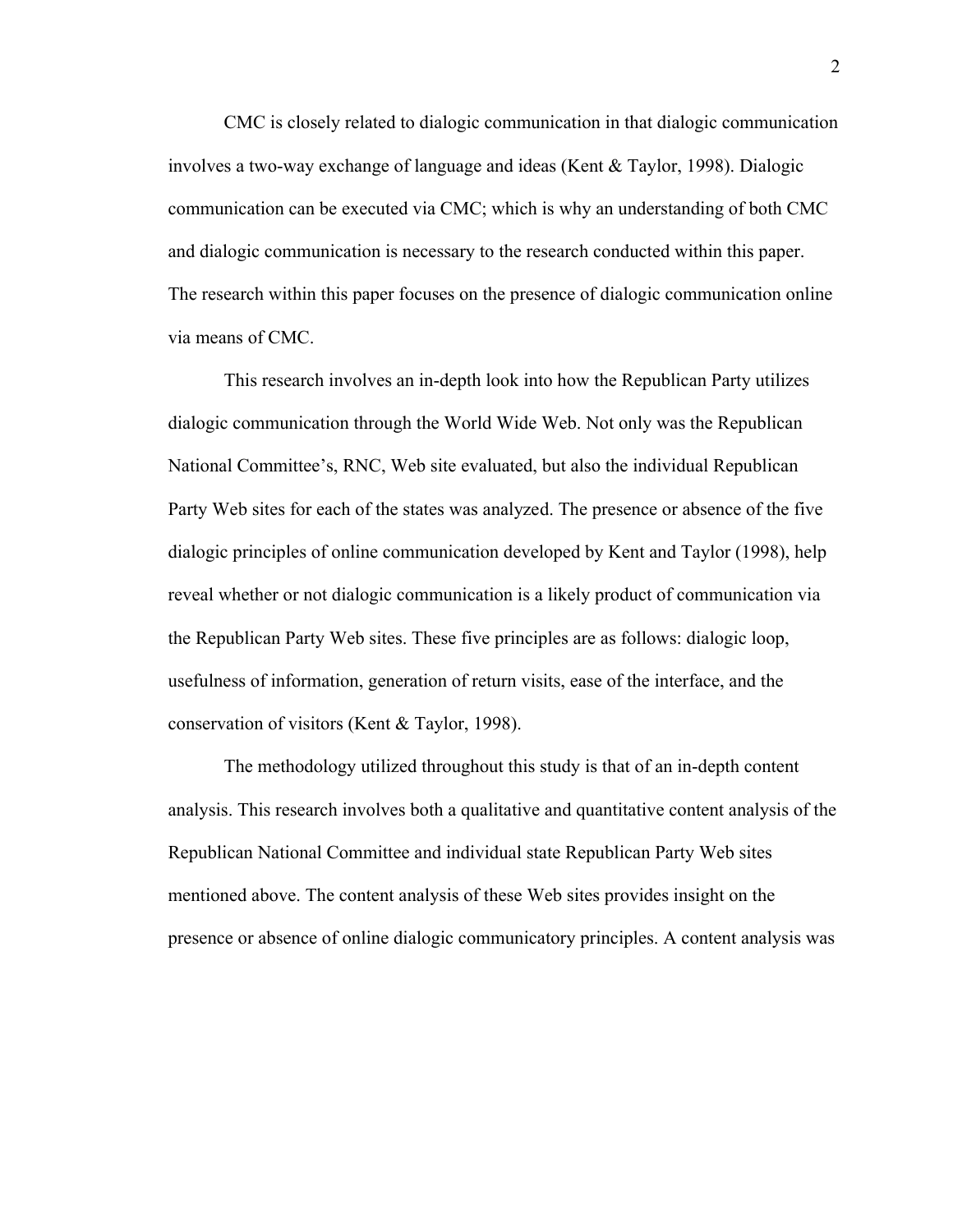CMC is closely related to dialogic communication in that dialogic communication involves a two-way exchange of language and ideas (Kent & Taylor, 1998). Dialogic communication can be executed via CMC; which is why an understanding of both CMC and dialogic communication is necessary to the research conducted within this paper. The research within this paper focuses on the presence of dialogic communication online via means of CMC.

This research involves an in-depth look into how the Republican Party utilizes dialogic communication through the World Wide Web. Not only was the Republican National Committee's, RNC, Web site evaluated, but also the individual Republican Party Web sites for each of the states was analyzed. The presence or absence of the five dialogic principles of online communication developed by Kent and Taylor (1998), help reveal whether or not dialogic communication is a likely product of communication via the Republican Party Web sites. These five principles are as follows: dialogic loop, usefulness of information, generation of return visits, ease of the interface, and the conservation of visitors (Kent & Taylor, 1998).

The methodology utilized throughout this study is that of an in-depth content analysis. This research involves both a qualitative and quantitative content analysis of the Republican National Committee and individual state Republican Party Web sites mentioned above. The content analysis of these Web sites provides insight on the presence or absence of online dialogic communicatory principles. A content analysis was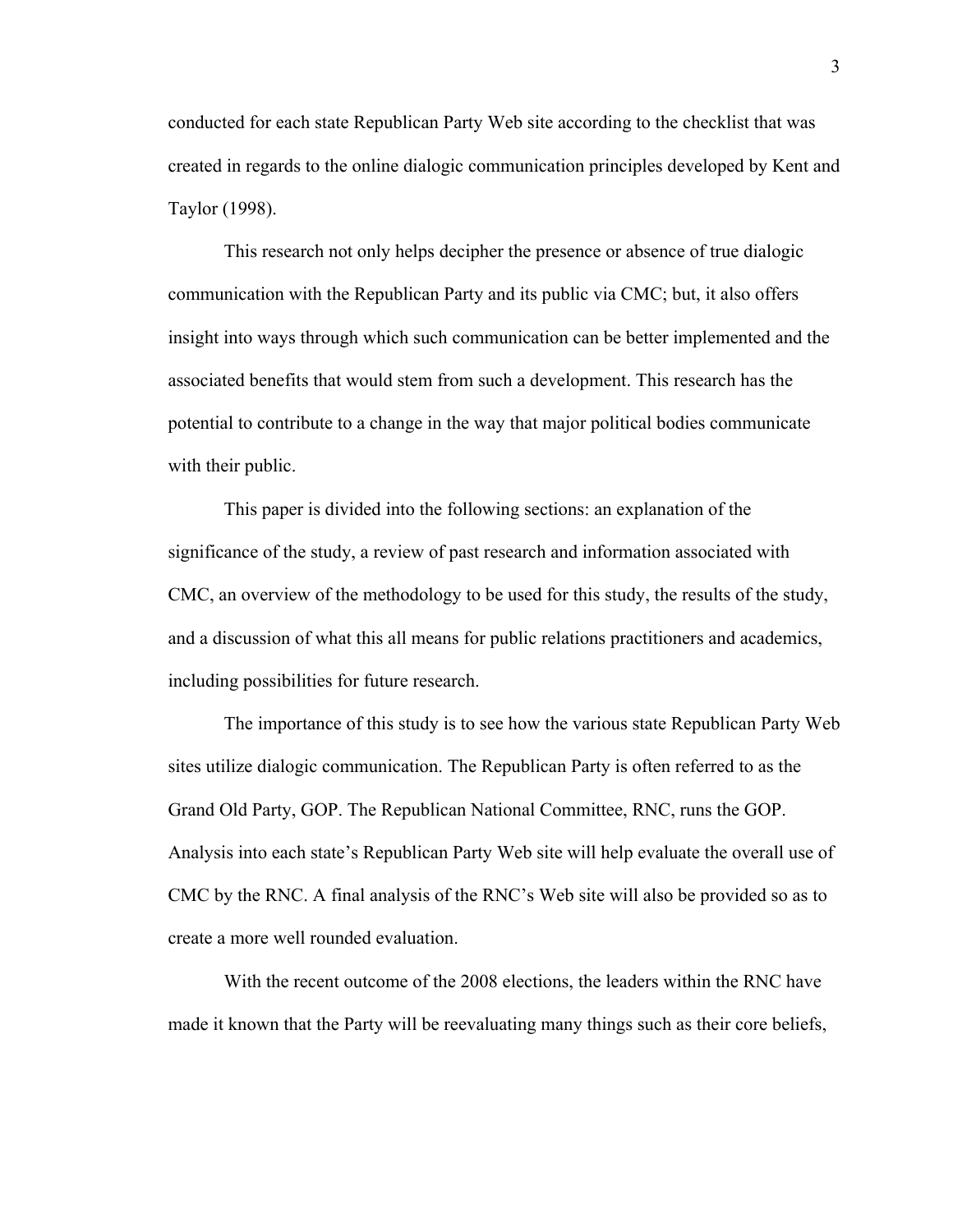conducted for each state Republican Party Web site according to the checklist that was created in regards to the online dialogic communication principles developed by Kent and Taylor (1998).

This research not only helps decipher the presence or absence of true dialogic communication with the Republican Party and its public via CMC; but, it also offers insight into ways through which such communication can be better implemented and the associated benefits that would stem from such a development. This research has the potential to contribute to a change in the way that major political bodies communicate with their public.

This paper is divided into the following sections: an explanation of the significance of the study, a review of past research and information associated with CMC, an overview of the methodology to be used for this study, the results of the study, and a discussion of what this all means for public relations practitioners and academics, including possibilities for future research.

The importance of this study is to see how the various state Republican Party Web sites utilize dialogic communication. The Republican Party is often referred to as the Grand Old Party, GOP. The Republican National Committee, RNC, runs the GOP. Analysis into each state's Republican Party Web site will help evaluate the overall use of CMC by the RNC. A final analysis of the RNC's Web site will also be provided so as to create a more well rounded evaluation.

With the recent outcome of the 2008 elections, the leaders within the RNC have made it known that the Party will be reevaluating many things such as their core beliefs,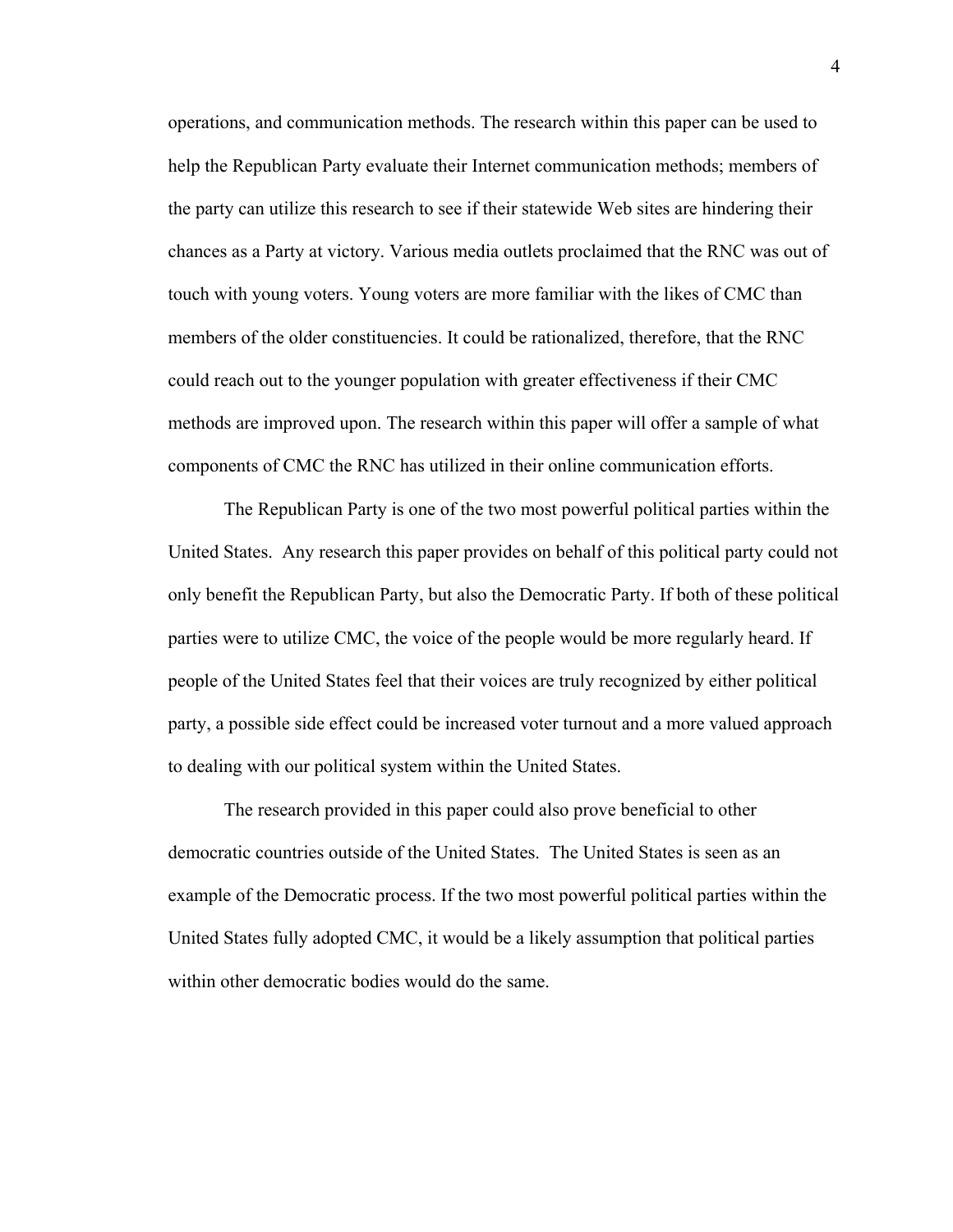operations, and communication methods. The research within this paper can be used to help the Republican Party evaluate their Internet communication methods; members of the party can utilize this research to see if their statewide Web sites are hindering their chances as a Party at victory. Various media outlets proclaimed that the RNC was out of touch with young voters. Young voters are more familiar with the likes of CMC than members of the older constituencies. It could be rationalized, therefore, that the RNC could reach out to the younger population with greater effectiveness if their CMC methods are improved upon. The research within this paper will offer a sample of what components of CMC the RNC has utilized in their online communication efforts.

The Republican Party is one of the two most powerful political parties within the United States. Any research this paper provides on behalf of this political party could not only benefit the Republican Party, but also the Democratic Party. If both of these political parties were to utilize CMC, the voice of the people would be more regularly heard. If people of the United States feel that their voices are truly recognized by either political party, a possible side effect could be increased voter turnout and a more valued approach to dealing with our political system within the United States.

The research provided in this paper could also prove beneficial to other democratic countries outside of the United States. The United States is seen as an example of the Democratic process. If the two most powerful political parties within the United States fully adopted CMC, it would be a likely assumption that political parties within other democratic bodies would do the same.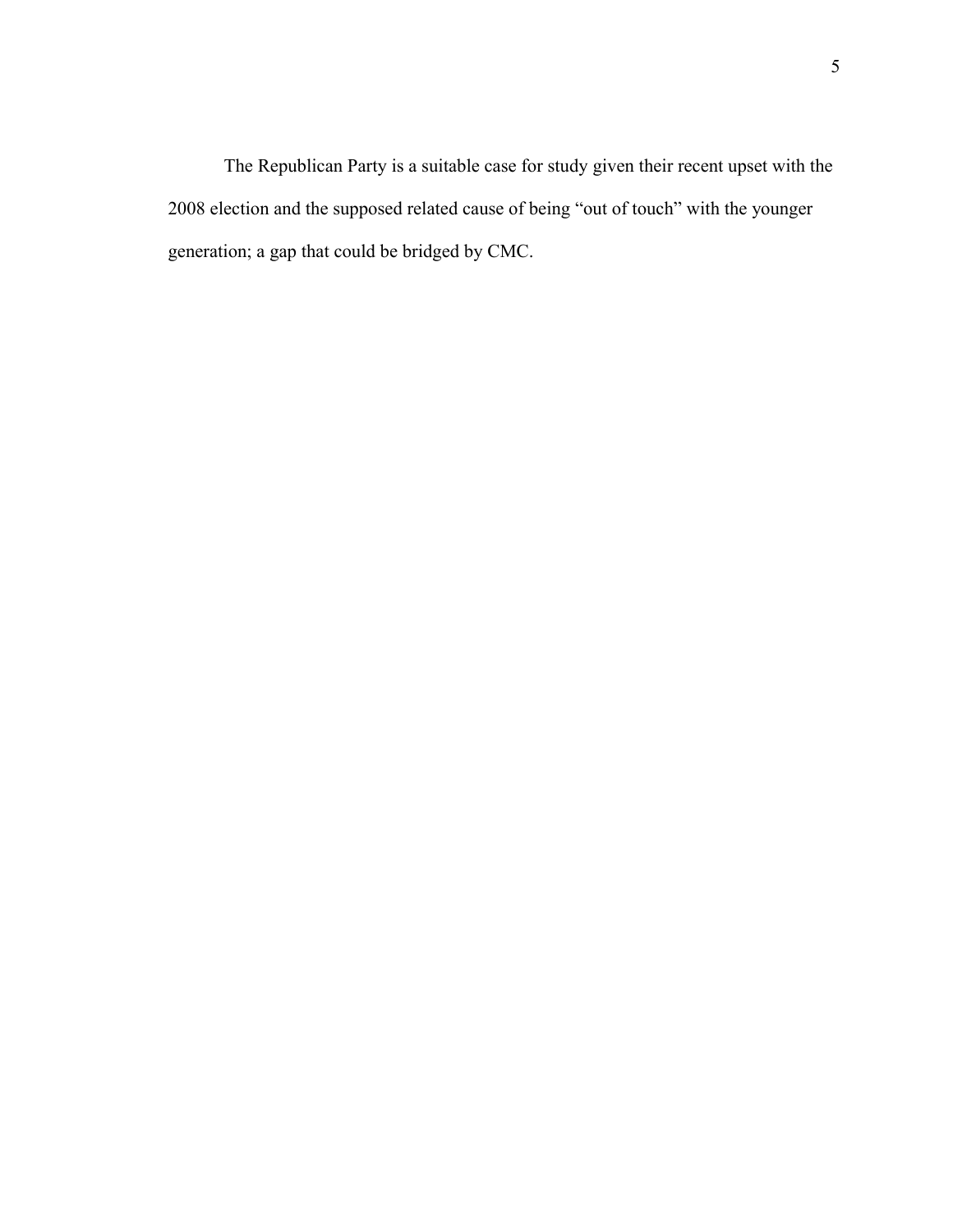The Republican Party is a suitable case for study given their recent upset with the 2008 election and the supposed related cause of being "out of touch" with the younger generation; a gap that could be bridged by CMC.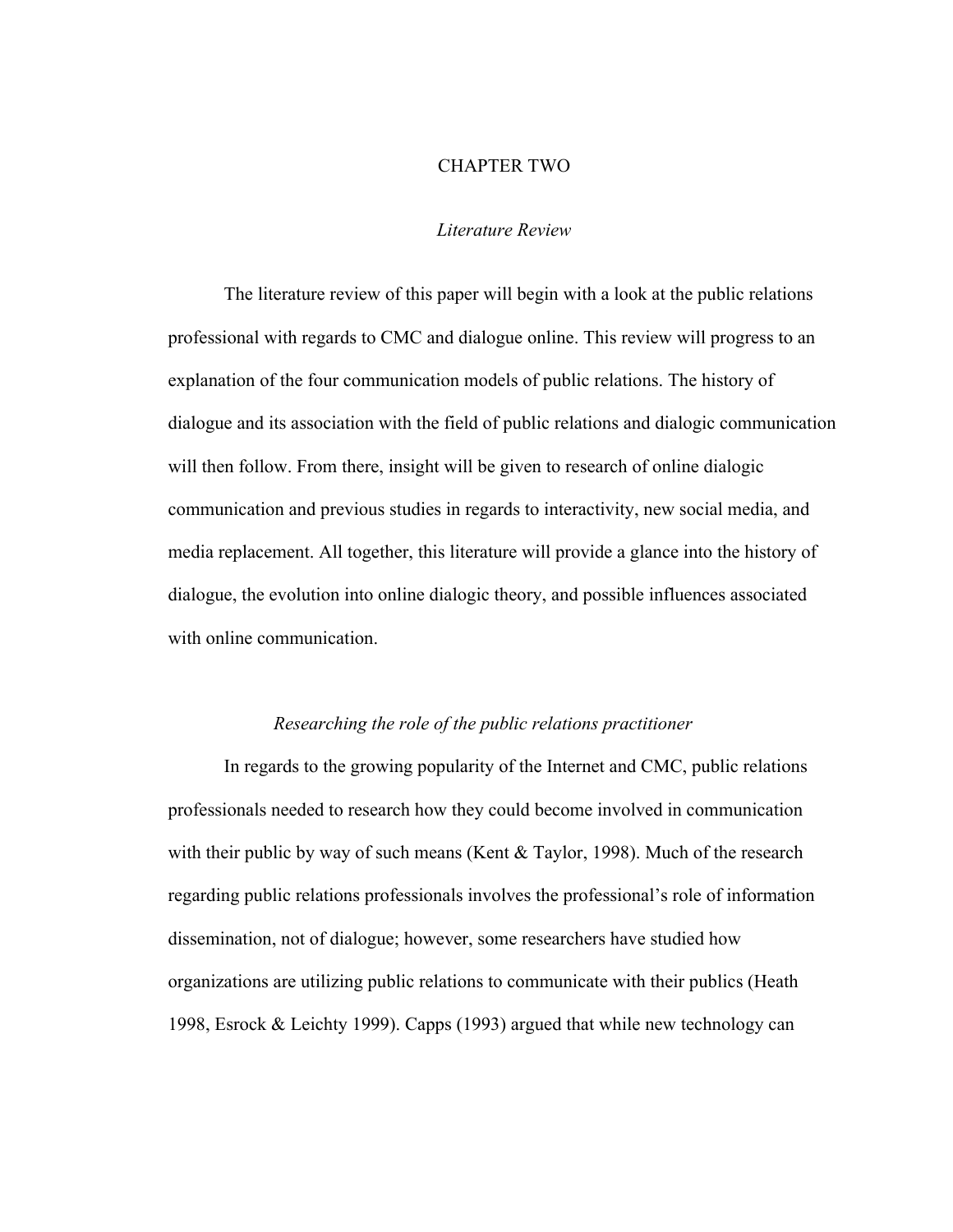#### CHAPTER TWO

#### *Literature Review*

The literature review of this paper will begin with a look at the public relations professional with regards to CMC and dialogue online. This review will progress to an explanation of the four communication models of public relations. The history of dialogue and its association with the field of public relations and dialogic communication will then follow. From there, insight will be given to research of online dialogic communication and previous studies in regards to interactivity, new social media, and media replacement. All together, this literature will provide a glance into the history of dialogue, the evolution into online dialogic theory, and possible influences associated with online communication.

#### *Researching the role of the public relations practitioner*

In regards to the growing popularity of the Internet and CMC, public relations professionals needed to research how they could become involved in communication with their public by way of such means (Kent  $& Taylor, 1998$ ). Much of the research regarding public relations professionals involves the professional's role of information dissemination, not of dialogue; however, some researchers have studied how organizations are utilizing public relations to communicate with their publics (Heath 1998, Esrock & Leichty 1999). Capps (1993) argued that while new technology can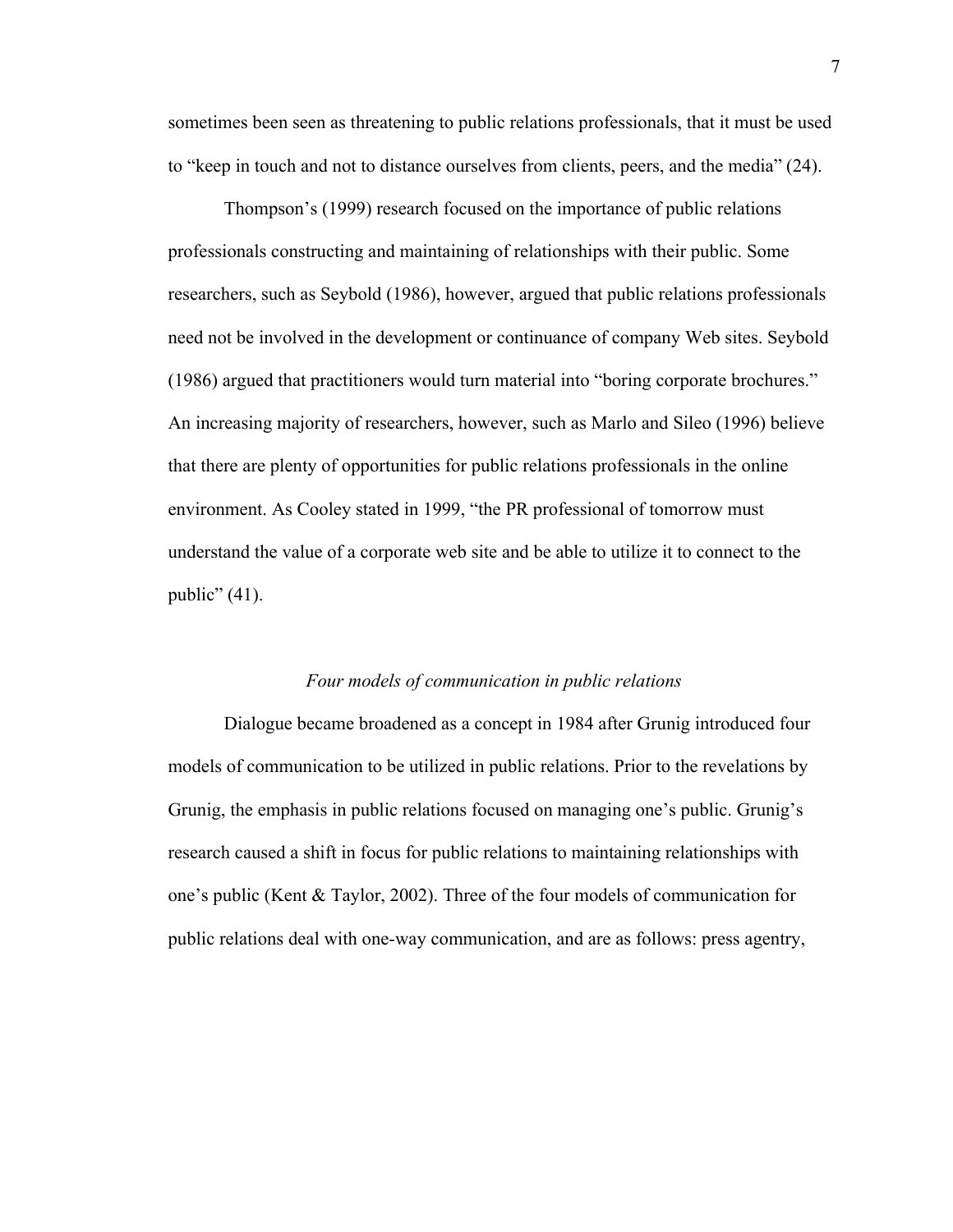sometimes been seen as threatening to public relations professionals, that it must be used to "keep in touch and not to distance ourselves from clients, peers, and the media" (24).

Thompson's (1999) research focused on the importance of public relations professionals constructing and maintaining of relationships with their public. Some researchers, such as Seybold (1986), however, argued that public relations professionals need not be involved in the development or continuance of company Web sites. Seybold (1986) argued that practitioners would turn material into "boring corporate brochures." An increasing majority of researchers, however, such as Marlo and Sileo (1996) believe that there are plenty of opportunities for public relations professionals in the online environment. As Cooley stated in 1999, "the PR professional of tomorrow must understand the value of a corporate web site and be able to utilize it to connect to the public"  $(41)$ .

#### *Four models of communication in public relations*

Dialogue became broadened as a concept in 1984 after Grunig introduced four models of communication to be utilized in public relations. Prior to the revelations by Grunig, the emphasis in public relations focused on managing one's public. Grunig's research caused a shift in focus for public relations to maintaining relationships with one's public (Kent & Taylor, 2002). Three of the four models of communication for public relations deal with one-way communication, and are as follows: press agentry,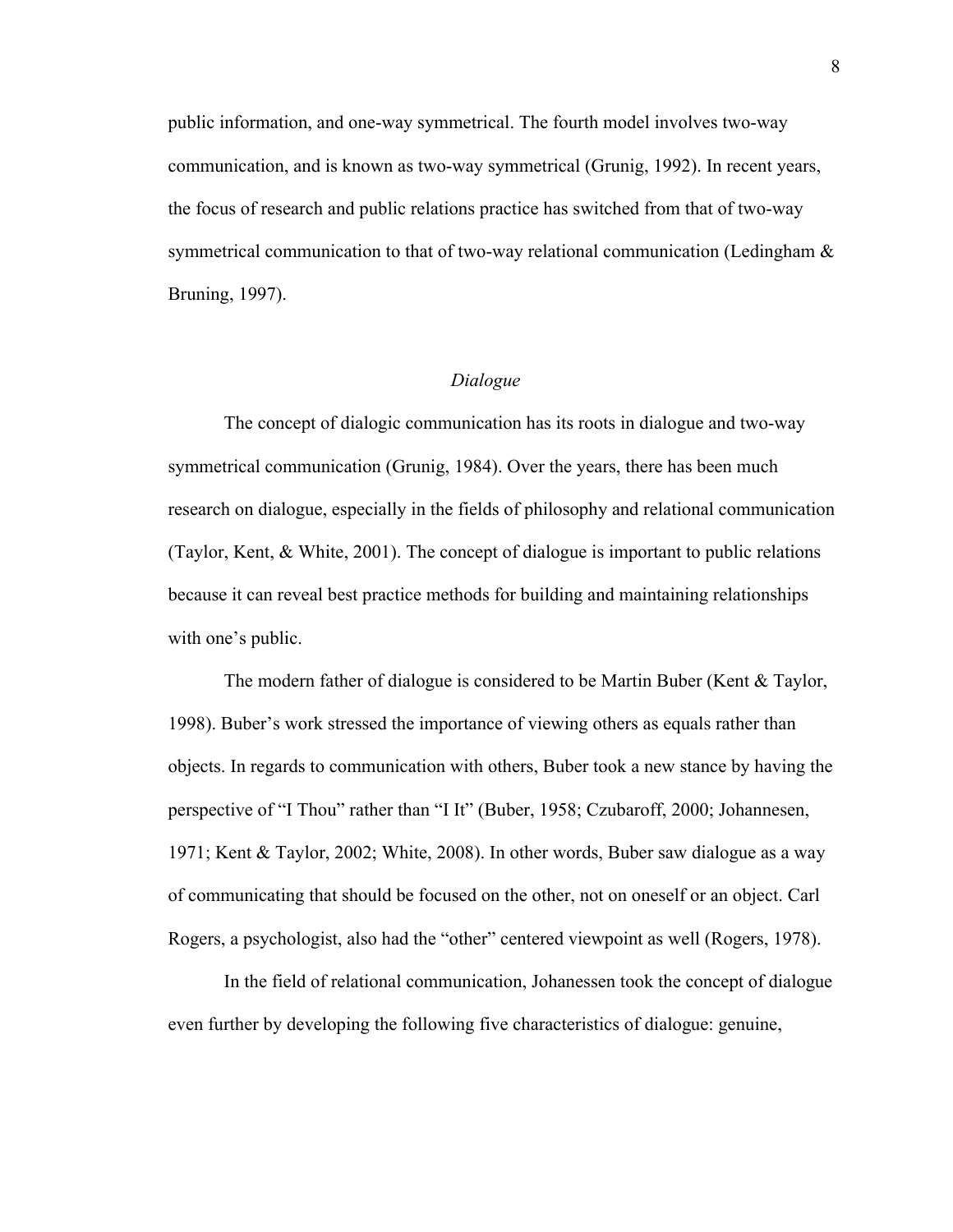public information, and one-way symmetrical. The fourth model involves two-way communication, and is known as two-way symmetrical (Grunig, 1992). In recent years, the focus of research and public relations practice has switched from that of two-way symmetrical communication to that of two-way relational communication (Ledingham & Bruning, 1997).

#### *Dialogue*

The concept of dialogic communication has its roots in dialogue and two-way symmetrical communication (Grunig, 1984). Over the years, there has been much research on dialogue, especially in the fields of philosophy and relational communication (Taylor, Kent, & White, 2001). The concept of dialogue is important to public relations because it can reveal best practice methods for building and maintaining relationships with one's public.

The modern father of dialogue is considered to be Martin Buber (Kent & Taylor, 1998). Buber's work stressed the importance of viewing others as equals rather than objects. In regards to communication with others, Buber took a new stance by having the perspective of "I Thou" rather than "I It" (Buber, 1958; Czubaroff, 2000; Johannesen, 1971; Kent & Taylor, 2002; White, 2008). In other words, Buber saw dialogue as a way of communicating that should be focused on the other, not on oneself or an object. Carl Rogers, a psychologist, also had the "other" centered viewpoint as well (Rogers, 1978).

In the field of relational communication, Johanessen took the concept of dialogue even further by developing the following five characteristics of dialogue: genuine,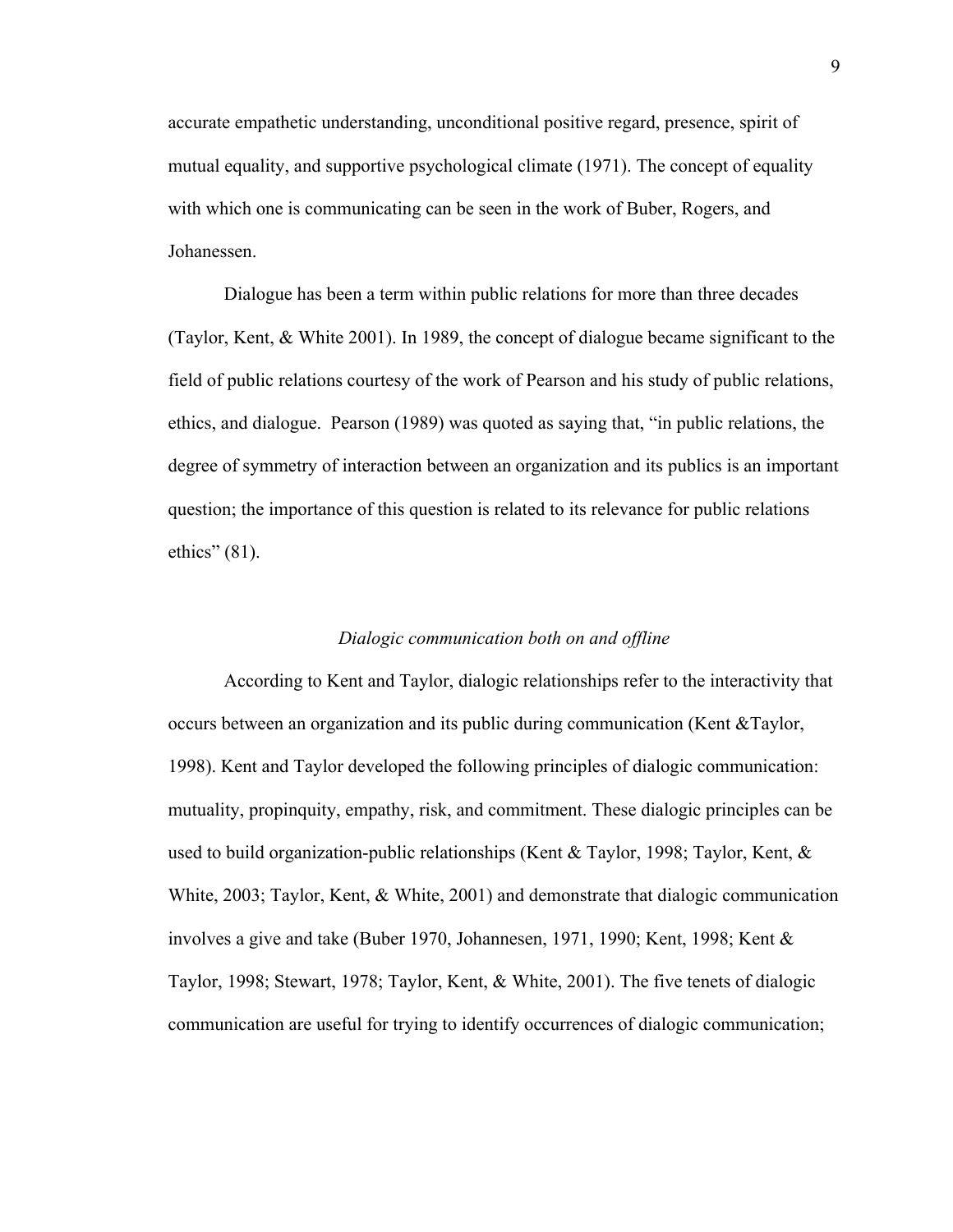accurate empathetic understanding, unconditional positive regard, presence, spirit of mutual equality, and supportive psychological climate (1971). The concept of equality with which one is communicating can be seen in the work of Buber, Rogers, and Johanessen.

Dialogue has been a term within public relations for more than three decades (Taylor, Kent, & White 2001). In 1989, the concept of dialogue became significant to the field of public relations courtesy of the work of Pearson and his study of public relations, ethics, and dialogue. Pearson (1989) was quoted as saying that, "in public relations, the degree of symmetry of interaction between an organization and its publics is an important question; the importance of this question is related to its relevance for public relations ethics" (81).

#### *Dialogic communication both on and offline*

According to Kent and Taylor, dialogic relationships refer to the interactivity that occurs between an organization and its public during communication (Kent &Taylor, 1998). Kent and Taylor developed the following principles of dialogic communication: mutuality, propinquity, empathy, risk, and commitment. These dialogic principles can be used to build organization-public relationships (Kent & Taylor, 1998; Taylor, Kent, & White, 2003; Taylor, Kent, & White, 2001) and demonstrate that dialogic communication involves a give and take (Buber 1970, Johannesen, 1971, 1990; Kent, 1998; Kent & Taylor, 1998; Stewart, 1978; Taylor, Kent, & White, 2001). The five tenets of dialogic communication are useful for trying to identify occurrences of dialogic communication;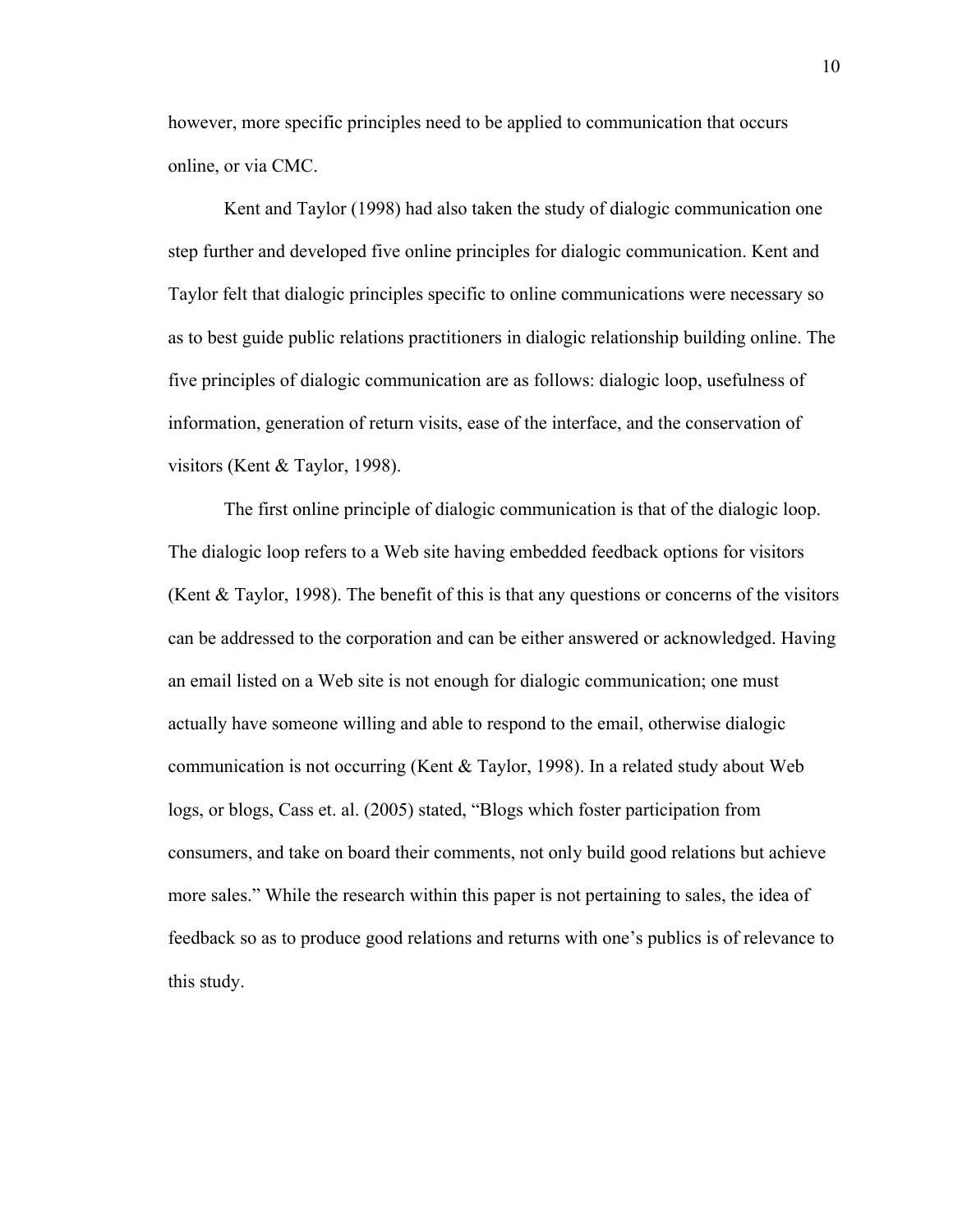however, more specific principles need to be applied to communication that occurs online, or via CMC.

Kent and Taylor (1998) had also taken the study of dialogic communication one step further and developed five online principles for dialogic communication. Kent and Taylor felt that dialogic principles specific to online communications were necessary so as to best guide public relations practitioners in dialogic relationship building online. The five principles of dialogic communication are as follows: dialogic loop, usefulness of information, generation of return visits, ease of the interface, and the conservation of visitors (Kent & Taylor, 1998).

The first online principle of dialogic communication is that of the dialogic loop. The dialogic loop refers to a Web site having embedded feedback options for visitors (Kent & Taylor, 1998). The benefit of this is that any questions or concerns of the visitors can be addressed to the corporation and can be either answered or acknowledged. Having an email listed on a Web site is not enough for dialogic communication; one must actually have someone willing and able to respond to the email, otherwise dialogic communication is not occurring (Kent & Taylor, 1998). In a related study about Web logs, or blogs, Cass et. al. (2005) stated, "Blogs which foster participation from consumers, and take on board their comments, not only build good relations but achieve more sales." While the research within this paper is not pertaining to sales, the idea of feedback so as to produce good relations and returns with one's publics is of relevance to this study.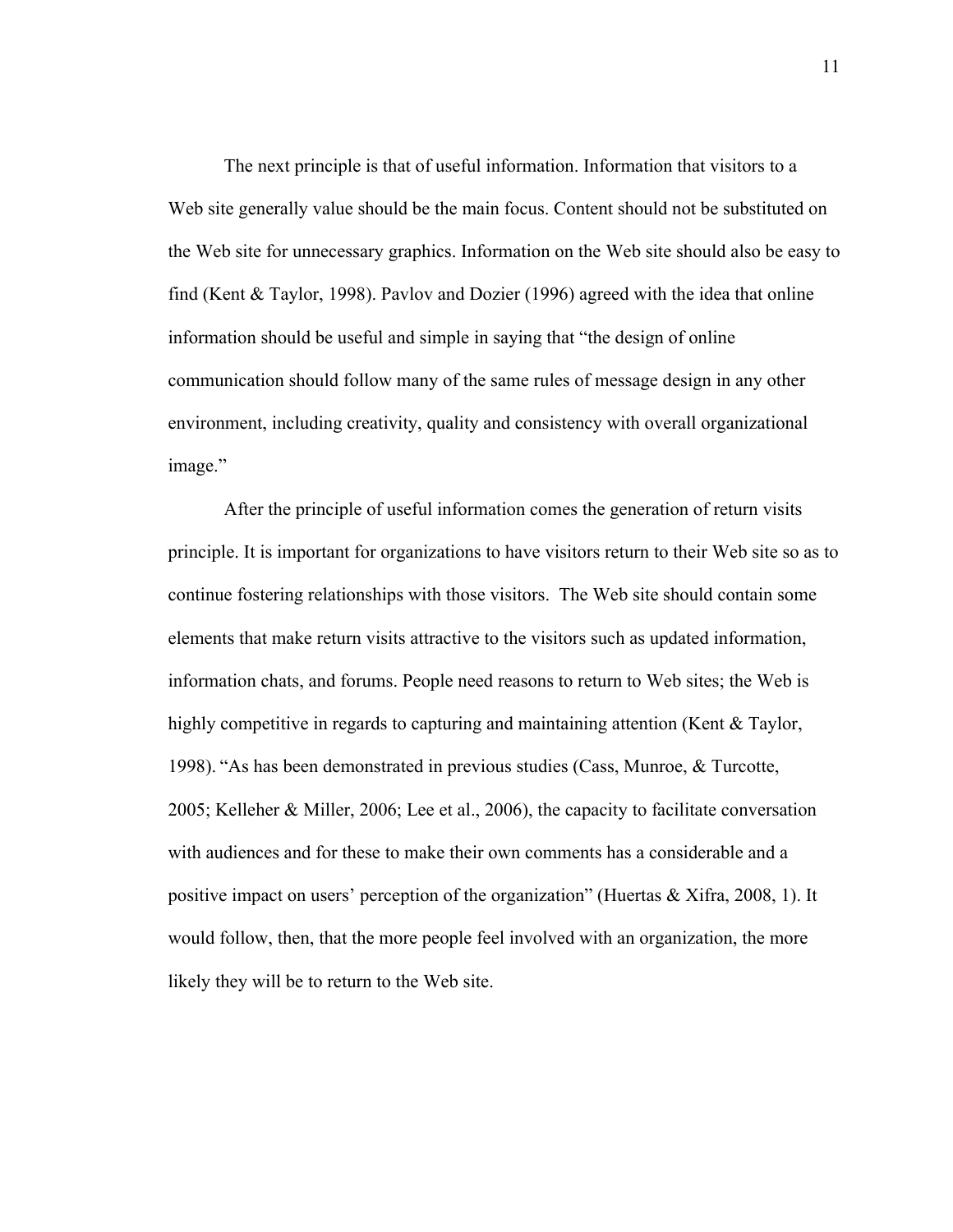The next principle is that of useful information. Information that visitors to a Web site generally value should be the main focus. Content should not be substituted on the Web site for unnecessary graphics. Information on the Web site should also be easy to find (Kent & Taylor, 1998). Pavlov and Dozier (1996) agreed with the idea that online information should be useful and simple in saying that "the design of online communication should follow many of the same rules of message design in any other environment, including creativity, quality and consistency with overall organizational image."

After the principle of useful information comes the generation of return visits principle. It is important for organizations to have visitors return to their Web site so as to continue fostering relationships with those visitors. The Web site should contain some elements that make return visits attractive to the visitors such as updated information, information chats, and forums. People need reasons to return to Web sites; the Web is highly competitive in regards to capturing and maintaining attention (Kent & Taylor, 1998). "As has been demonstrated in previous studies (Cass, Munroe, & Turcotte, 2005; Kelleher & Miller, 2006; Lee et al., 2006), the capacity to facilitate conversation with audiences and for these to make their own comments has a considerable and a positive impact on users' perception of the organization" (Huertas & Xifra, 2008, 1). It would follow, then, that the more people feel involved with an organization, the more likely they will be to return to the Web site.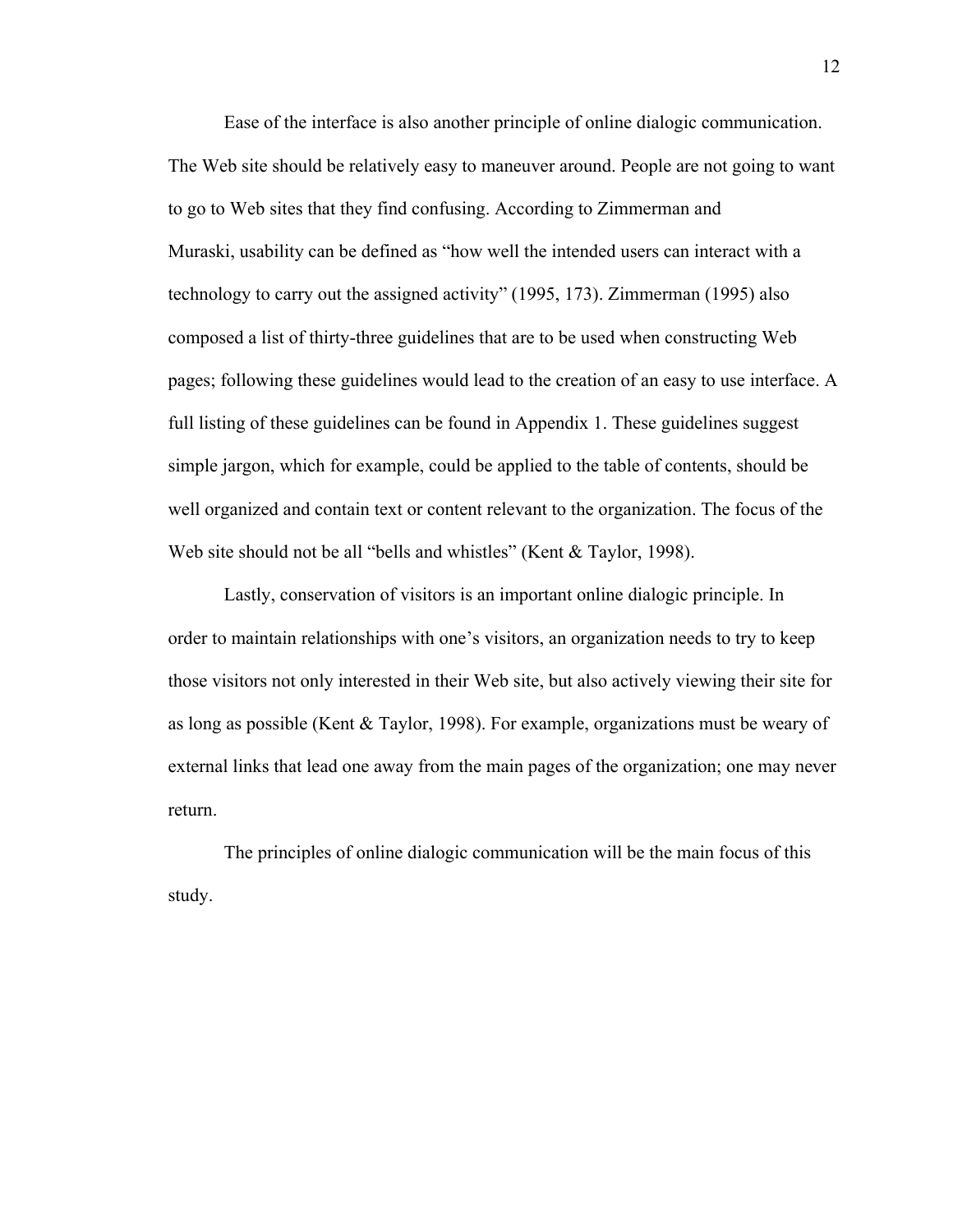Ease of the interface is also another principle of online dialogic communication. The Web site should be relatively easy to maneuver around. People are not going to want to go to Web sites that they find confusing. According to Zimmerman and Muraski, usability can be defined as "how well the intended users can interact with a technology to carry out the assigned activity" (1995, 173). Zimmerman (1995) also composed a list of thirty-three guidelines that are to be used when constructing Web pages; following these guidelines would lead to the creation of an easy to use interface. A full listing of these guidelines can be found in Appendix 1. These guidelines suggest simple jargon, which for example, could be applied to the table of contents, should be well organized and contain text or content relevant to the organization. The focus of the Web site should not be all "bells and whistles" (Kent & Taylor, 1998).

Lastly, conservation of visitors is an important online dialogic principle. In order to maintain relationships with one's visitors, an organization needs to try to keep those visitors not only interested in their Web site, but also actively viewing their site for as long as possible (Kent & Taylor, 1998). For example, organizations must be weary of external links that lead one away from the main pages of the organization; one may never return.

The principles of online dialogic communication will be the main focus of this study.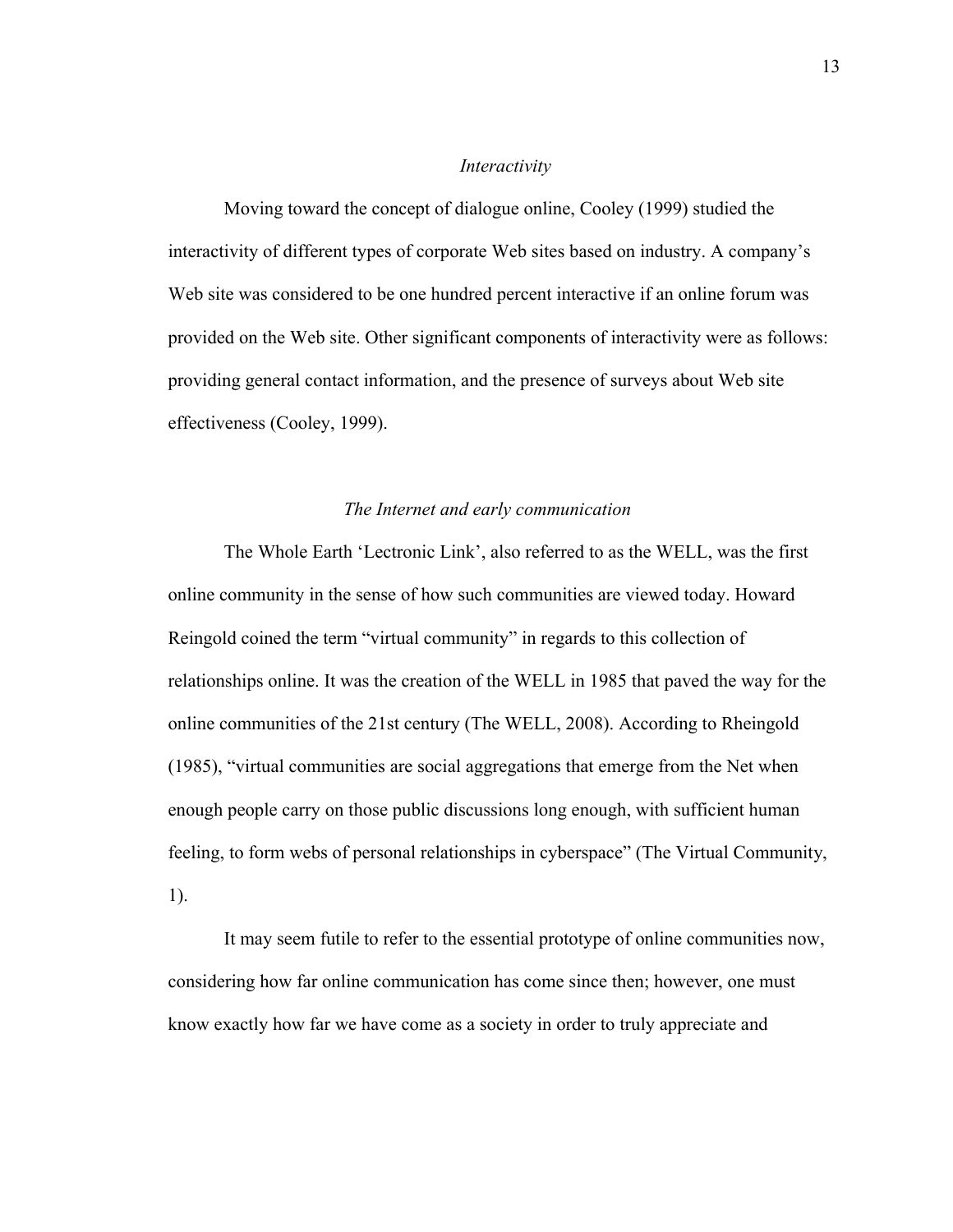#### *Interactivity*

Moving toward the concept of dialogue online, Cooley (1999) studied the interactivity of different types of corporate Web sites based on industry. A company's Web site was considered to be one hundred percent interactive if an online forum was provided on the Web site. Other significant components of interactivity were as follows: providing general contact information, and the presence of surveys about Web site effectiveness (Cooley, 1999).

#### *The Internet and early communication*

The Whole Earth 'Lectronic Link', also referred to as the WELL, was the first online community in the sense of how such communities are viewed today. Howard Reingold coined the term "virtual community" in regards to this collection of relationships online. It was the creation of the WELL in 1985 that paved the way for the online communities of the 21st century (The WELL, 2008). According to Rheingold (1985), "virtual communities are social aggregations that emerge from the Net when enough people carry on those public discussions long enough, with sufficient human feeling, to form webs of personal relationships in cyberspace" (The Virtual Community, 1).

It may seem futile to refer to the essential prototype of online communities now, considering how far online communication has come since then; however, one must know exactly how far we have come as a society in order to truly appreciate and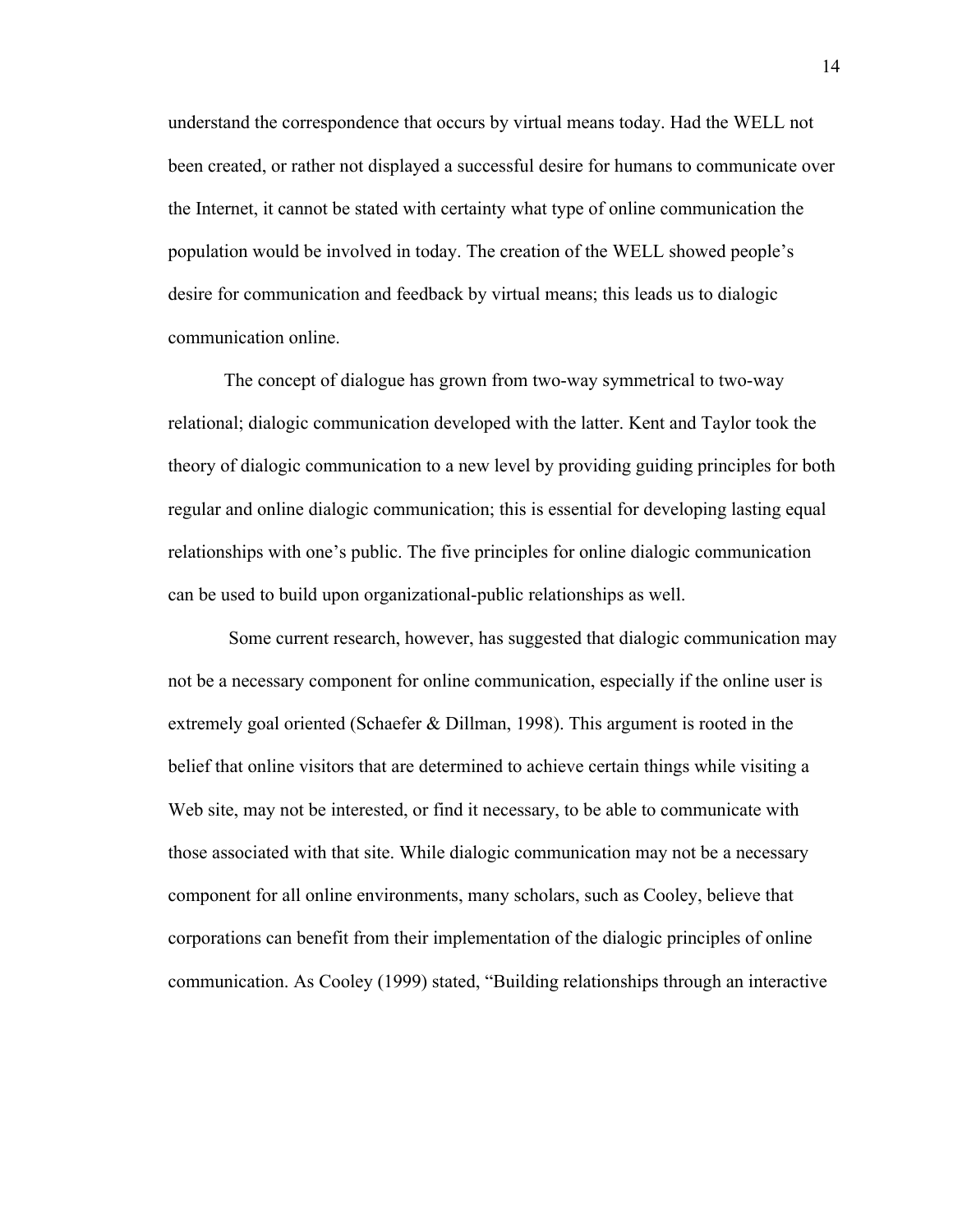understand the correspondence that occurs by virtual means today. Had the WELL not been created, or rather not displayed a successful desire for humans to communicate over the Internet, it cannot be stated with certainty what type of online communication the population would be involved in today. The creation of the WELL showed people's desire for communication and feedback by virtual means; this leads us to dialogic communication online.

The concept of dialogue has grown from two-way symmetrical to two-way relational; dialogic communication developed with the latter. Kent and Taylor took the theory of dialogic communication to a new level by providing guiding principles for both regular and online dialogic communication; this is essential for developing lasting equal relationships with one's public. The five principles for online dialogic communication can be used to build upon organizational-public relationships as well.

Some current research, however, has suggested that dialogic communication may not be a necessary component for online communication, especially if the online user is extremely goal oriented (Schaefer & Dillman, 1998). This argument is rooted in the belief that online visitors that are determined to achieve certain things while visiting a Web site, may not be interested, or find it necessary, to be able to communicate with those associated with that site. While dialogic communication may not be a necessary component for all online environments, many scholars, such as Cooley, believe that corporations can benefit from their implementation of the dialogic principles of online communication. As Cooley (1999) stated, "Building relationships through an interactive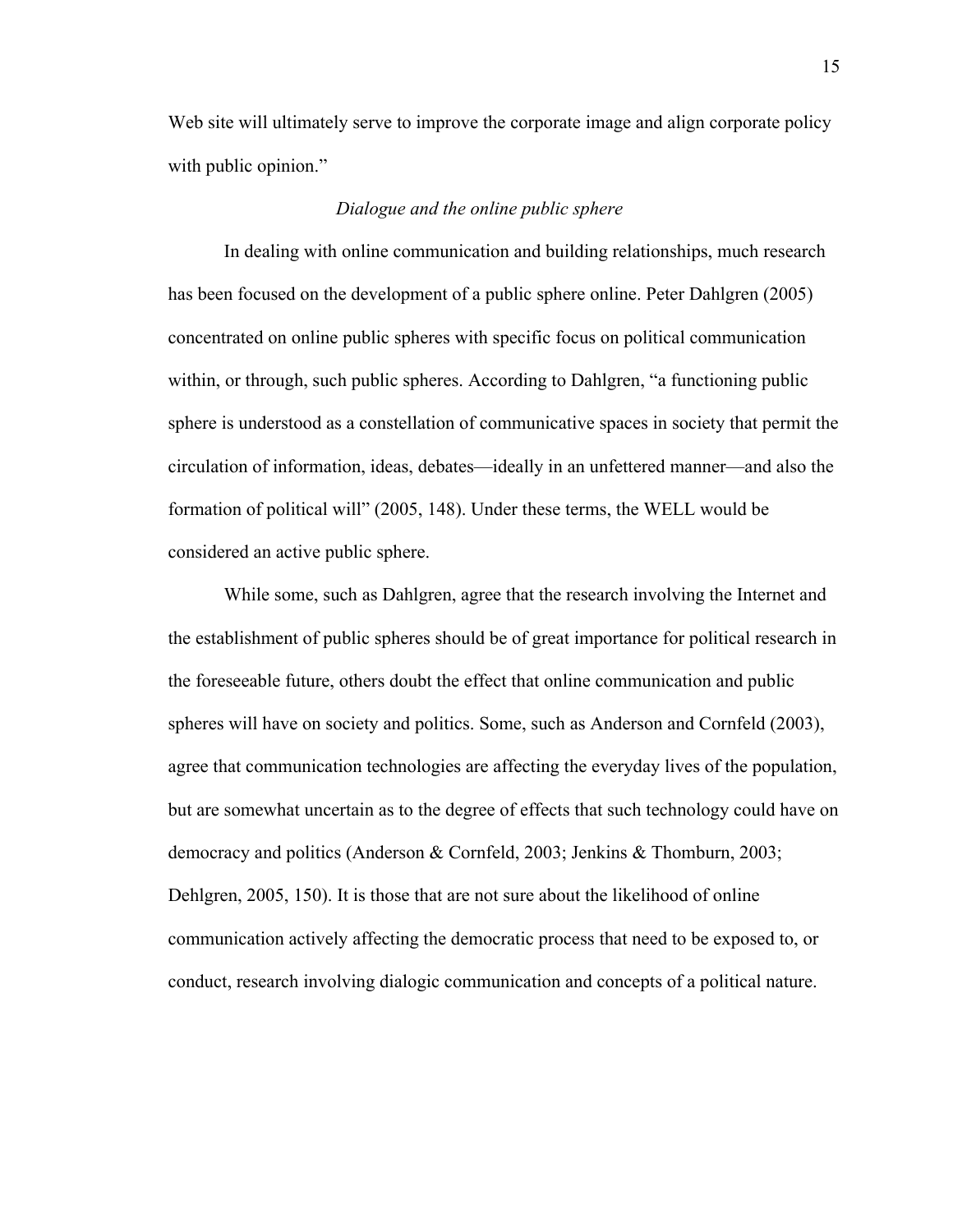Web site will ultimately serve to improve the corporate image and align corporate policy with public opinion."

#### *Dialogue and the online public sphere*

In dealing with online communication and building relationships, much research has been focused on the development of a public sphere online. Peter Dahlgren (2005) concentrated on online public spheres with specific focus on political communication within, or through, such public spheres. According to Dahlgren, "a functioning public sphere is understood as a constellation of communicative spaces in society that permit the circulation of information, ideas, debates—ideally in an unfettered manner—and also the formation of political will" (2005, 148). Under these terms, the WELL would be considered an active public sphere.

While some, such as Dahlgren, agree that the research involving the Internet and the establishment of public spheres should be of great importance for political research in the foreseeable future, others doubt the effect that online communication and public spheres will have on society and politics. Some, such as Anderson and Cornfeld (2003), agree that communication technologies are affecting the everyday lives of the population, but are somewhat uncertain as to the degree of effects that such technology could have on democracy and politics (Anderson & Cornfeld, 2003; Jenkins & Thomburn, 2003; Dehlgren, 2005, 150). It is those that are not sure about the likelihood of online communication actively affecting the democratic process that need to be exposed to, or conduct, research involving dialogic communication and concepts of a political nature.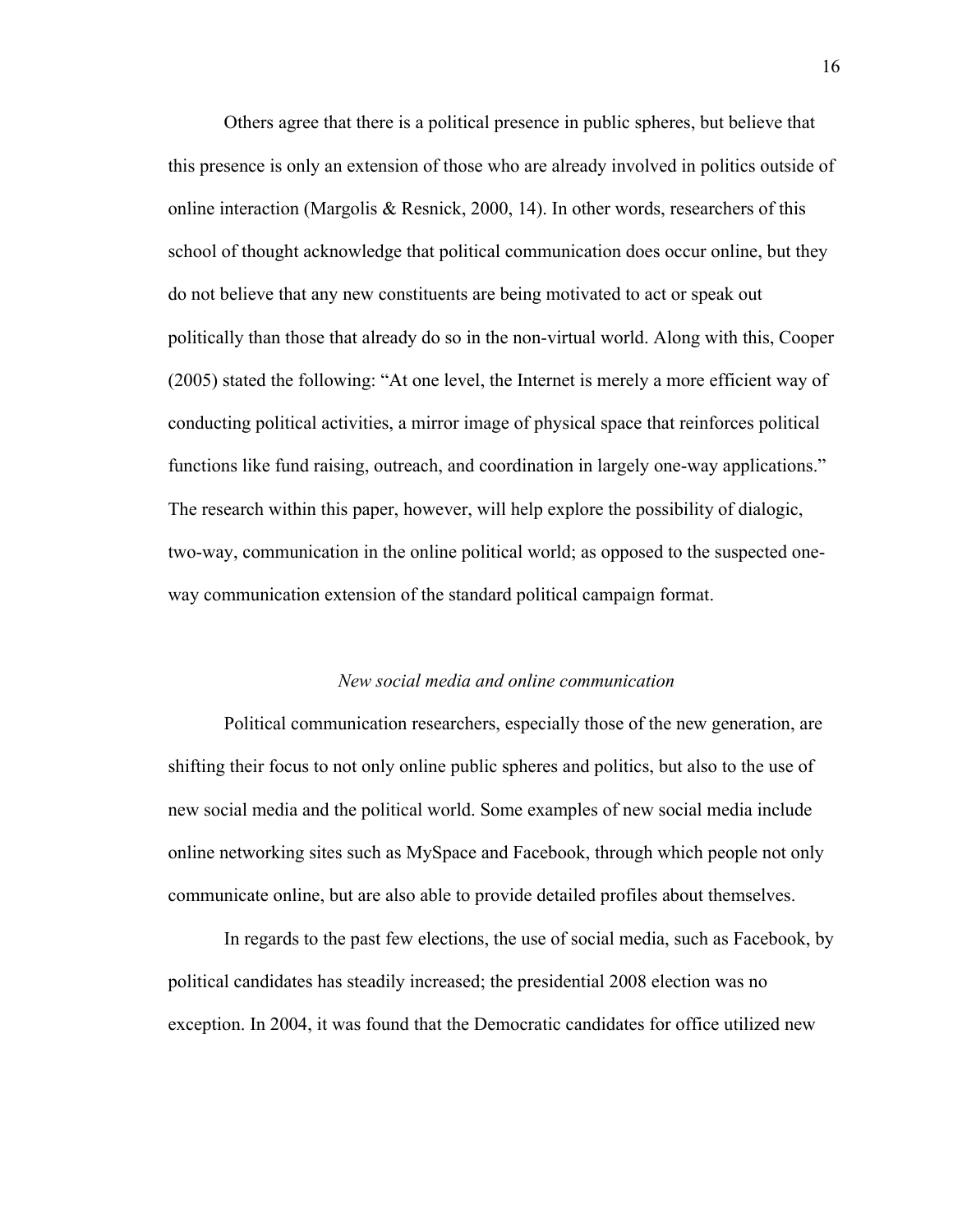Others agree that there is a political presence in public spheres, but believe that this presence is only an extension of those who are already involved in politics outside of online interaction (Margolis & Resnick, 2000, 14). In other words, researchers of this school of thought acknowledge that political communication does occur online, but they do not believe that any new constituents are being motivated to act or speak out politically than those that already do so in the non-virtual world. Along with this, Cooper (2005) stated the following: "At one level, the Internet is merely a more efficient way of conducting political activities, a mirror image of physical space that reinforces political functions like fund raising, outreach, and coordination in largely one-way applications." The research within this paper, however, will help explore the possibility of dialogic, two-way, communication in the online political world; as opposed to the suspected oneway communication extension of the standard political campaign format.

#### *New social media and online communication*

Political communication researchers, especially those of the new generation, are shifting their focus to not only online public spheres and politics, but also to the use of new social media and the political world. Some examples of new social media include online networking sites such as MySpace and Facebook, through which people not only communicate online, but are also able to provide detailed profiles about themselves.

In regards to the past few elections, the use of social media, such as Facebook, by political candidates has steadily increased; the presidential 2008 election was no exception. In 2004, it was found that the Democratic candidates for office utilized new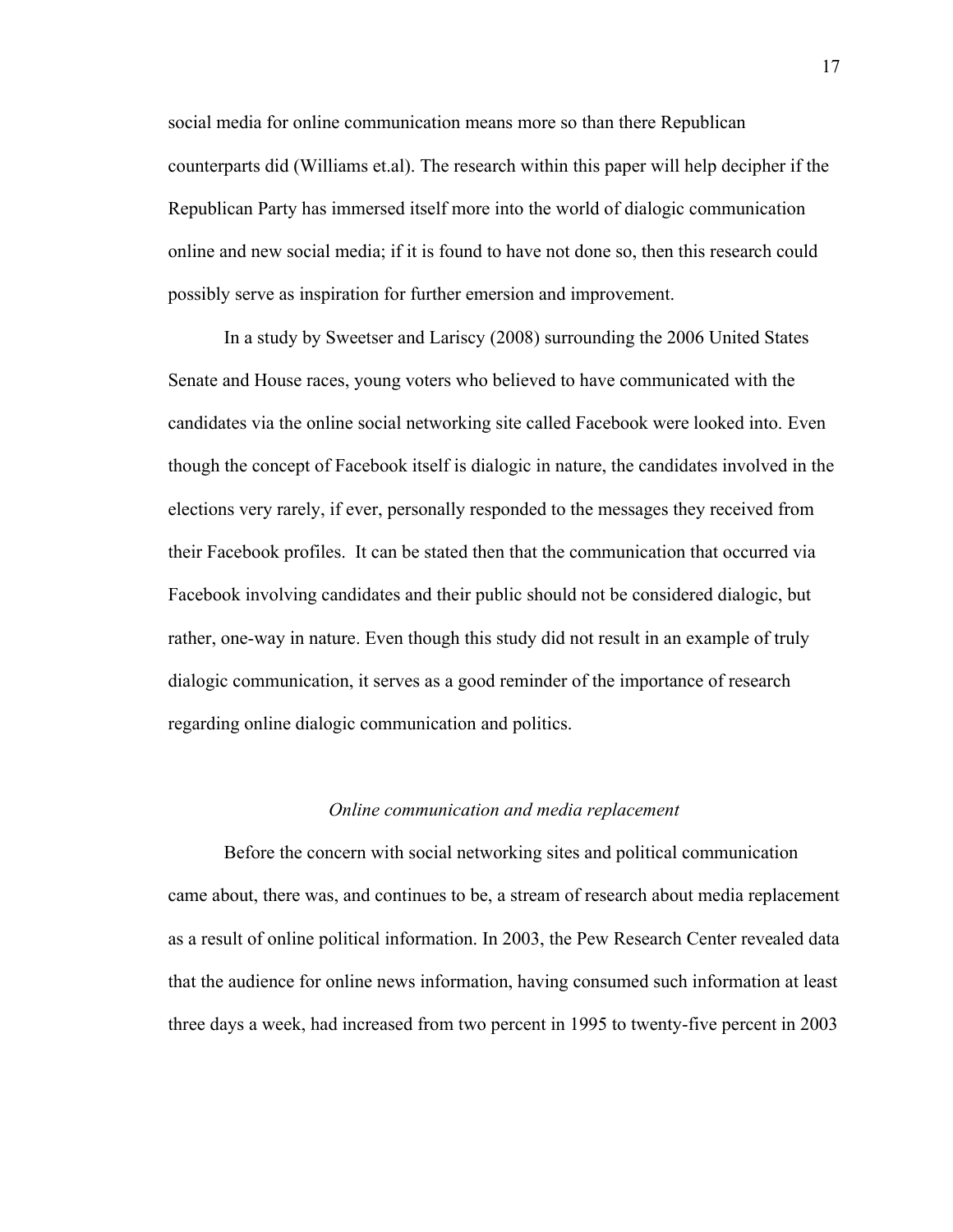social media for online communication means more so than there Republican counterparts did (Williams et.al). The research within this paper will help decipher if the Republican Party has immersed itself more into the world of dialogic communication online and new social media; if it is found to have not done so, then this research could possibly serve as inspiration for further emersion and improvement.

In a study by Sweetser and Lariscy (2008) surrounding the 2006 United States Senate and House races, young voters who believed to have communicated with the candidates via the online social networking site called Facebook were looked into. Even though the concept of Facebook itself is dialogic in nature, the candidates involved in the elections very rarely, if ever, personally responded to the messages they received from their Facebook profiles. It can be stated then that the communication that occurred via Facebook involving candidates and their public should not be considered dialogic, but rather, one-way in nature. Even though this study did not result in an example of truly dialogic communication, it serves as a good reminder of the importance of research regarding online dialogic communication and politics.

#### *Online communication and media replacement*

Before the concern with social networking sites and political communication came about, there was, and continues to be, a stream of research about media replacement as a result of online political information. In 2003, the Pew Research Center revealed data that the audience for online news information, having consumed such information at least three days a week, had increased from two percent in 1995 to twenty-five percent in 2003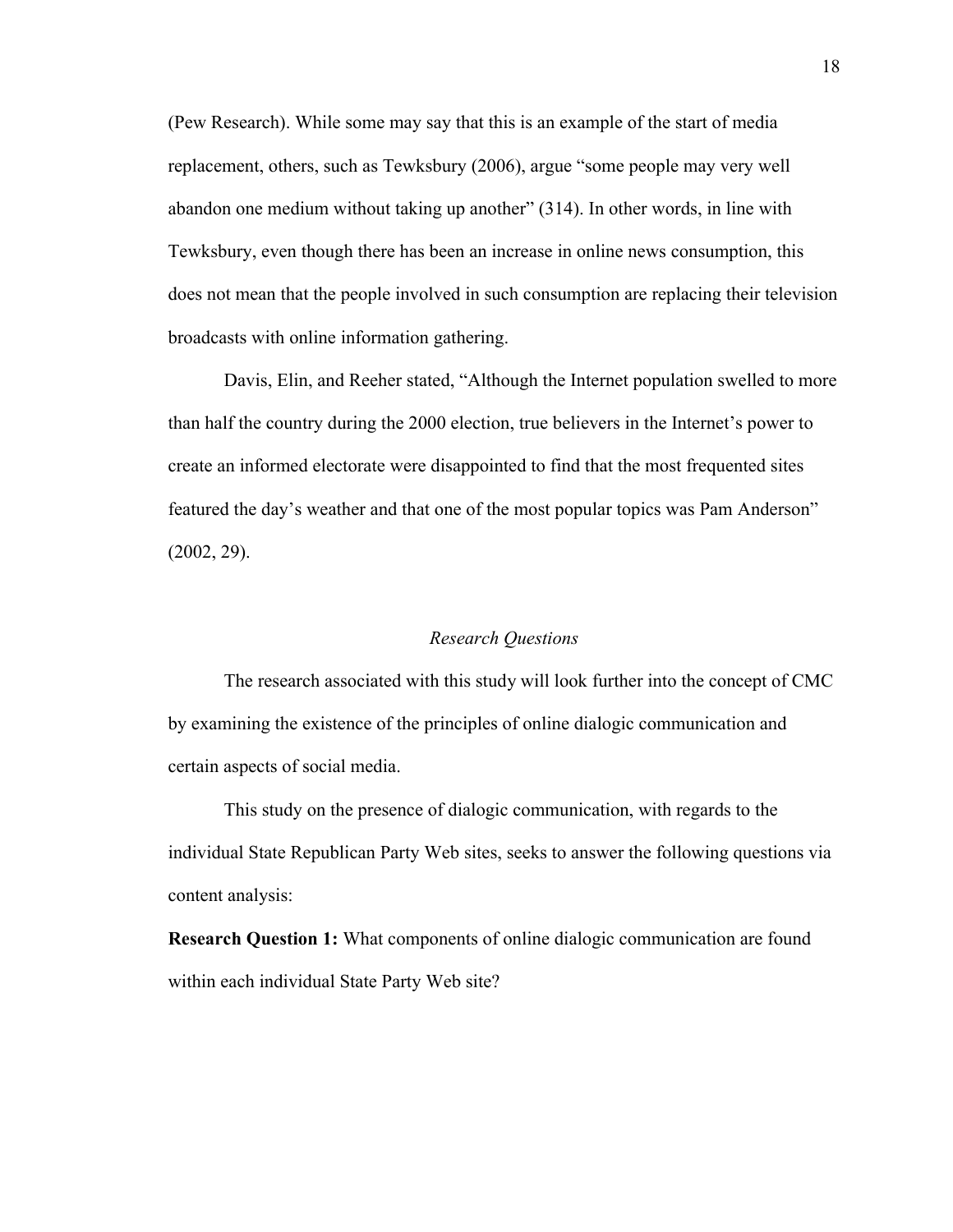(Pew Research). While some may say that this is an example of the start of media replacement, others, such as Tewksbury (2006), argue "some people may very well abandon one medium without taking up another" (314). In other words, in line with Tewksbury, even though there has been an increase in online news consumption, this does not mean that the people involved in such consumption are replacing their television broadcasts with online information gathering.

Davis, Elin, and Reeher stated, "Although the Internet population swelled to more than half the country during the 2000 election, true believers in the Internet's power to create an informed electorate were disappointed to find that the most frequented sites featured the day's weather and that one of the most popular topics was Pam Anderson" (2002, 29).

#### *Research Questions*

The research associated with this study will look further into the concept of CMC by examining the existence of the principles of online dialogic communication and certain aspects of social media.

This study on the presence of dialogic communication, with regards to the individual State Republican Party Web sites, seeks to answer the following questions via content analysis:

**Research Question 1:** What components of online dialogic communication are found within each individual State Party Web site?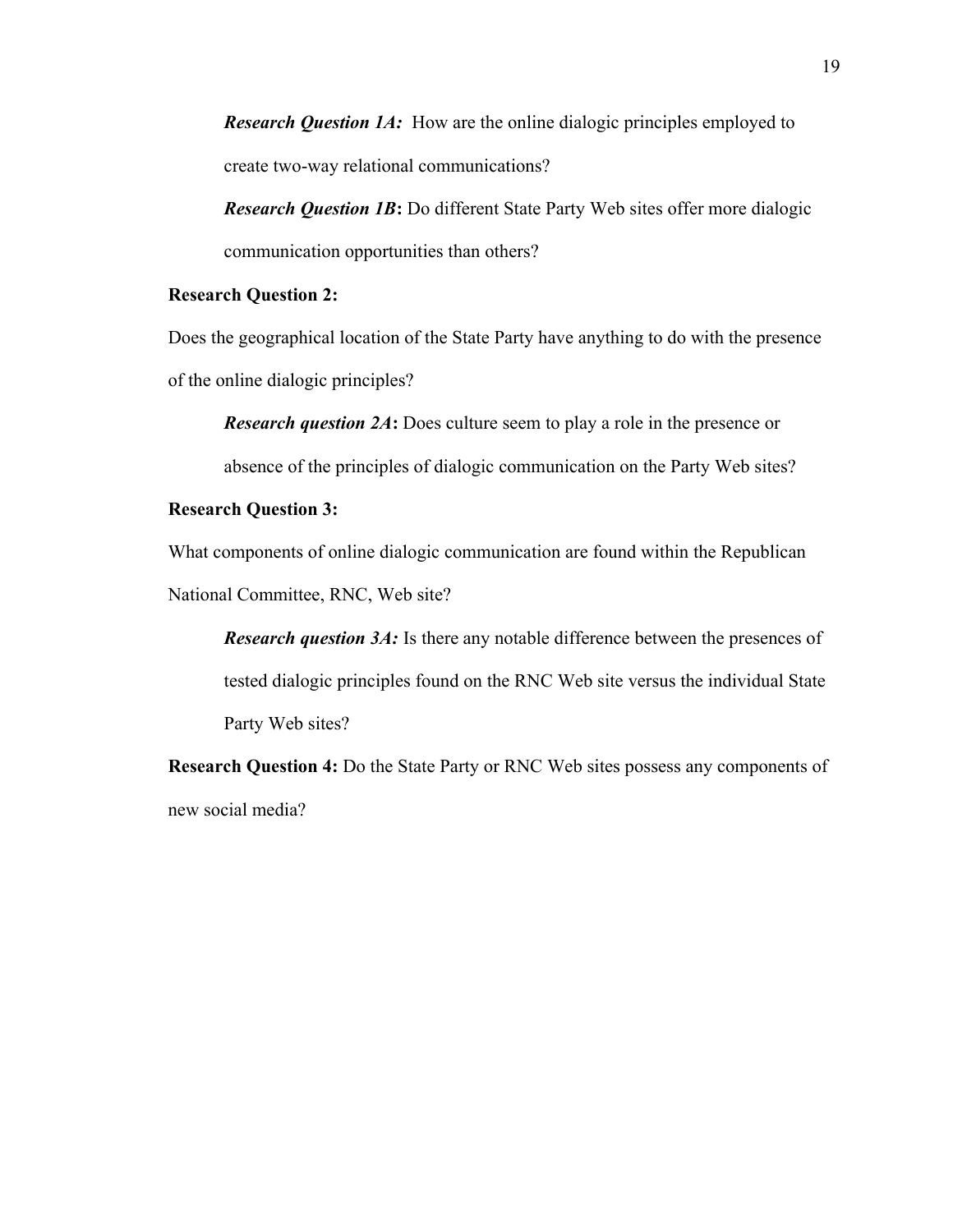*Research Question 1A:* How are the online dialogic principles employed to create two-way relational communications?

*Research Question 1B***:** Do different State Party Web sites offer more dialogic communication opportunities than others?

### **Research Question 2:**

Does the geographical location of the State Party have anything to do with the presence of the online dialogic principles?

*Research question 2A***:** Does culture seem to play a role in the presence or

absence of the principles of dialogic communication on the Party Web sites?

### **Research Question 3:**

What components of online dialogic communication are found within the Republican

National Committee, RNC, Web site?

*Research question 3A:* Is there any notable difference between the presences of tested dialogic principles found on the RNC Web site versus the individual State Party Web sites?

**Research Question 4:** Do the State Party or RNC Web sites possess any components of new social media?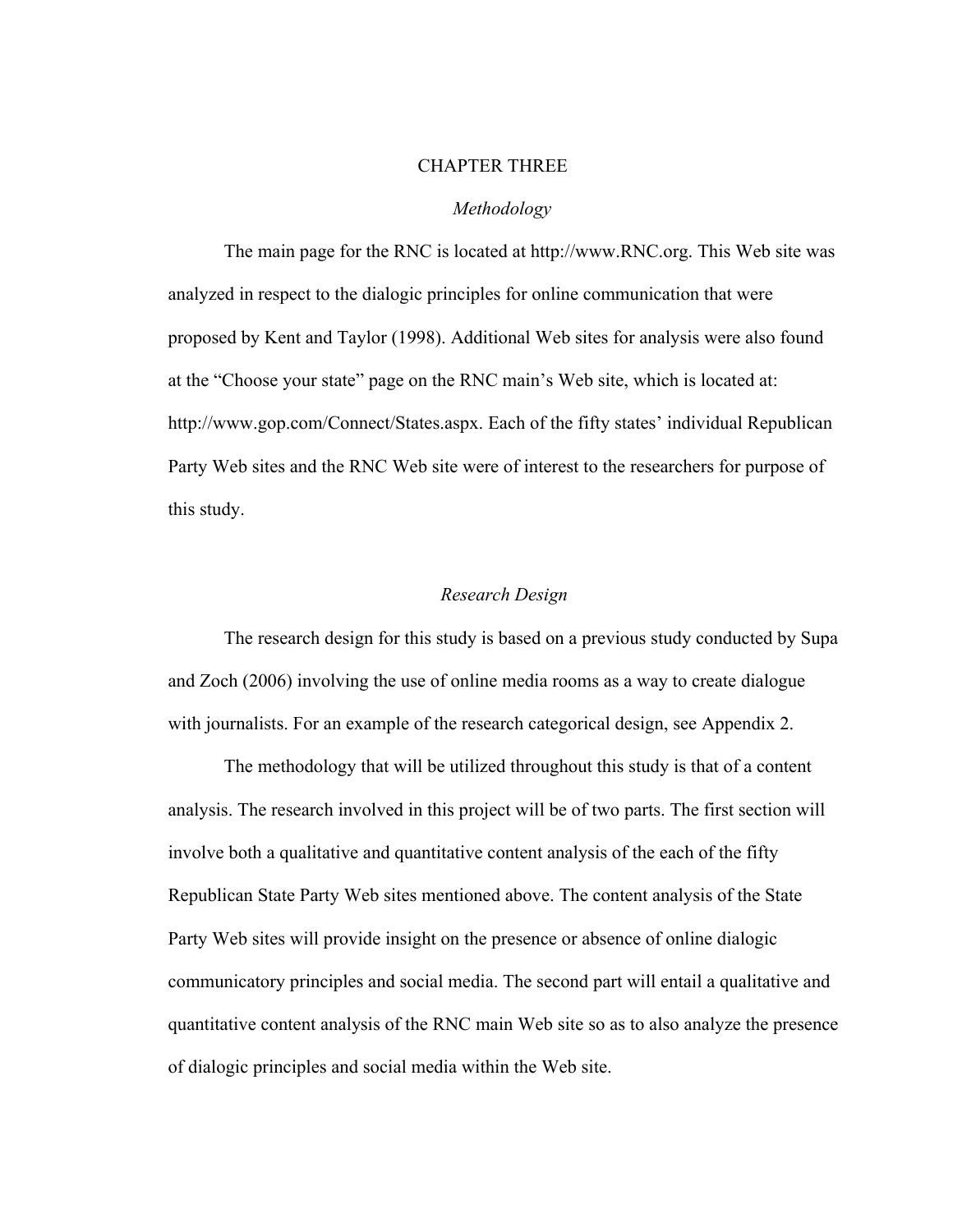#### CHAPTER THREE

#### *Methodology*

The main page for the RNC is located at http://www.RNC.org. This Web site was analyzed in respect to the dialogic principles for online communication that were proposed by Kent and Taylor (1998). Additional Web sites for analysis were also found at the "Choose your state" page on the RNC main's Web site, which is located at: http://www.gop.com/Connect/States.aspx. Each of the fifty states' individual Republican Party Web sites and the RNC Web site were of interest to the researchers for purpose of this study.

### *Research Design*

The research design for this study is based on a previous study conducted by Supa and Zoch (2006) involving the use of online media rooms as a way to create dialogue with journalists. For an example of the research categorical design, see Appendix 2.

The methodology that will be utilized throughout this study is that of a content analysis. The research involved in this project will be of two parts. The first section will involve both a qualitative and quantitative content analysis of the each of the fifty Republican State Party Web sites mentioned above. The content analysis of the State Party Web sites will provide insight on the presence or absence of online dialogic communicatory principles and social media. The second part will entail a qualitative and quantitative content analysis of the RNC main Web site so as to also analyze the presence of dialogic principles and social media within the Web site.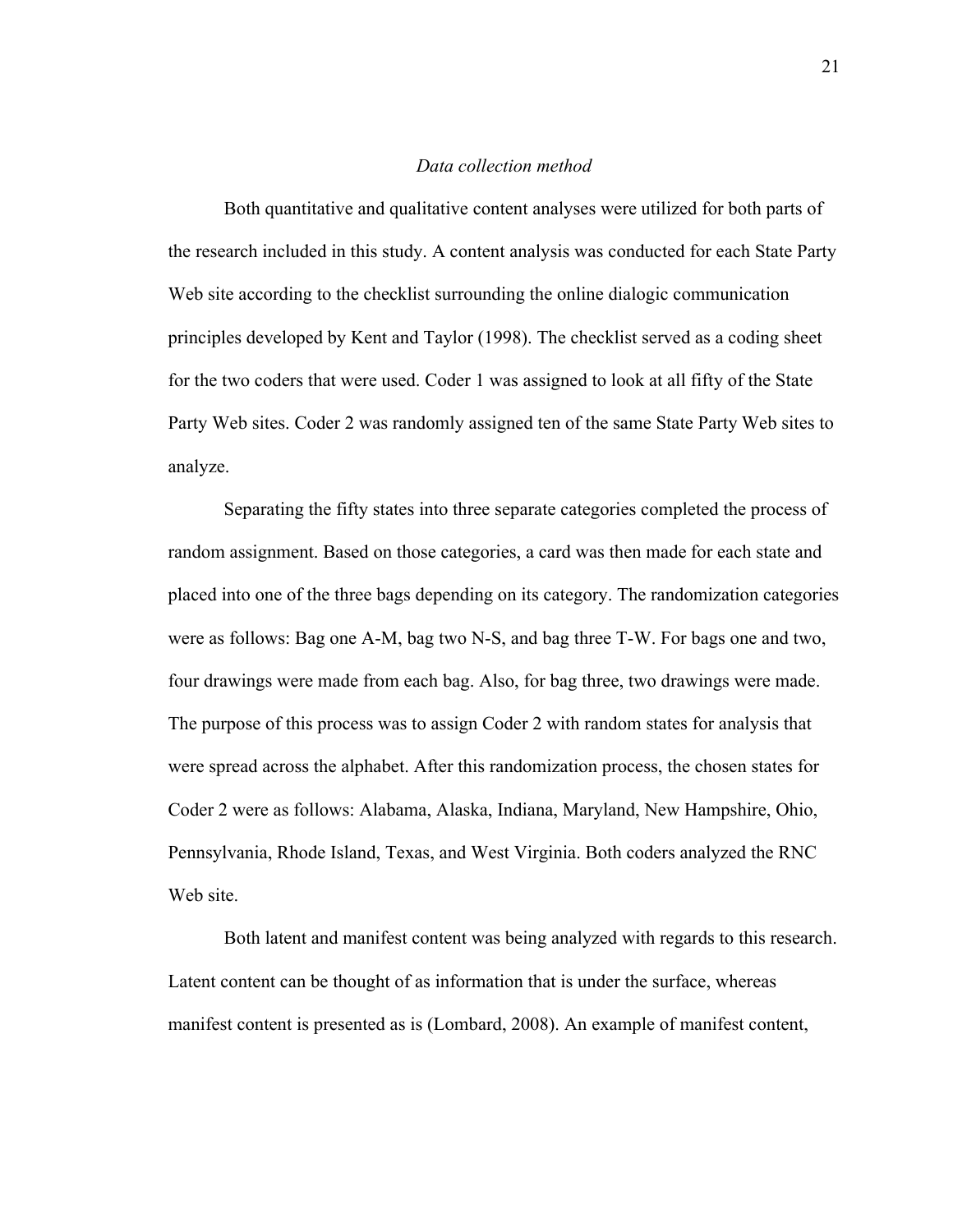#### *Data collection method*

Both quantitative and qualitative content analyses were utilized for both parts of the research included in this study. A content analysis was conducted for each State Party Web site according to the checklist surrounding the online dialogic communication principles developed by Kent and Taylor (1998). The checklist served as a coding sheet for the two coders that were used. Coder 1 was assigned to look at all fifty of the State Party Web sites. Coder 2 was randomly assigned ten of the same State Party Web sites to analyze.

Separating the fifty states into three separate categories completed the process of random assignment. Based on those categories, a card was then made for each state and placed into one of the three bags depending on its category. The randomization categories were as follows: Bag one A-M, bag two N-S, and bag three T-W. For bags one and two, four drawings were made from each bag. Also, for bag three, two drawings were made. The purpose of this process was to assign Coder 2 with random states for analysis that were spread across the alphabet. After this randomization process, the chosen states for Coder 2 were as follows: Alabama, Alaska, Indiana, Maryland, New Hampshire, Ohio, Pennsylvania, Rhode Island, Texas, and West Virginia. Both coders analyzed the RNC Web site.

Both latent and manifest content was being analyzed with regards to this research. Latent content can be thought of as information that is under the surface, whereas manifest content is presented as is (Lombard, 2008). An example of manifest content,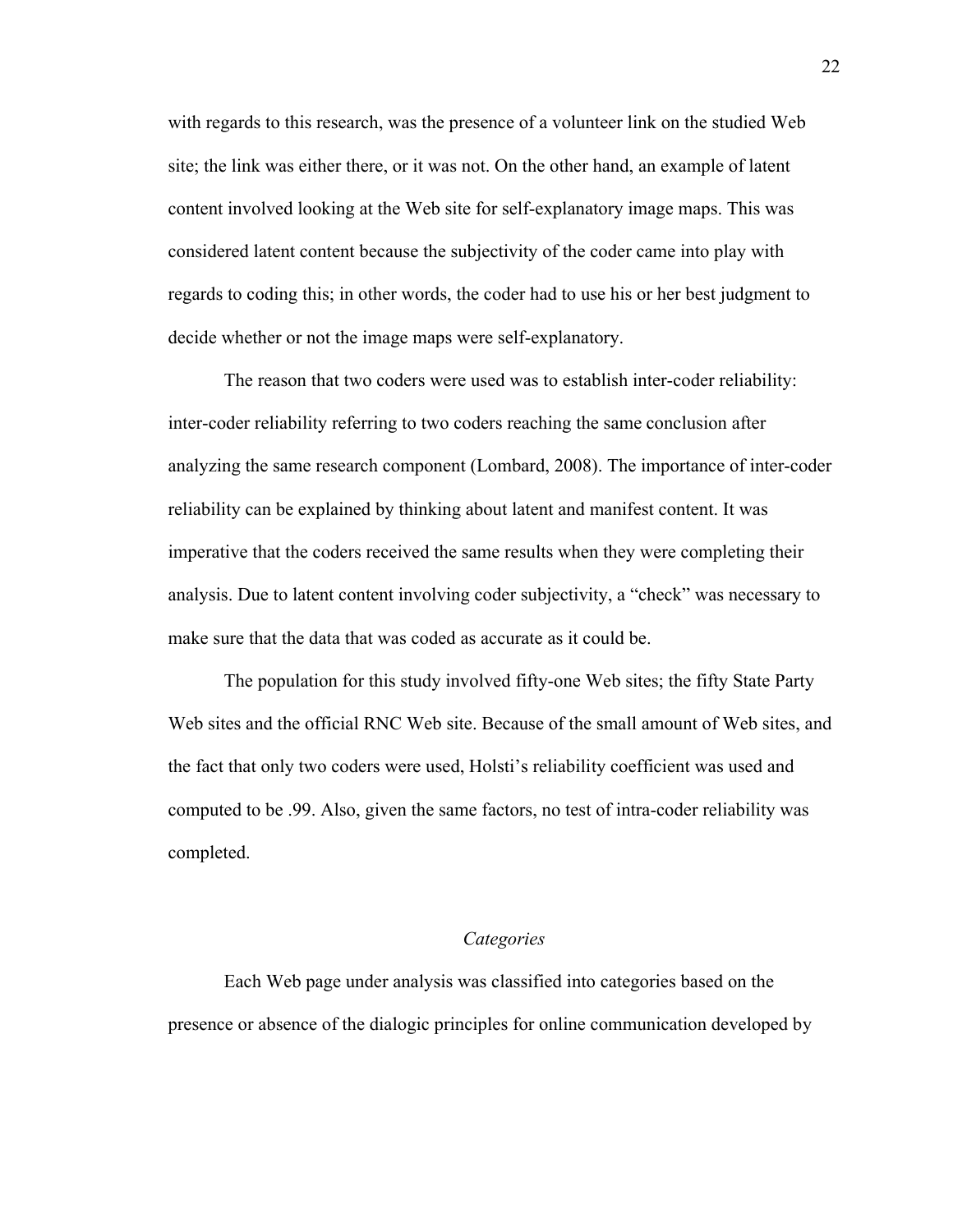with regards to this research, was the presence of a volunteer link on the studied Web site; the link was either there, or it was not. On the other hand, an example of latent content involved looking at the Web site for self-explanatory image maps. This was considered latent content because the subjectivity of the coder came into play with regards to coding this; in other words, the coder had to use his or her best judgment to decide whether or not the image maps were self-explanatory.

The reason that two coders were used was to establish inter-coder reliability: inter-coder reliability referring to two coders reaching the same conclusion after analyzing the same research component (Lombard, 2008). The importance of inter-coder reliability can be explained by thinking about latent and manifest content. It was imperative that the coders received the same results when they were completing their analysis. Due to latent content involving coder subjectivity, a "check" was necessary to make sure that the data that was coded as accurate as it could be.

The population for this study involved fifty-one Web sites; the fifty State Party Web sites and the official RNC Web site. Because of the small amount of Web sites, and the fact that only two coders were used, Holsti's reliability coefficient was used and computed to be .99. Also, given the same factors, no test of intra-coder reliability was completed.

#### *Categories*

Each Web page under analysis was classified into categories based on the presence or absence of the dialogic principles for online communication developed by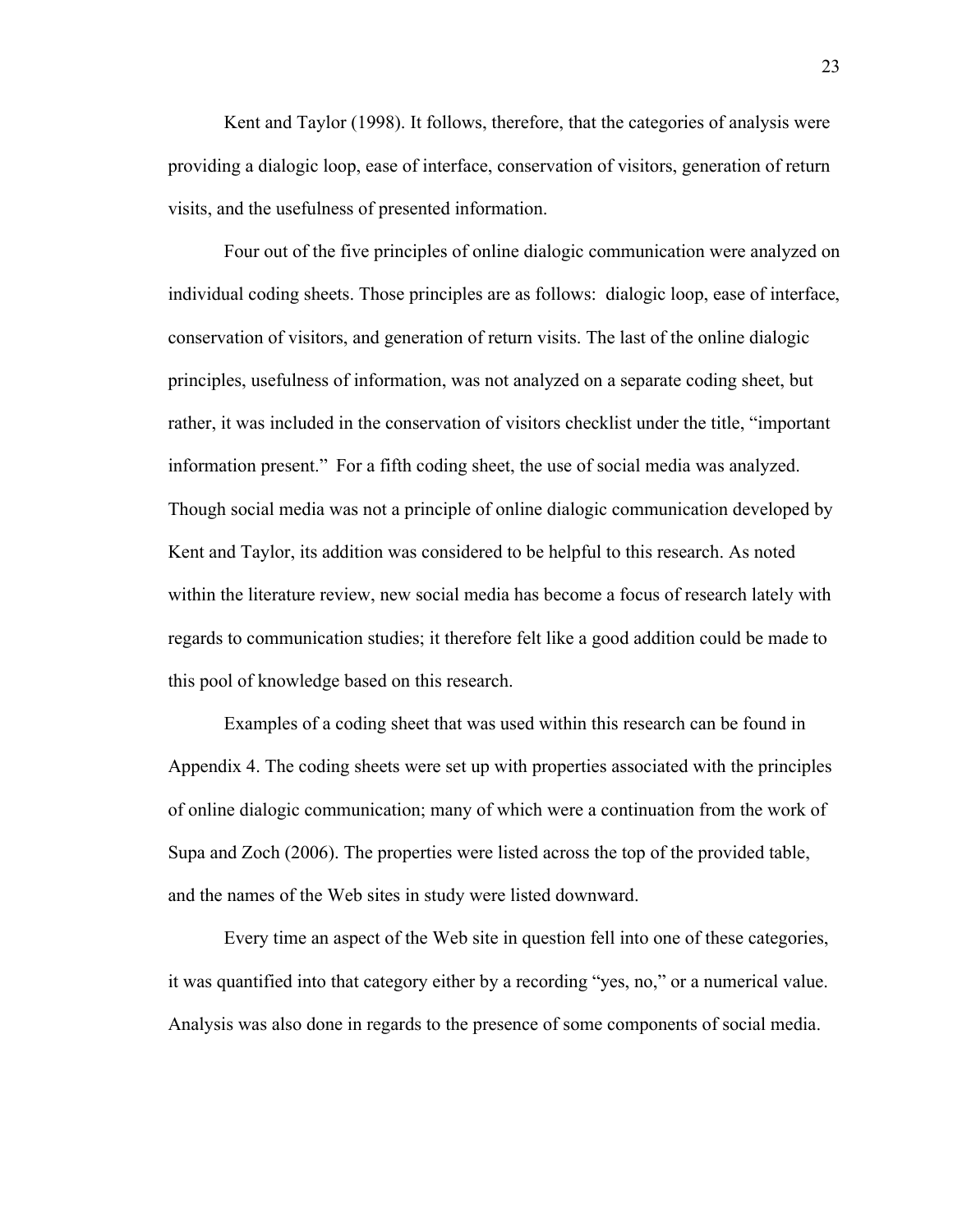Kent and Taylor (1998). It follows, therefore, that the categories of analysis were providing a dialogic loop, ease of interface, conservation of visitors, generation of return visits, and the usefulness of presented information.

Four out of the five principles of online dialogic communication were analyzed on individual coding sheets. Those principles are as follows: dialogic loop, ease of interface, conservation of visitors, and generation of return visits. The last of the online dialogic principles, usefulness of information, was not analyzed on a separate coding sheet, but rather, it was included in the conservation of visitors checklist under the title, "important information present." For a fifth coding sheet, the use of social media was analyzed. Though social media was not a principle of online dialogic communication developed by Kent and Taylor, its addition was considered to be helpful to this research. As noted within the literature review, new social media has become a focus of research lately with regards to communication studies; it therefore felt like a good addition could be made to this pool of knowledge based on this research.

Examples of a coding sheet that was used within this research can be found in Appendix 4. The coding sheets were set up with properties associated with the principles of online dialogic communication; many of which were a continuation from the work of Supa and Zoch (2006). The properties were listed across the top of the provided table, and the names of the Web sites in study were listed downward.

Every time an aspect of the Web site in question fell into one of these categories, it was quantified into that category either by a recording "yes, no," or a numerical value. Analysis was also done in regards to the presence of some components of social media.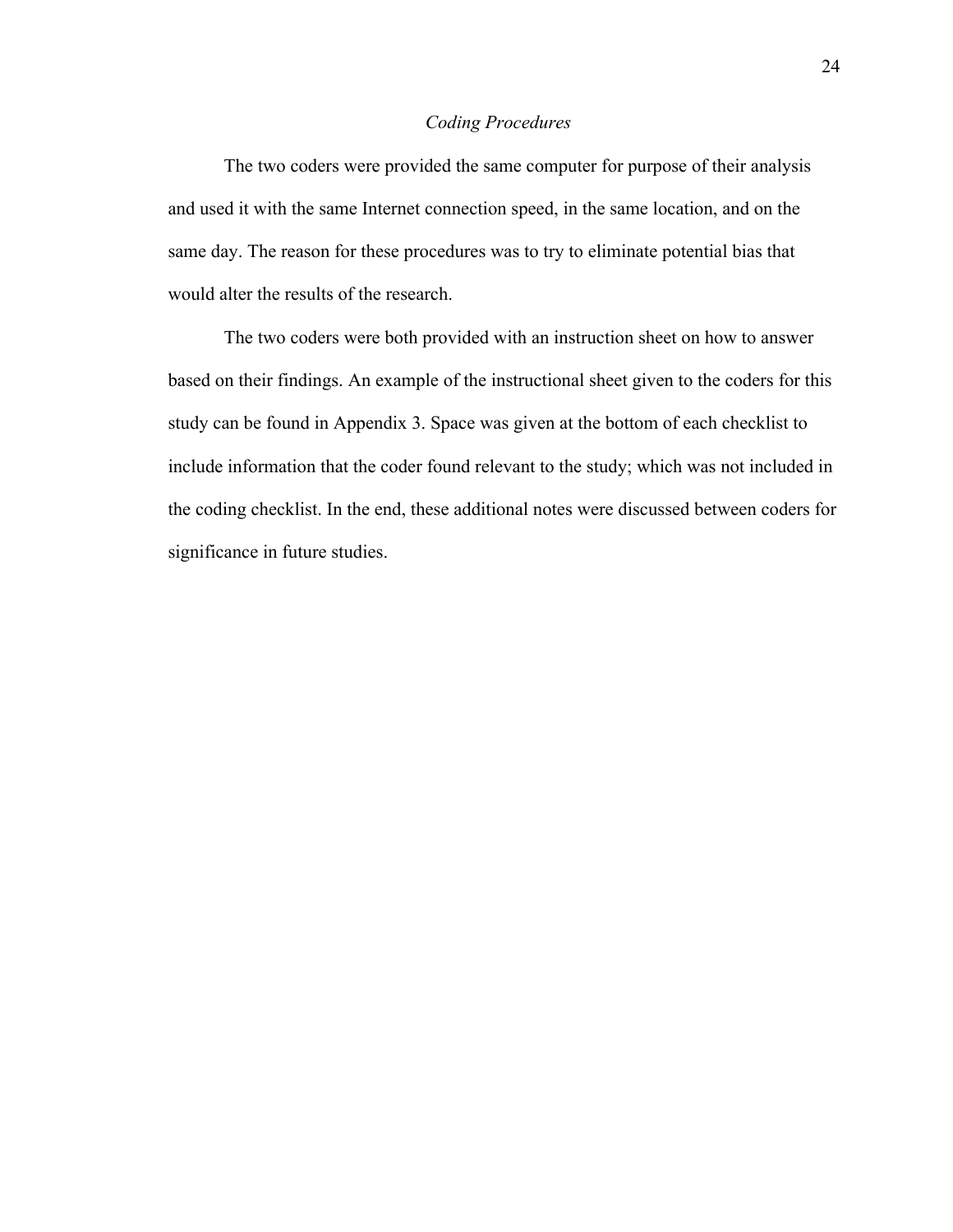#### *Coding Procedures*

The two coders were provided the same computer for purpose of their analysis and used it with the same Internet connection speed, in the same location, and on the same day. The reason for these procedures was to try to eliminate potential bias that would alter the results of the research.

The two coders were both provided with an instruction sheet on how to answer based on their findings. An example of the instructional sheet given to the coders for this study can be found in Appendix 3. Space was given at the bottom of each checklist to include information that the coder found relevant to the study; which was not included in the coding checklist. In the end, these additional notes were discussed between coders for significance in future studies.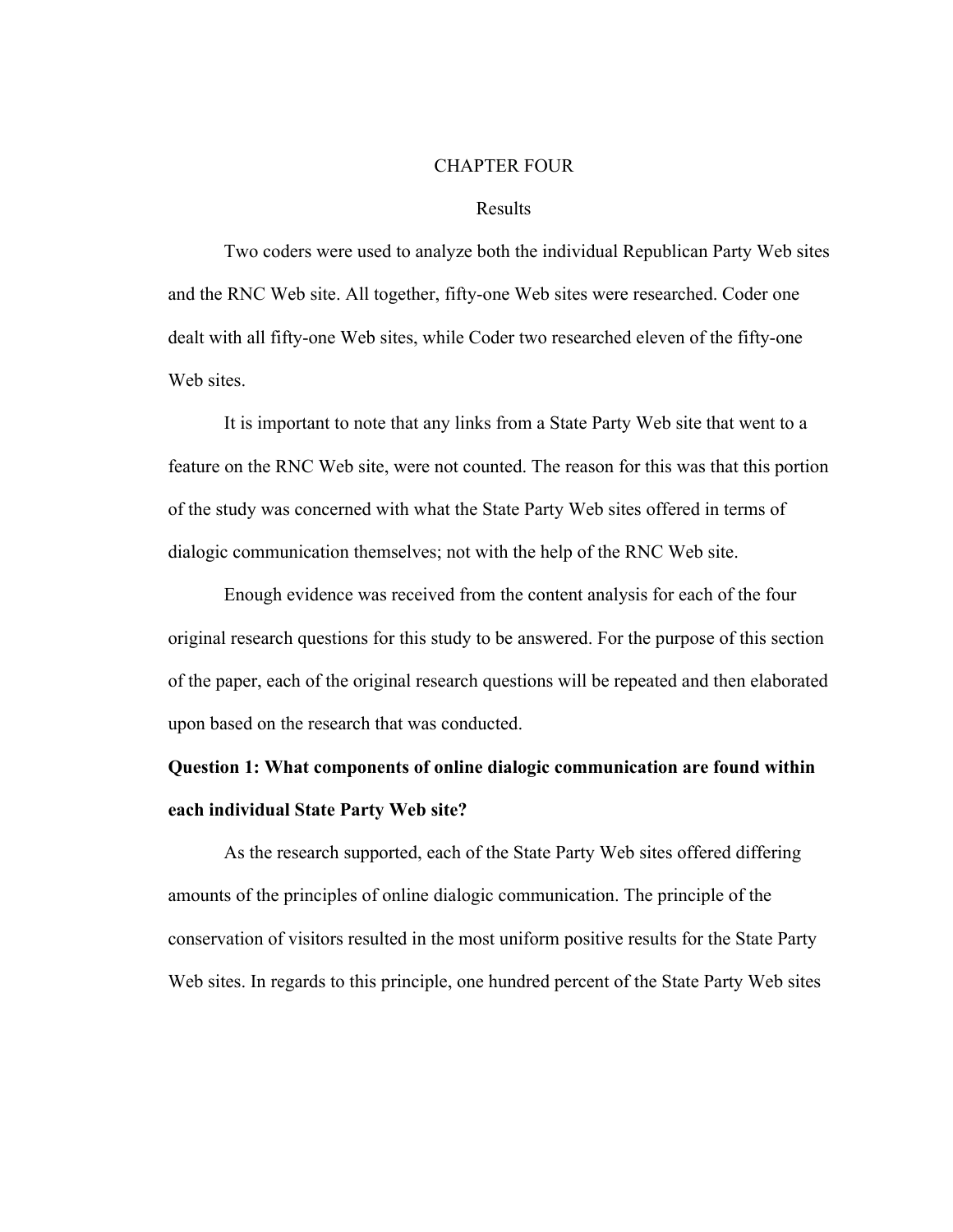#### CHAPTER FOUR

#### Results

Two coders were used to analyze both the individual Republican Party Web sites and the RNC Web site. All together, fifty-one Web sites were researched. Coder one dealt with all fifty-one Web sites, while Coder two researched eleven of the fifty-one Web sites.

It is important to note that any links from a State Party Web site that went to a feature on the RNC Web site, were not counted. The reason for this was that this portion of the study was concerned with what the State Party Web sites offered in terms of dialogic communication themselves; not with the help of the RNC Web site.

Enough evidence was received from the content analysis for each of the four original research questions for this study to be answered. For the purpose of this section of the paper, each of the original research questions will be repeated and then elaborated upon based on the research that was conducted.

# **Question 1: What components of online dialogic communication are found within each individual State Party Web site?**

As the research supported, each of the State Party Web sites offered differing amounts of the principles of online dialogic communication. The principle of the conservation of visitors resulted in the most uniform positive results for the State Party Web sites. In regards to this principle, one hundred percent of the State Party Web sites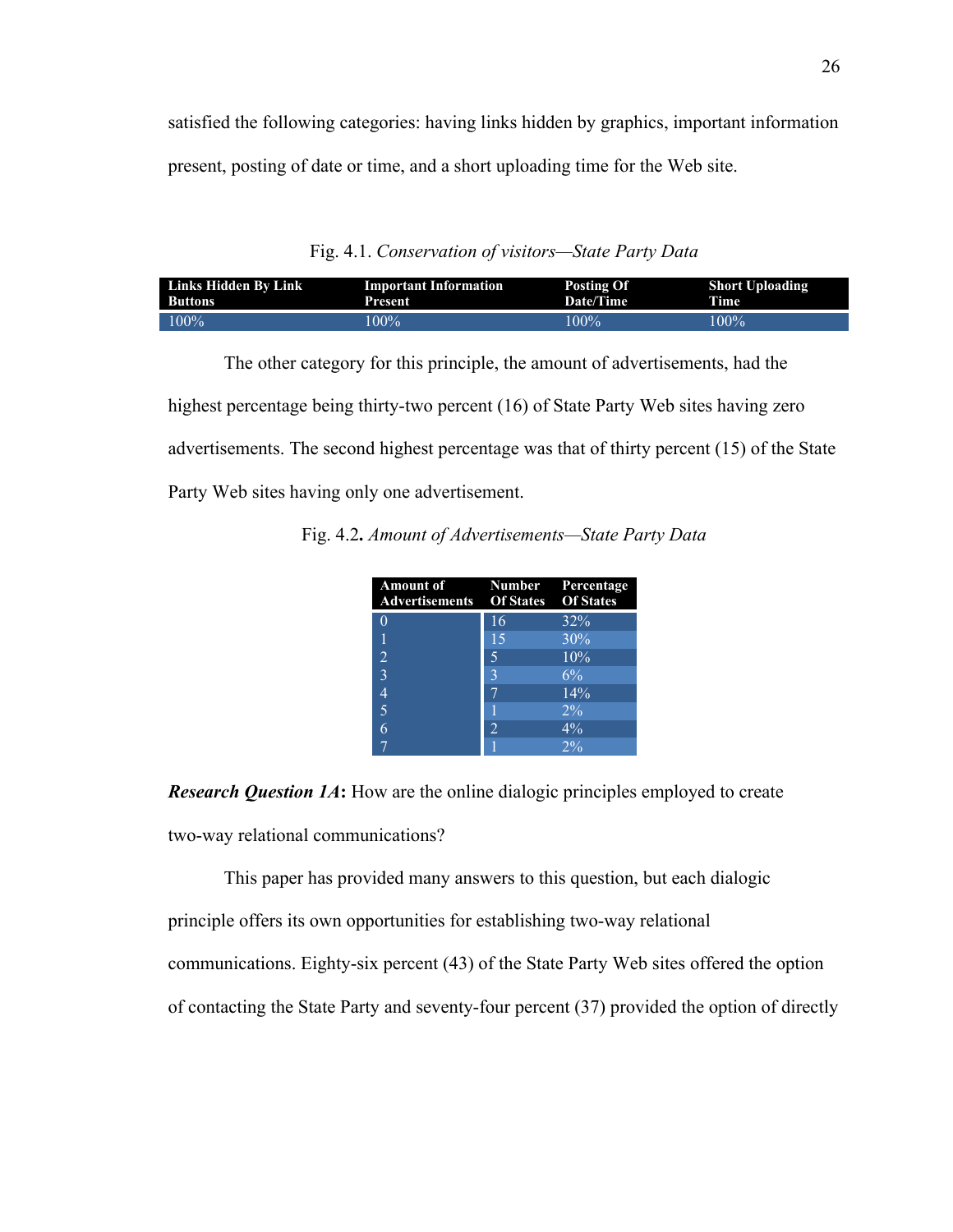satisfied the following categories: having links hidden by graphics, important information present, posting of date or time, and a short uploading time for the Web site.

Fig. 4.1. *Conservation of visitors—State Party Data*

| Links Hidden By Link | <b>Important Information</b> | <b>Posting Of</b> | <b>Short Uploading</b> |
|----------------------|------------------------------|-------------------|------------------------|
| <b>Buttons</b>       | <b>Present</b>               | Date/Time         | Time                   |
| $100\%$              | $100\%$                      | $100\%$           | $100\%$                |

The other category for this principle, the amount of advertisements, had the highest percentage being thirty-two percent (16) of State Party Web sites having zero advertisements. The second highest percentage was that of thirty percent (15) of the State Party Web sites having only one advertisement.

| <b>Amount of</b><br>Advertisements Of States Of States |                          | Number Percentage |
|--------------------------------------------------------|--------------------------|-------------------|
|                                                        | 16                       | 32%               |
|                                                        | 15                       | 30%               |
| $\overline{2}$                                         | $\overline{\mathcal{L}}$ | 10%               |
| $\overline{3}$                                         | 3                        | $6\%$             |
|                                                        |                          | 14%               |
| $\overline{\mathbf{5}}$                                |                          | $2\%$             |
|                                                        | $\overline{2}$           | $4\%$             |
|                                                        |                          | $2\%$             |

Fig. 4.2**.** *Amount of Advertisements—State Party Data*

*Research Question 1A***:** How are the online dialogic principles employed to create two-way relational communications?

This paper has provided many answers to this question, but each dialogic

principle offers its own opportunities for establishing two-way relational

communications. Eighty-six percent (43) of the State Party Web sites offered the option

of contacting the State Party and seventy-four percent (37) provided the option of directly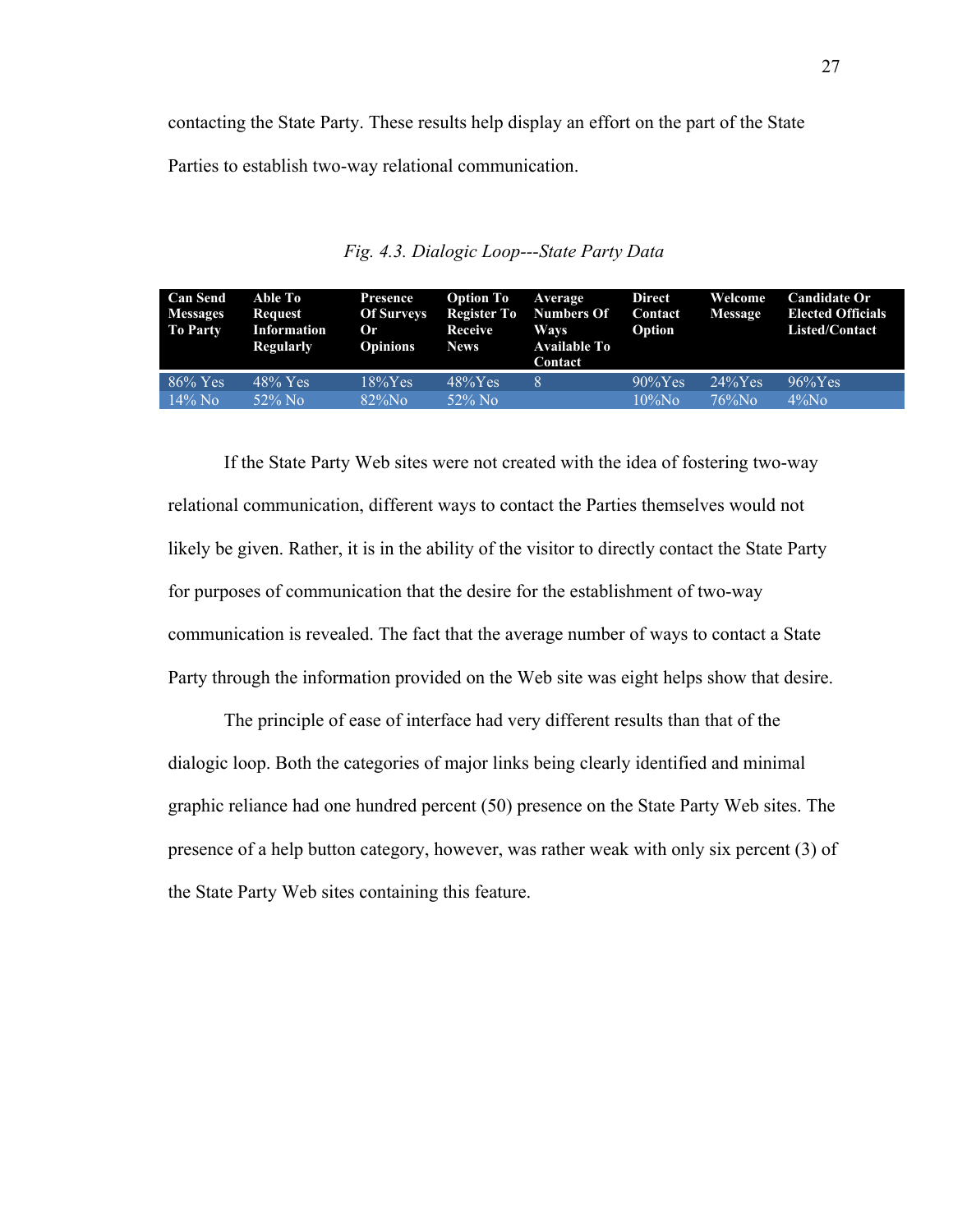contacting the State Party. These results help display an effort on the part of the State Parties to establish two-way relational communication.

| <b>Can Send</b><br><b>Messages</b><br><b>To Party</b> | Able To<br><b>Request</b><br><b>Information</b><br>Regularly | Presence<br><b>Of Surveys</b><br>0r<br><b>Opinions</b> | <b>Option To</b><br>Receive<br><b>News</b> | Average<br><b>Register To</b> Numbers Of<br>Ways<br><b>Available To</b><br>Contact | <b>Direct</b><br>Contact<br>Option | Welcome<br>Message | <b>Candidate Or</b><br><b>Elected Officials</b><br>Listed/Contact |
|-------------------------------------------------------|--------------------------------------------------------------|--------------------------------------------------------|--------------------------------------------|------------------------------------------------------------------------------------|------------------------------------|--------------------|-------------------------------------------------------------------|
| $86\%$ Yes                                            | $48\%$ Yes                                                   | 18%Yes                                                 | $48\%$ Yes                                 |                                                                                    | $90\%$ Yes                         | $24\%$ Yes         | $96\%$ Yes                                                        |
| $14\%$ No                                             | $52\%$ No                                                    | $82\%$ No                                              | $52\%$ No                                  |                                                                                    | $10\%$ No                          | 76%No              | $4\%$ No                                                          |

*Fig. 4.3. Dialogic Loop---State Party Data* 

If the State Party Web sites were not created with the idea of fostering two-way relational communication, different ways to contact the Parties themselves would not likely be given. Rather, it is in the ability of the visitor to directly contact the State Party for purposes of communication that the desire for the establishment of two-way communication is revealed. The fact that the average number of ways to contact a State Party through the information provided on the Web site was eight helps show that desire.

The principle of ease of interface had very different results than that of the dialogic loop. Both the categories of major links being clearly identified and minimal graphic reliance had one hundred percent (50) presence on the State Party Web sites. The presence of a help button category, however, was rather weak with only six percent (3) of the State Party Web sites containing this feature.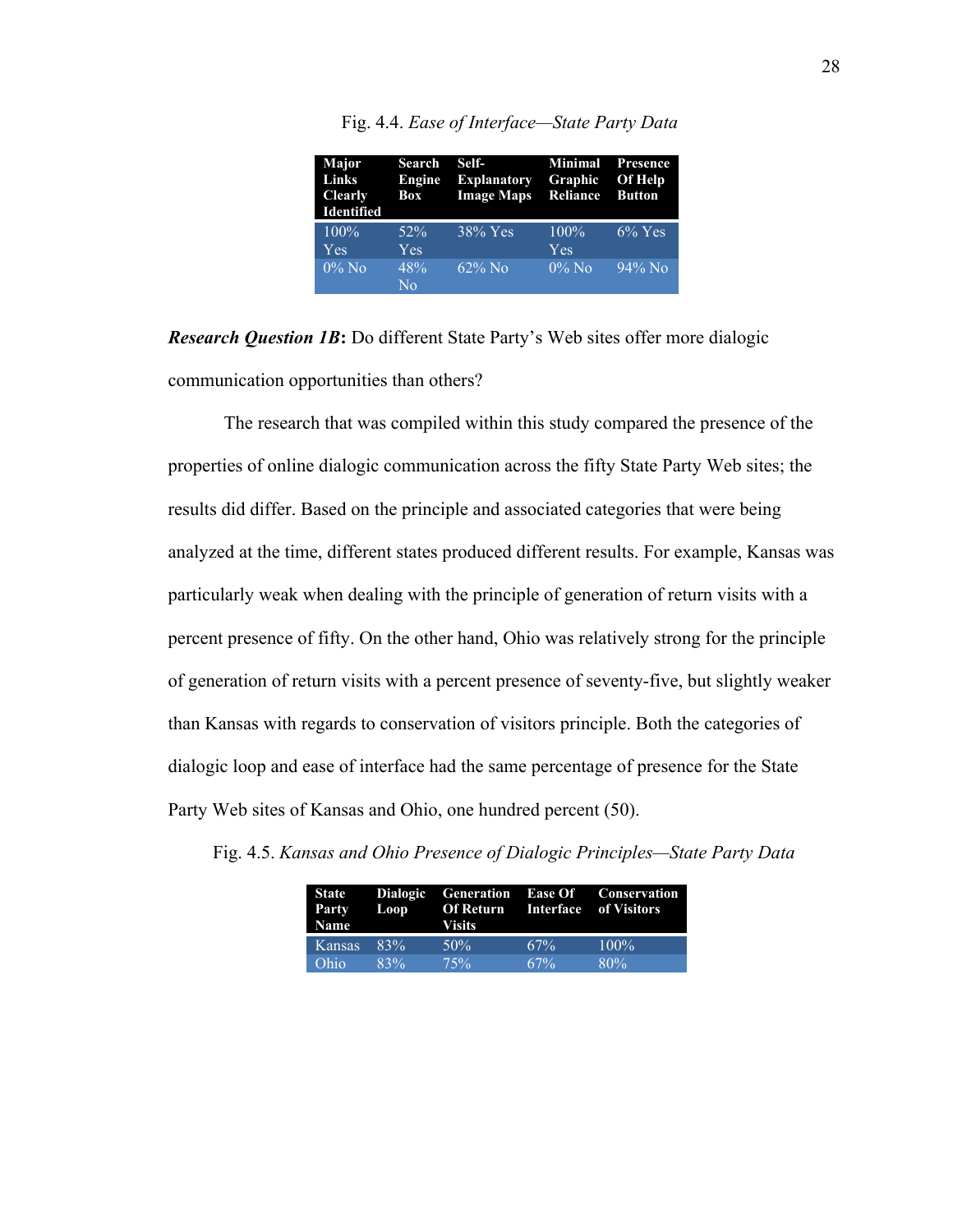| <b>Major</b><br>Links<br><b>Clearly</b><br><b>Identified</b> | Search<br><b>Engine</b><br>Box | Self-<br><b>Explanatory</b><br><b>Image Maps</b> | <b>Graphic</b><br><b>Reliance Button</b> | <b>Minimal</b> Presence<br>Of Help |
|--------------------------------------------------------------|--------------------------------|--------------------------------------------------|------------------------------------------|------------------------------------|
| 100%<br><b>Yes</b>                                           | 52%<br>Yes                     | 38% Yes                                          | $100\%$<br>Yes                           | $6\%$ Yes                          |
| $0\%$ No                                                     | 48%<br>No                      | $62\%$ No                                        | $0\%$ No                                 | $94\%$ No                          |

Fig. 4.4. *Ease of Interface—State Party Data*

*Research Question 1B***:** Do different State Party's Web sites offer more dialogic communication opportunities than others?

The research that was compiled within this study compared the presence of the properties of online dialogic communication across the fifty State Party Web sites; the results did differ. Based on the principle and associated categories that were being analyzed at the time, different states produced different results. For example, Kansas was particularly weak when dealing with the principle of generation of return visits with a percent presence of fifty. On the other hand, Ohio was relatively strong for the principle of generation of return visits with a percent presence of seventy-five, but slightly weaker than Kansas with regards to conservation of visitors principle. Both the categories of dialogic loop and ease of interface had the same percentage of presence for the State Party Web sites of Kansas and Ohio, one hundred percent (50).

| Party<br><b>Name</b> | Loop | <b>Of Return</b> Interface of Visitors<br><b>Visits</b> |        | State Dialogic Generation Ease Of Conservation |
|----------------------|------|---------------------------------------------------------|--------|------------------------------------------------|
| <b>Kansas</b>        | 83%  | 50%                                                     | $67\%$ | $100\%$                                        |
| Ohio                 | 83%  | 75%                                                     | $67\%$ | 80%                                            |

Fig. 4.5. *Kansas and Ohio Presence of Dialogic Principles—State Party Data*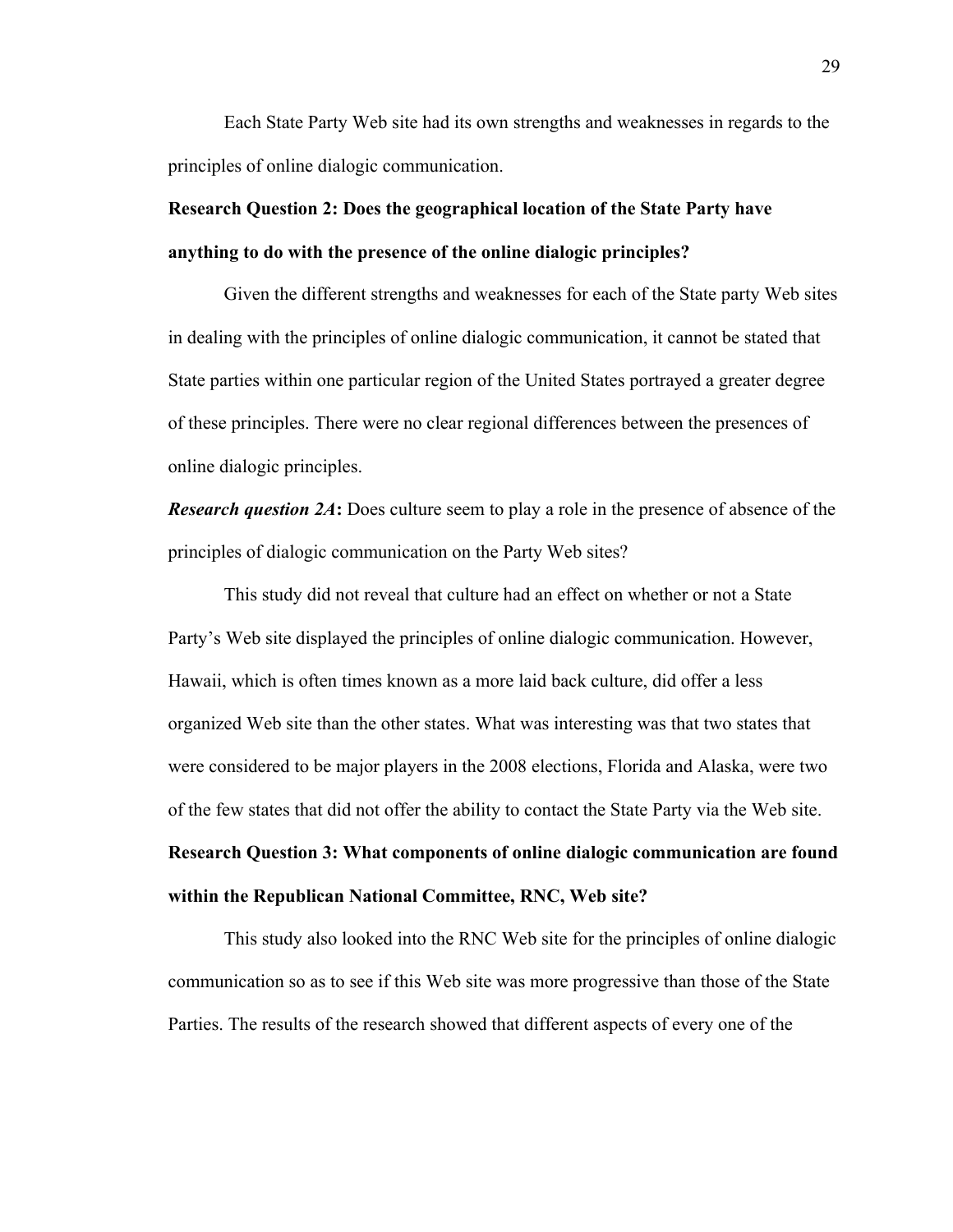Each State Party Web site had its own strengths and weaknesses in regards to the principles of online dialogic communication.

# **Research Question 2: Does the geographical location of the State Party have anything to do with the presence of the online dialogic principles?**

Given the different strengths and weaknesses for each of the State party Web sites in dealing with the principles of online dialogic communication, it cannot be stated that State parties within one particular region of the United States portrayed a greater degree of these principles. There were no clear regional differences between the presences of online dialogic principles.

*Research question 2A*: Does culture seem to play a role in the presence of absence of the principles of dialogic communication on the Party Web sites?

This study did not reveal that culture had an effect on whether or not a State Party's Web site displayed the principles of online dialogic communication. However, Hawaii, which is often times known as a more laid back culture, did offer a less organized Web site than the other states. What was interesting was that two states that were considered to be major players in the 2008 elections, Florida and Alaska, were two of the few states that did not offer the ability to contact the State Party via the Web site. **Research Question 3: What components of online dialogic communication are found within the Republican National Committee, RNC, Web site?**

This study also looked into the RNC Web site for the principles of online dialogic communication so as to see if this Web site was more progressive than those of the State Parties. The results of the research showed that different aspects of every one of the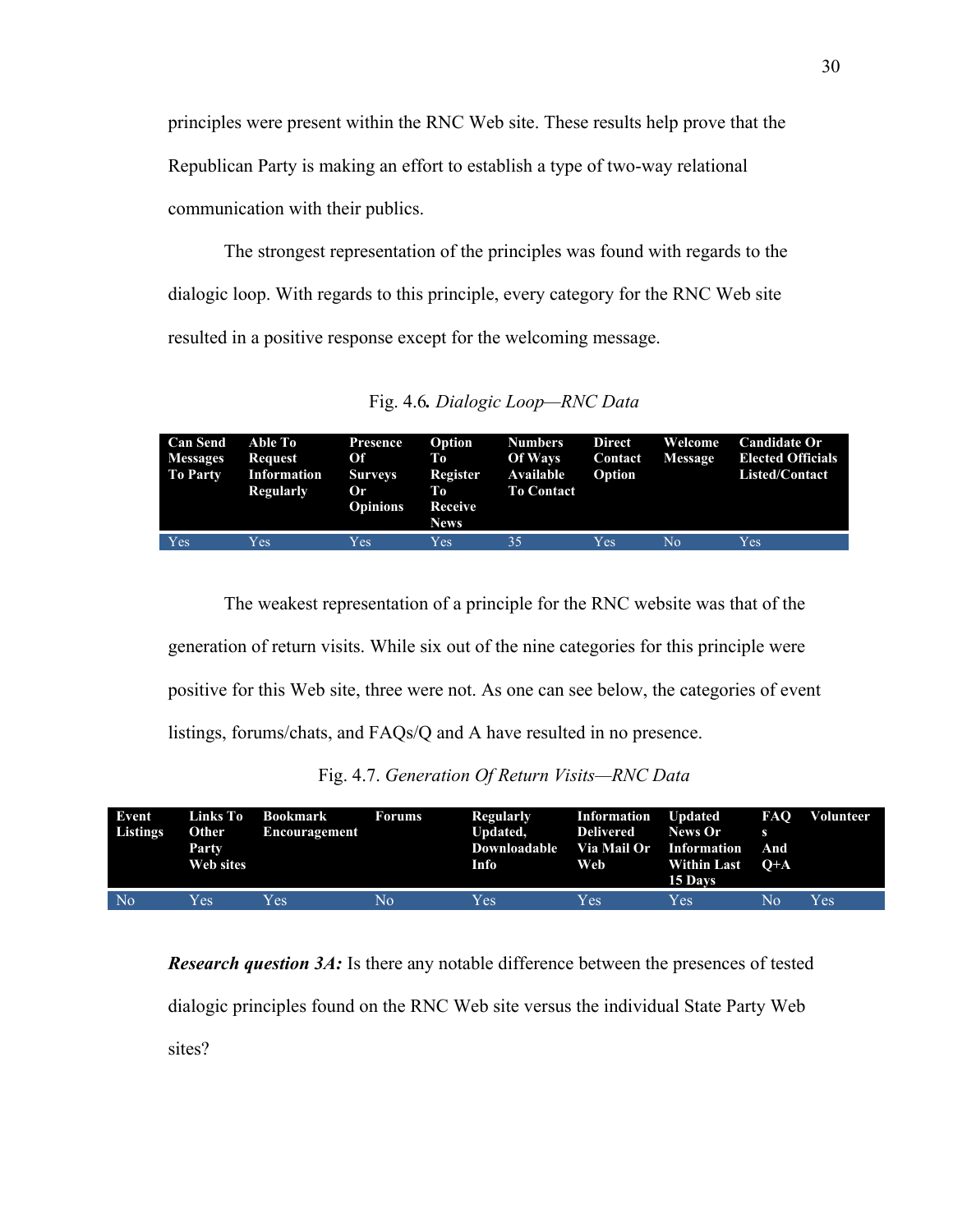principles were present within the RNC Web site. These results help prove that the Republican Party is making an effort to establish a type of two-way relational communication with their publics.

The strongest representation of the principles was found with regards to the dialogic loop. With regards to this principle, every category for the RNC Web site resulted in a positive response except for the welcoming message.

| <b>Can Send</b><br><b>Messages</b><br><b>To Party</b> | Able To<br><b>Request</b><br><b>Information</b><br><b>Regularly</b> | <b>Presence</b><br>Of<br><b>Surveys</b><br>0r<br><b>Opinions</b> | Option<br>Тo<br>Register<br>Tо<br>Receive<br><b>News</b> | <b>Numbers</b><br><b>Of Ways</b><br>Available<br><b>To Contact</b> | <b>Direct</b><br>Contact<br>Option | <b>Welcome</b><br>Message | <b>Candidate Or</b><br><b>Elected Officials</b><br>Listed/Contact |
|-------------------------------------------------------|---------------------------------------------------------------------|------------------------------------------------------------------|----------------------------------------------------------|--------------------------------------------------------------------|------------------------------------|---------------------------|-------------------------------------------------------------------|
| Yes                                                   | Yes                                                                 | Yes.                                                             | Yes                                                      | 35                                                                 | Yes                                | No                        | Yes                                                               |

Fig. 4.6*. Dialogic Loop—RNC Data*

The weakest representation of a principle for the RNC website was that of the generation of return visits. While six out of the nine categories for this principle were positive for this Web site, three were not. As one can see below, the categories of event listings, forums/chats, and FAQs/Q and A have resulted in no presence.

| Event<br>Listings | <b>Links To</b><br>Other<br>Party<br>Web sites | <b>Bookmark</b><br><b>Encouragement</b> | <b>Forums</b> | Regularly<br>Updated,<br>Downloadable<br>Info | <b>Information</b><br>Delivered<br>Via Mail Or<br>Web | Updated<br>News Or<br><b>Information</b><br><b>Within Last</b><br>15 Days | <b>FAO</b><br>S<br>And<br>$O+A$ | <b>Volunteer</b> |
|-------------------|------------------------------------------------|-----------------------------------------|---------------|-----------------------------------------------|-------------------------------------------------------|---------------------------------------------------------------------------|---------------------------------|------------------|
| N <sub>o</sub>    | Yes                                            | Yes                                     | No            | Yes                                           | Yes                                                   | Yes                                                                       | No                              | Yes              |

Fig. 4.7. *Generation Of Return Visits—RNC Data*

*Research question 3A:* Is there any notable difference between the presences of tested dialogic principles found on the RNC Web site versus the individual State Party Web sites?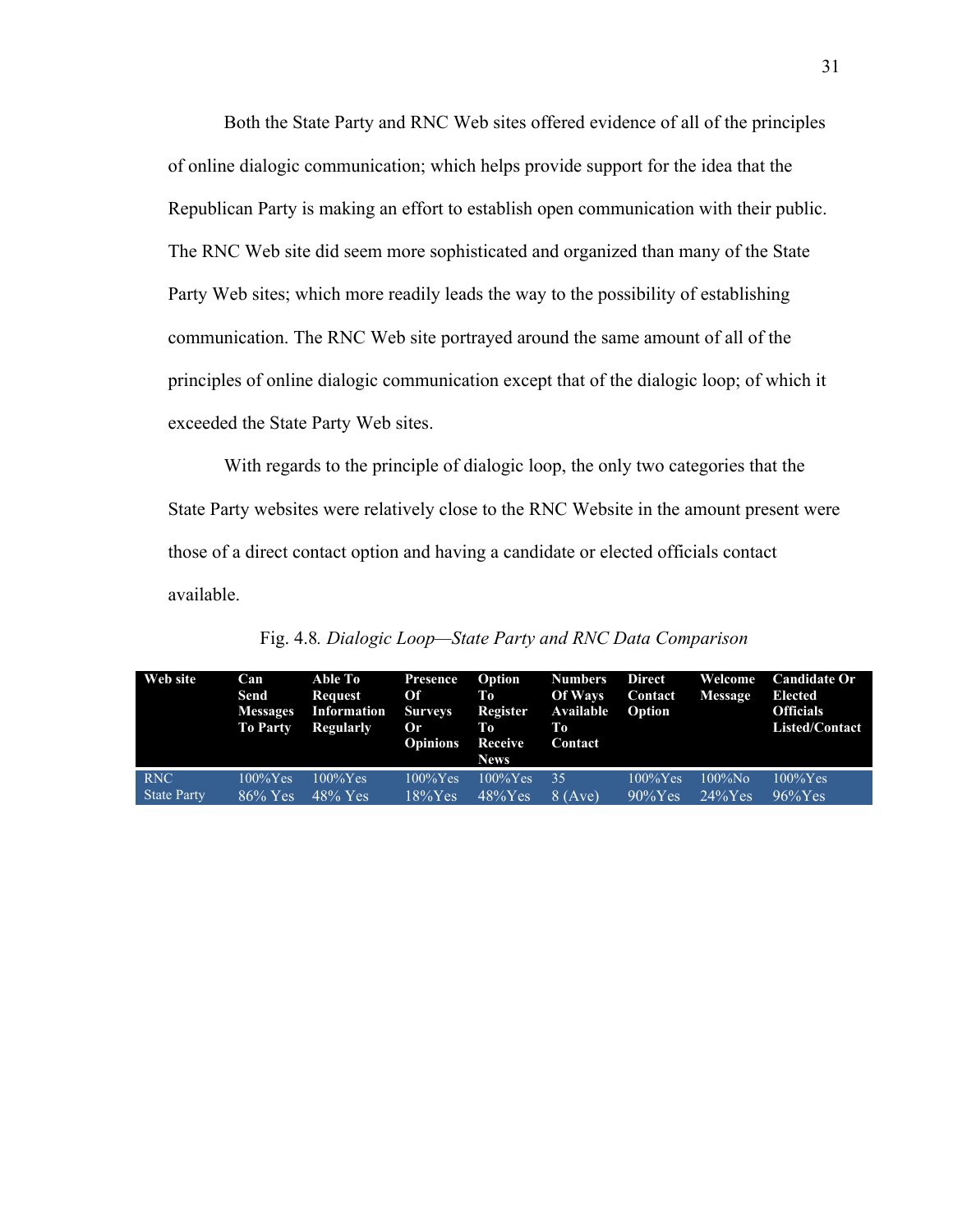Both the State Party and RNC Web sites offered evidence of all of the principles of online dialogic communication; which helps provide support for the idea that the Republican Party is making an effort to establish open communication with their public. The RNC Web site did seem more sophisticated and organized than many of the State Party Web sites; which more readily leads the way to the possibility of establishing communication. The RNC Web site portrayed around the same amount of all of the principles of online dialogic communication except that of the dialogic loop; of which it exceeded the State Party Web sites.

With regards to the principle of dialogic loop, the only two categories that the State Party websites were relatively close to the RNC Website in the amount present were those of a direct contact option and having a candidate or elected officials contact available.

| Web site   | Can<br><b>Send</b><br><b>Messages</b><br><b>To Party</b> | Able To<br><b>Request</b><br><b>Information</b><br><b>Regularly</b> | Presence<br>Of<br>Surveys<br><b>Or</b><br><b>Opinions</b> | Option<br>Tо<br>Register<br>Tо<br><b>Receive</b> | <b>Numbers</b><br><b>Of Ways</b><br>Available<br>Тo<br>Contact | <b>Direct</b><br>Contact<br>Option | Welcome<br>Message | <b>Candidate Or</b><br><b>Elected</b><br><b>Officials</b><br>Listed/Contact |
|------------|----------------------------------------------------------|---------------------------------------------------------------------|-----------------------------------------------------------|--------------------------------------------------|----------------------------------------------------------------|------------------------------------|--------------------|-----------------------------------------------------------------------------|
|            |                                                          |                                                                     |                                                           | <b>News</b>                                      |                                                                |                                    |                    |                                                                             |
| <b>RNC</b> | $100\%$ Yes                                              | $100\%$ Yes                                                         | $100\%$ Yes                                               | $100\%$ Yes                                      | 35                                                             | $100\%$ Yes                        | $100\%$ No         | $100\%$ Yes                                                                 |

Fig. 4.8*. Dialogic Loop—State Party and RNC Data Comparison*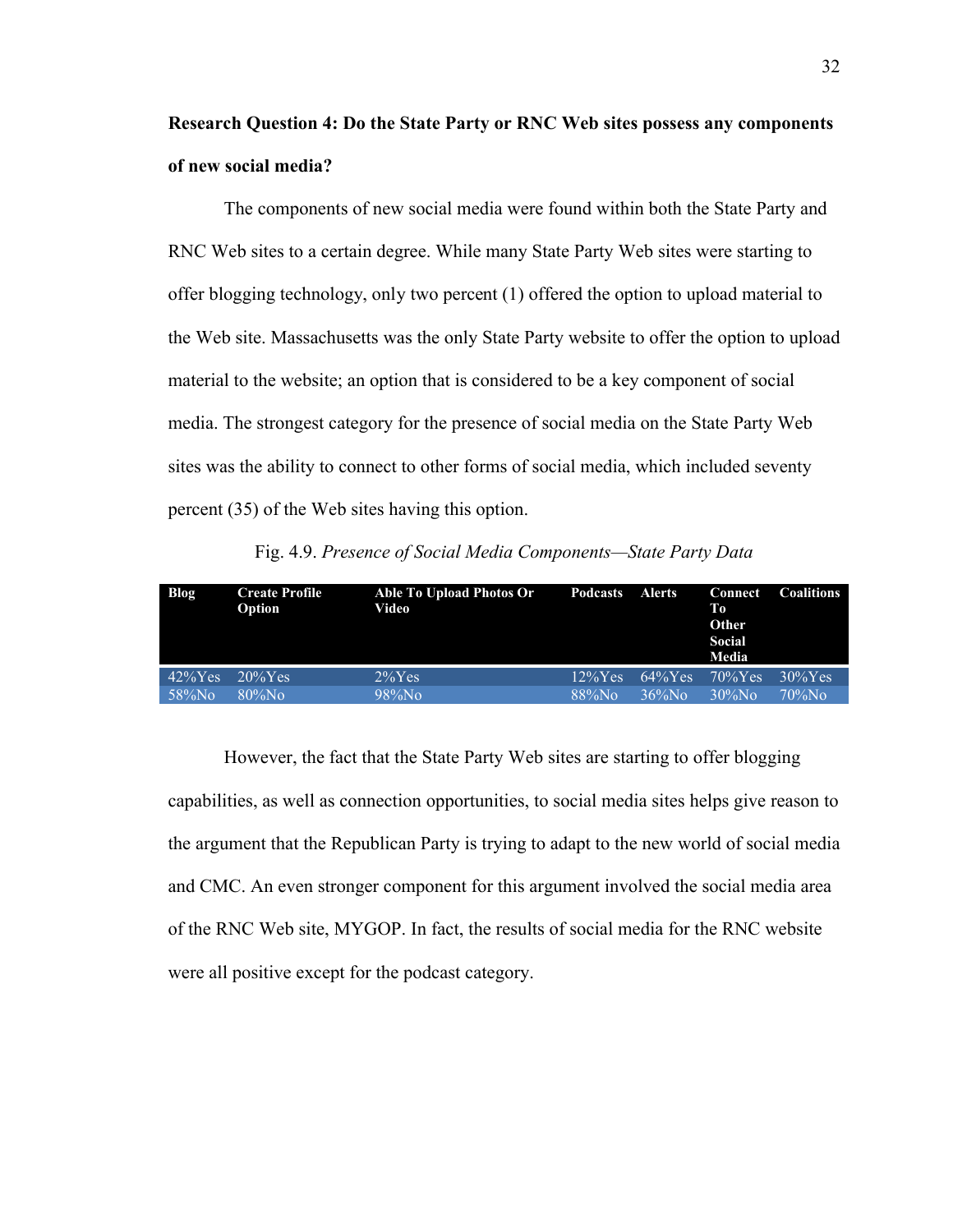# **Research Question 4: Do the State Party or RNC Web sites possess any components of new social media?**

The components of new social media were found within both the State Party and RNC Web sites to a certain degree. While many State Party Web sites were starting to offer blogging technology, only two percent (1) offered the option to upload material to the Web site. Massachusetts was the only State Party website to offer the option to upload material to the website; an option that is considered to be a key component of social media. The strongest category for the presence of social media on the State Party Web sites was the ability to connect to other forms of social media, which included seventy percent (35) of the Web sites having this option.

| Blog       | <b>Create Profile</b><br>Option | Able To Upload Photos Or<br>Video | <b>Podcasts</b> | <b>Alerts</b> | Connect<br>Tо<br>Other<br>Social<br>Media | <b>Coalitions</b> |
|------------|---------------------------------|-----------------------------------|-----------------|---------------|-------------------------------------------|-------------------|
| $42\%$ Yes | $20\%$ Yes                      | $2\%$ Yes                         | $12\%$ Yes      | $64\%$ Yes    | $70\%$ Yes                                | $30\%$ Yes        |
| 58%No      | $80\%$ No                       | 98%No                             | $88\%$ No       | $36\%$ No     | $30\%$ No                                 | $70\%$ No         |

Fig. 4.9. *Presence of Social Media Components—State Party Data*

However, the fact that the State Party Web sites are starting to offer blogging capabilities, as well as connection opportunities, to social media sites helps give reason to the argument that the Republican Party is trying to adapt to the new world of social media and CMC. An even stronger component for this argument involved the social media area of the RNC Web site, MYGOP. In fact, the results of social media for the RNC website were all positive except for the podcast category.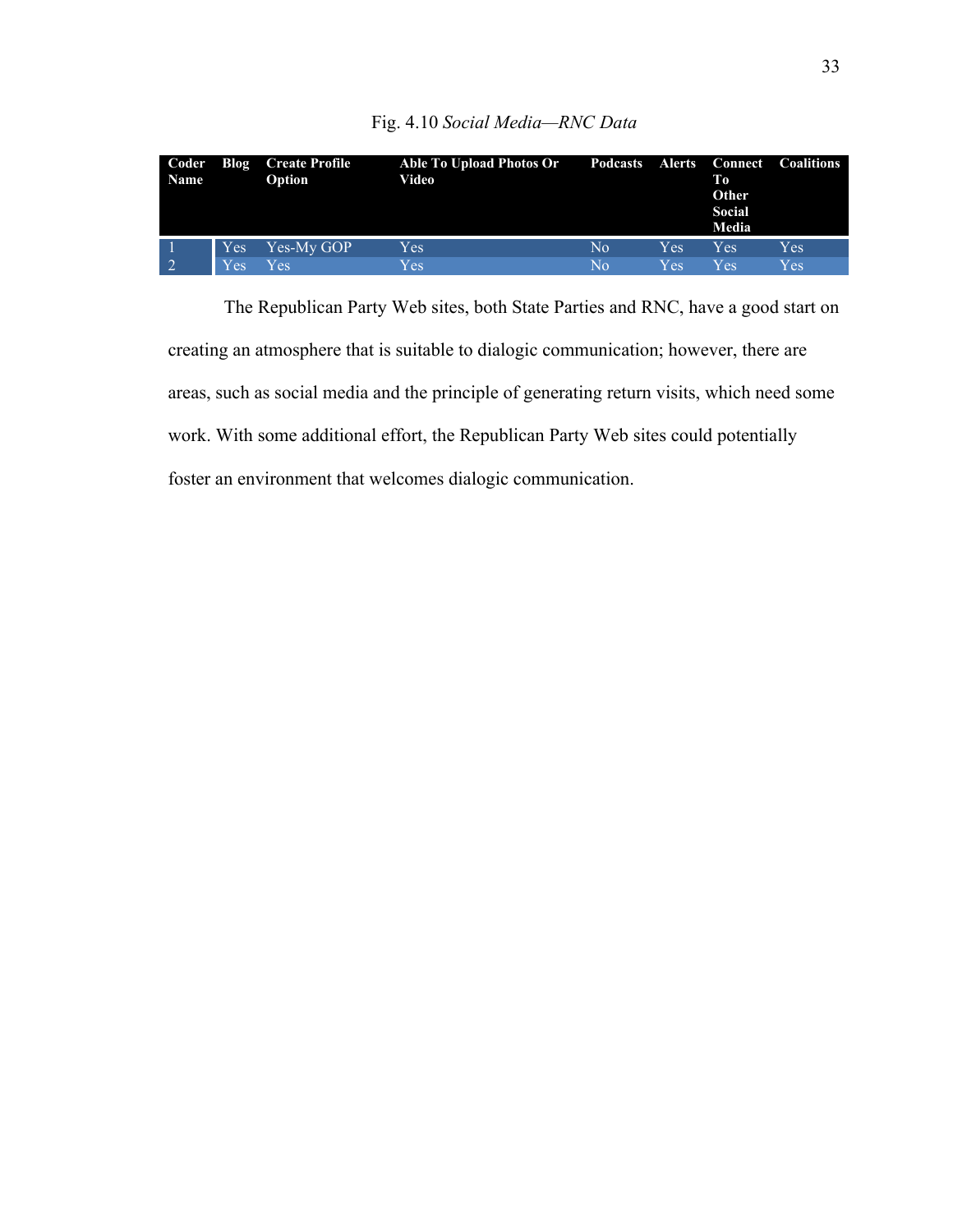| Name           |     | Coder Blog Create Profile<br>Option | Able To Upload Photos Or<br>Video |    |     | Podcasts Alerts Connect<br><b>To</b><br>Other<br>Social<br>Media | <b>Coalitions</b> |
|----------------|-----|-------------------------------------|-----------------------------------|----|-----|------------------------------------------------------------------|-------------------|
|                | Yes | Yes-My GOP                          | Yes                               | No | Yes | Yes                                                              | Yes               |
| $\overline{2}$ | Yes | Yes                                 | Yes                               | No | Yes | Yes                                                              | Yes               |

Fig. 4.10 *Social Media—RNC Data*

The Republican Party Web sites, both State Parties and RNC, have a good start on creating an atmosphere that is suitable to dialogic communication; however, there are areas, such as social media and the principle of generating return visits, which need some work. With some additional effort, the Republican Party Web sites could potentially foster an environment that welcomes dialogic communication.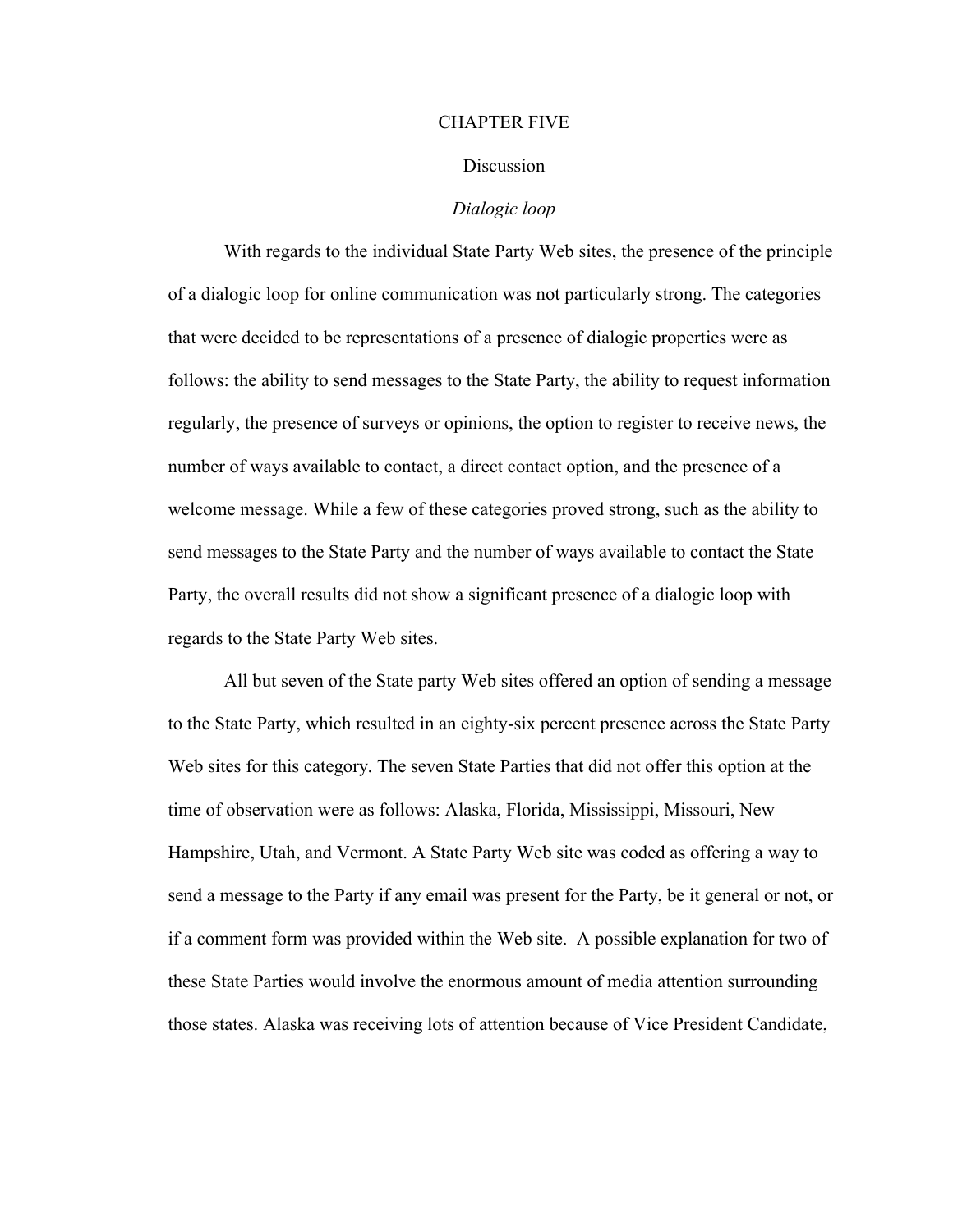#### CHAPTER FIVE

#### **Discussion**

## *Dialogic loop*

With regards to the individual State Party Web sites, the presence of the principle of a dialogic loop for online communication was not particularly strong. The categories that were decided to be representations of a presence of dialogic properties were as follows: the ability to send messages to the State Party, the ability to request information regularly, the presence of surveys or opinions, the option to register to receive news, the number of ways available to contact, a direct contact option, and the presence of a welcome message. While a few of these categories proved strong, such as the ability to send messages to the State Party and the number of ways available to contact the State Party, the overall results did not show a significant presence of a dialogic loop with regards to the State Party Web sites.

All but seven of the State party Web sites offered an option of sending a message to the State Party, which resulted in an eighty-six percent presence across the State Party Web sites for this category. The seven State Parties that did not offer this option at the time of observation were as follows: Alaska, Florida, Mississippi, Missouri, New Hampshire, Utah, and Vermont. A State Party Web site was coded as offering a way to send a message to the Party if any email was present for the Party, be it general or not, or if a comment form was provided within the Web site. A possible explanation for two of these State Parties would involve the enormous amount of media attention surrounding those states. Alaska was receiving lots of attention because of Vice President Candidate,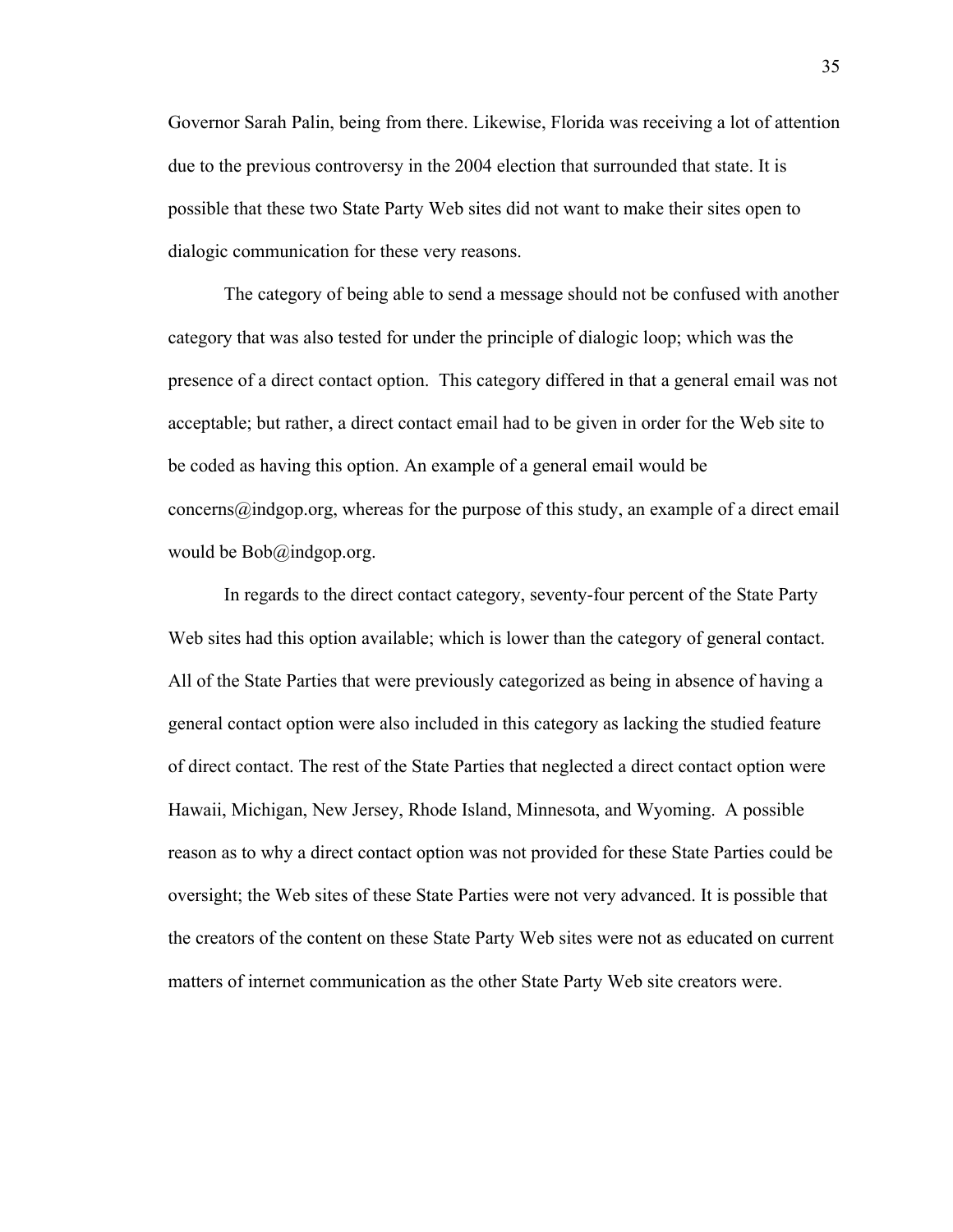Governor Sarah Palin, being from there. Likewise, Florida was receiving a lot of attention due to the previous controversy in the 2004 election that surrounded that state. It is possible that these two State Party Web sites did not want to make their sites open to dialogic communication for these very reasons.

The category of being able to send a message should not be confused with another category that was also tested for under the principle of dialogic loop; which was the presence of a direct contact option. This category differed in that a general email was not acceptable; but rather, a direct contact email had to be given in order for the Web site to be coded as having this option. An example of a general email would be concerns@indgop.org, whereas for the purpose of this study, an example of a direct email would be  $Bob@indgop.org.$ 

In regards to the direct contact category, seventy-four percent of the State Party Web sites had this option available; which is lower than the category of general contact. All of the State Parties that were previously categorized as being in absence of having a general contact option were also included in this category as lacking the studied feature of direct contact. The rest of the State Parties that neglected a direct contact option were Hawaii, Michigan, New Jersey, Rhode Island, Minnesota, and Wyoming. A possible reason as to why a direct contact option was not provided for these State Parties could be oversight; the Web sites of these State Parties were not very advanced. It is possible that the creators of the content on these State Party Web sites were not as educated on current matters of internet communication as the other State Party Web site creators were.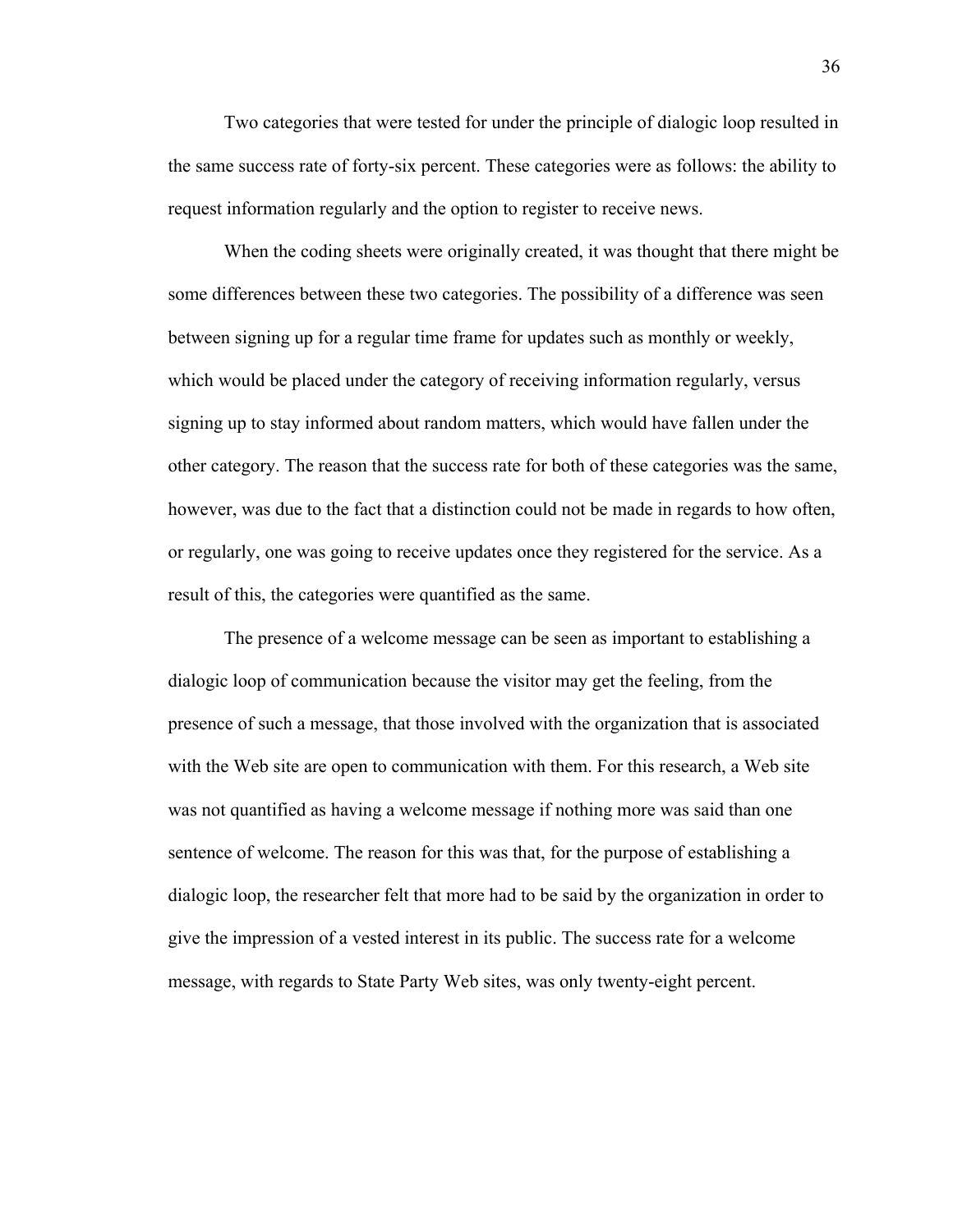Two categories that were tested for under the principle of dialogic loop resulted in the same success rate of forty-six percent. These categories were as follows: the ability to request information regularly and the option to register to receive news.

When the coding sheets were originally created, it was thought that there might be some differences between these two categories. The possibility of a difference was seen between signing up for a regular time frame for updates such as monthly or weekly, which would be placed under the category of receiving information regularly, versus signing up to stay informed about random matters, which would have fallen under the other category. The reason that the success rate for both of these categories was the same, however, was due to the fact that a distinction could not be made in regards to how often, or regularly, one was going to receive updates once they registered for the service. As a result of this, the categories were quantified as the same.

The presence of a welcome message can be seen as important to establishing a dialogic loop of communication because the visitor may get the feeling, from the presence of such a message, that those involved with the organization that is associated with the Web site are open to communication with them. For this research, a Web site was not quantified as having a welcome message if nothing more was said than one sentence of welcome. The reason for this was that, for the purpose of establishing a dialogic loop, the researcher felt that more had to be said by the organization in order to give the impression of a vested interest in its public. The success rate for a welcome message, with regards to State Party Web sites, was only twenty-eight percent.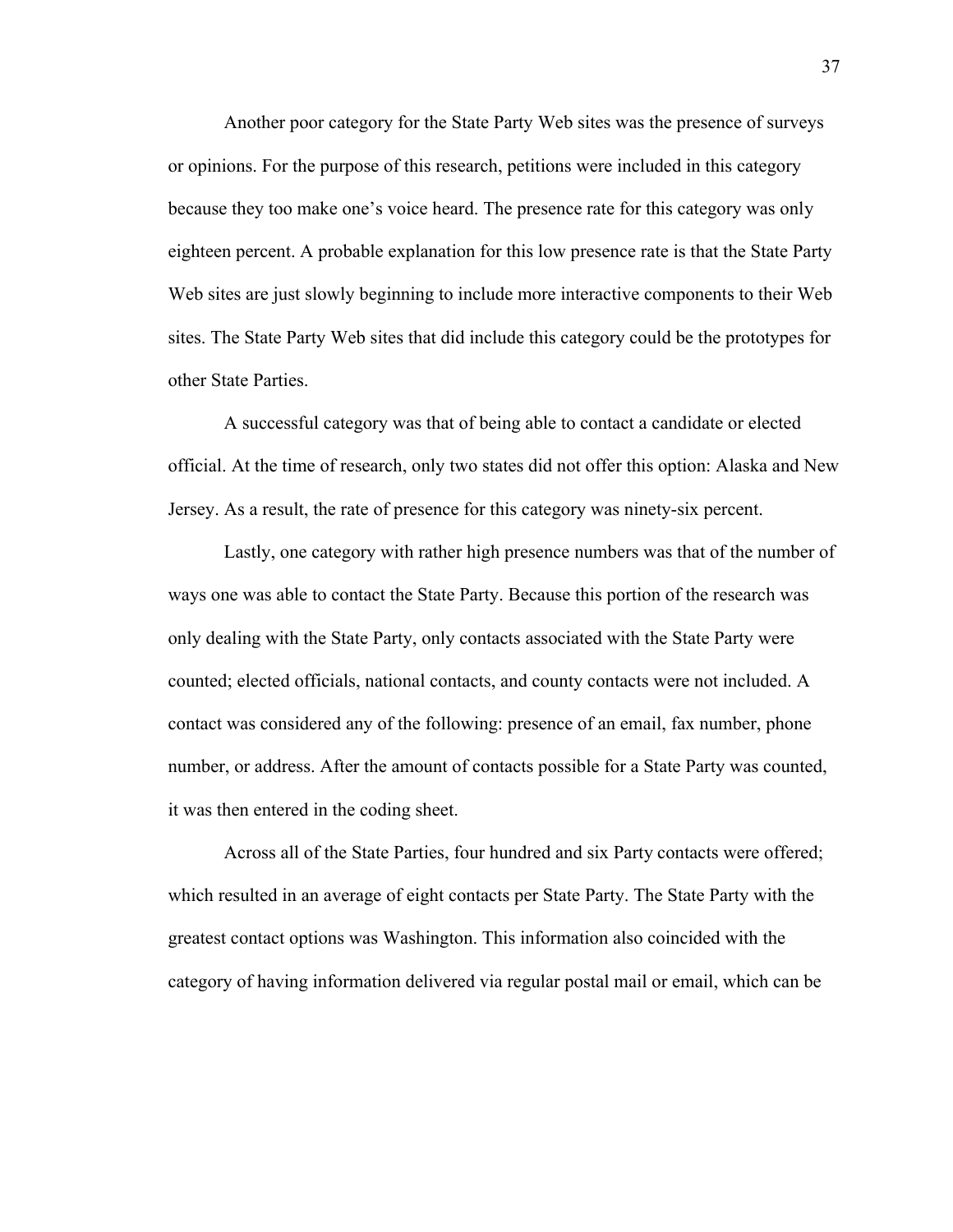Another poor category for the State Party Web sites was the presence of surveys or opinions. For the purpose of this research, petitions were included in this category because they too make one's voice heard. The presence rate for this category was only eighteen percent. A probable explanation for this low presence rate is that the State Party Web sites are just slowly beginning to include more interactive components to their Web sites. The State Party Web sites that did include this category could be the prototypes for other State Parties.

A successful category was that of being able to contact a candidate or elected official. At the time of research, only two states did not offer this option: Alaska and New Jersey. As a result, the rate of presence for this category was ninety-six percent.

Lastly, one category with rather high presence numbers was that of the number of ways one was able to contact the State Party. Because this portion of the research was only dealing with the State Party, only contacts associated with the State Party were counted; elected officials, national contacts, and county contacts were not included. A contact was considered any of the following: presence of an email, fax number, phone number, or address. After the amount of contacts possible for a State Party was counted, it was then entered in the coding sheet.

Across all of the State Parties, four hundred and six Party contacts were offered; which resulted in an average of eight contacts per State Party. The State Party with the greatest contact options was Washington. This information also coincided with the category of having information delivered via regular postal mail or email, which can be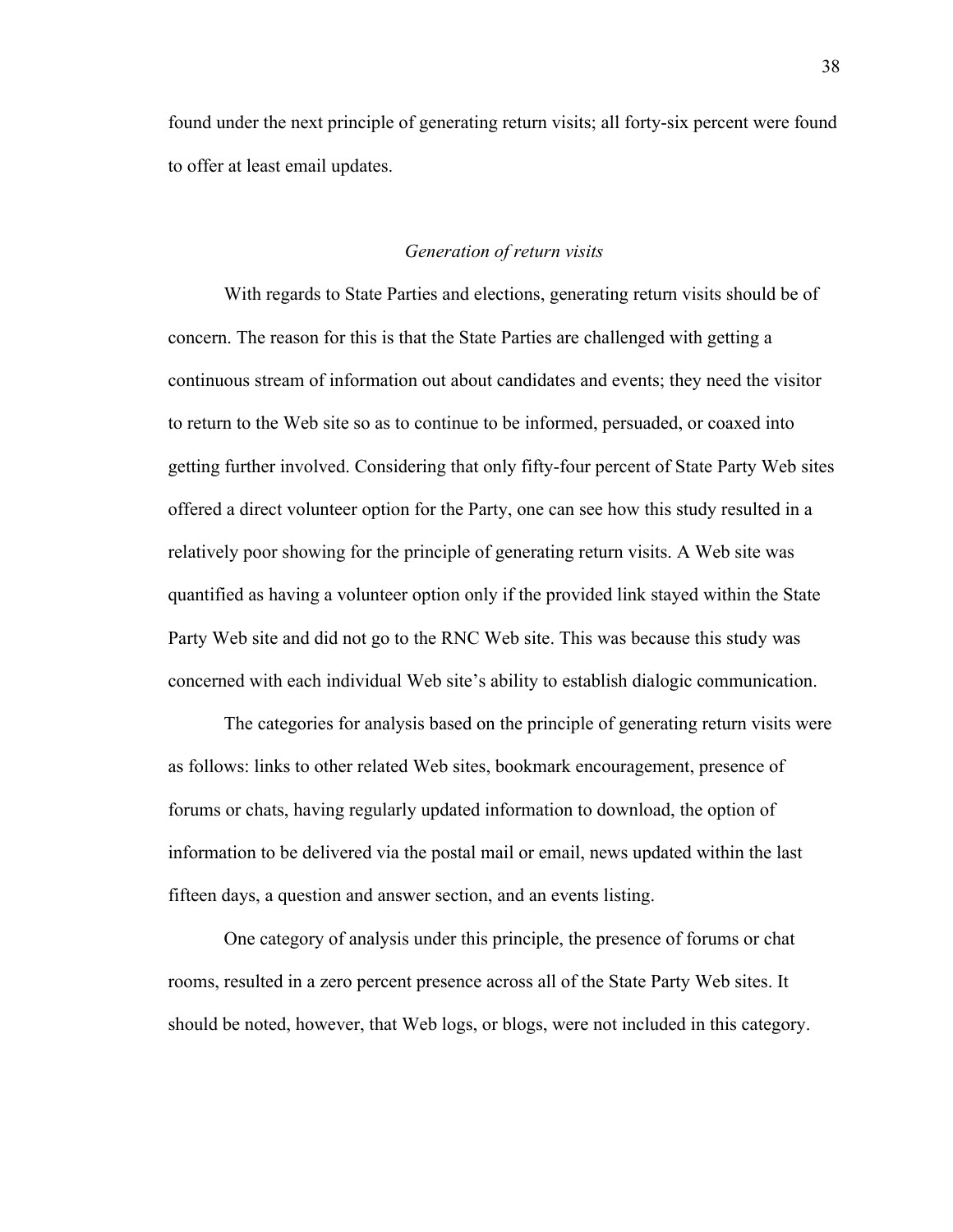found under the next principle of generating return visits; all forty-six percent were found to offer at least email updates.

#### *Generation of return visits*

With regards to State Parties and elections, generating return visits should be of concern. The reason for this is that the State Parties are challenged with getting a continuous stream of information out about candidates and events; they need the visitor to return to the Web site so as to continue to be informed, persuaded, or coaxed into getting further involved. Considering that only fifty-four percent of State Party Web sites offered a direct volunteer option for the Party, one can see how this study resulted in a relatively poor showing for the principle of generating return visits. A Web site was quantified as having a volunteer option only if the provided link stayed within the State Party Web site and did not go to the RNC Web site. This was because this study was concerned with each individual Web site's ability to establish dialogic communication.

The categories for analysis based on the principle of generating return visits were as follows: links to other related Web sites, bookmark encouragement, presence of forums or chats, having regularly updated information to download, the option of information to be delivered via the postal mail or email, news updated within the last fifteen days, a question and answer section, and an events listing.

One category of analysis under this principle, the presence of forums or chat rooms, resulted in a zero percent presence across all of the State Party Web sites. It should be noted, however, that Web logs, or blogs, were not included in this category.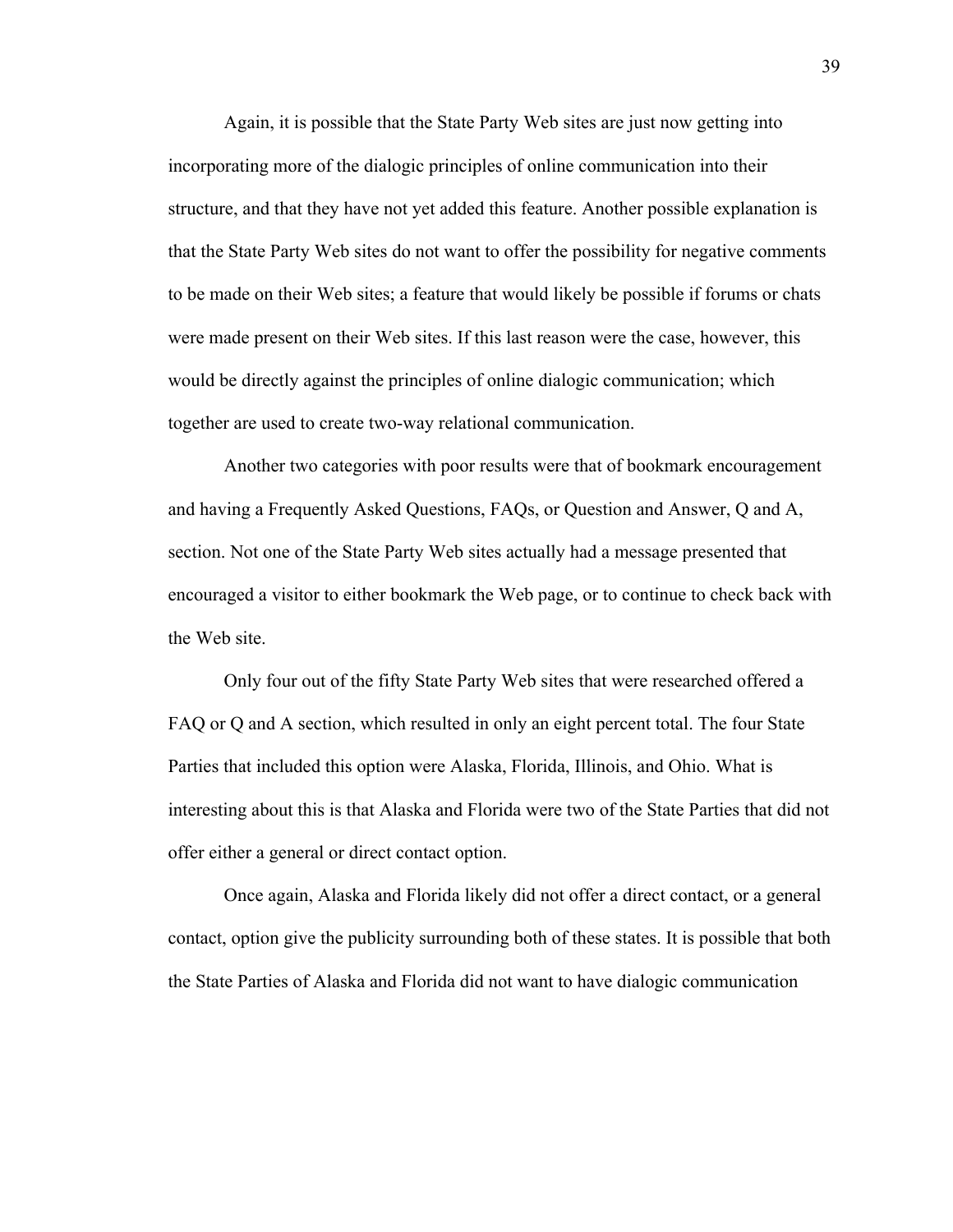Again, it is possible that the State Party Web sites are just now getting into incorporating more of the dialogic principles of online communication into their structure, and that they have not yet added this feature. Another possible explanation is that the State Party Web sites do not want to offer the possibility for negative comments to be made on their Web sites; a feature that would likely be possible if forums or chats were made present on their Web sites. If this last reason were the case, however, this would be directly against the principles of online dialogic communication; which together are used to create two-way relational communication.

Another two categories with poor results were that of bookmark encouragement and having a Frequently Asked Questions, FAQs, or Question and Answer, Q and A, section. Not one of the State Party Web sites actually had a message presented that encouraged a visitor to either bookmark the Web page, or to continue to check back with the Web site.

Only four out of the fifty State Party Web sites that were researched offered a FAQ or Q and A section, which resulted in only an eight percent total. The four State Parties that included this option were Alaska, Florida, Illinois, and Ohio. What is interesting about this is that Alaska and Florida were two of the State Parties that did not offer either a general or direct contact option.

Once again, Alaska and Florida likely did not offer a direct contact, or a general contact, option give the publicity surrounding both of these states. It is possible that both the State Parties of Alaska and Florida did not want to have dialogic communication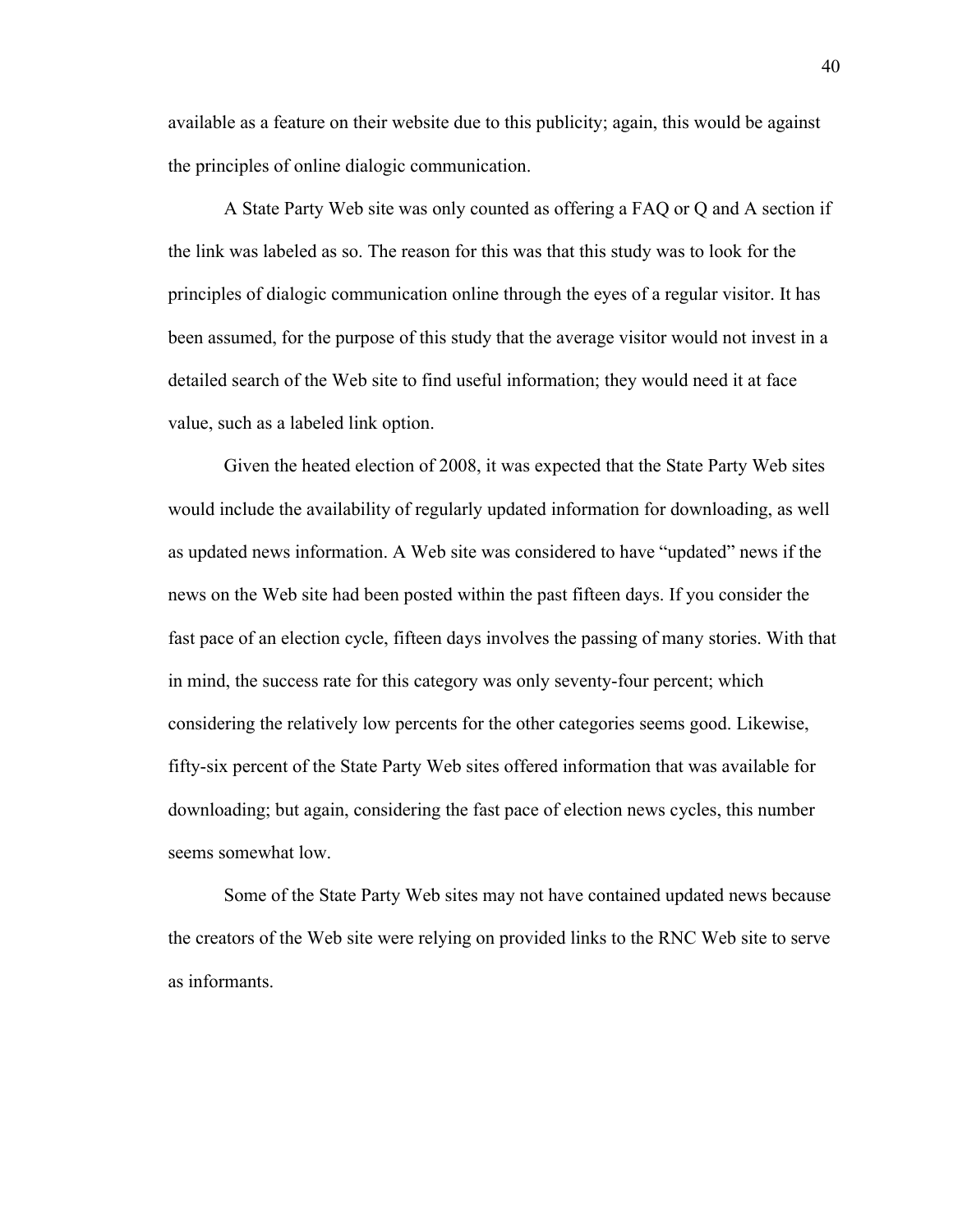available as a feature on their website due to this publicity; again, this would be against the principles of online dialogic communication.

A State Party Web site was only counted as offering a FAQ or Q and A section if the link was labeled as so. The reason for this was that this study was to look for the principles of dialogic communication online through the eyes of a regular visitor. It has been assumed, for the purpose of this study that the average visitor would not invest in a detailed search of the Web site to find useful information; they would need it at face value, such as a labeled link option.

Given the heated election of 2008, it was expected that the State Party Web sites would include the availability of regularly updated information for downloading, as well as updated news information. A Web site was considered to have "updated" news if the news on the Web site had been posted within the past fifteen days. If you consider the fast pace of an election cycle, fifteen days involves the passing of many stories. With that in mind, the success rate for this category was only seventy-four percent; which considering the relatively low percents for the other categories seems good. Likewise, fifty-six percent of the State Party Web sites offered information that was available for downloading; but again, considering the fast pace of election news cycles, this number seems somewhat low.

Some of the State Party Web sites may not have contained updated news because the creators of the Web site were relying on provided links to the RNC Web site to serve as informants.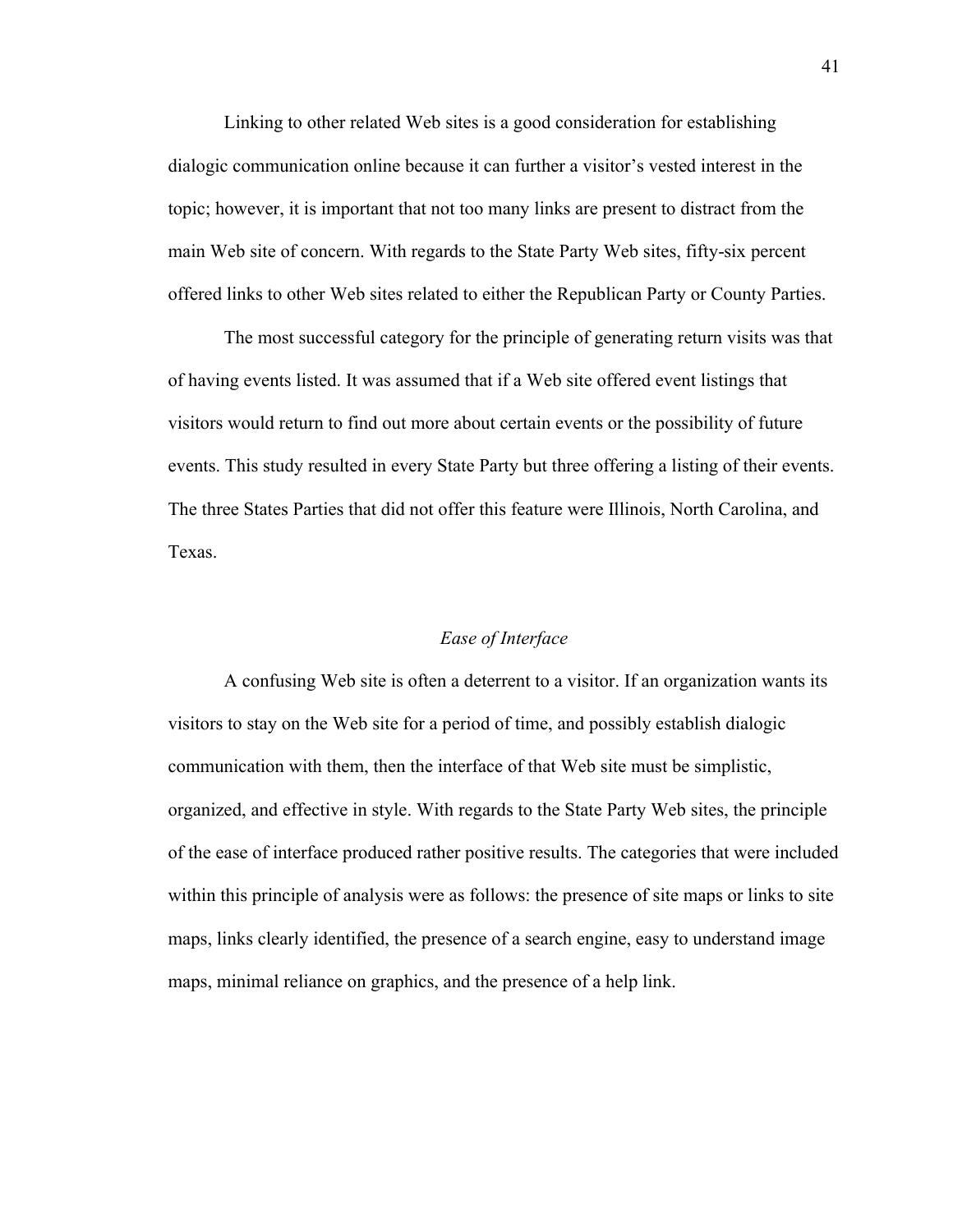Linking to other related Web sites is a good consideration for establishing dialogic communication online because it can further a visitor's vested interest in the topic; however, it is important that not too many links are present to distract from the main Web site of concern. With regards to the State Party Web sites, fifty-six percent offered links to other Web sites related to either the Republican Party or County Parties.

The most successful category for the principle of generating return visits was that of having events listed. It was assumed that if a Web site offered event listings that visitors would return to find out more about certain events or the possibility of future events. This study resulted in every State Party but three offering a listing of their events. The three States Parties that did not offer this feature were Illinois, North Carolina, and Texas.

#### *Ease of Interface*

A confusing Web site is often a deterrent to a visitor. If an organization wants its visitors to stay on the Web site for a period of time, and possibly establish dialogic communication with them, then the interface of that Web site must be simplistic, organized, and effective in style. With regards to the State Party Web sites, the principle of the ease of interface produced rather positive results. The categories that were included within this principle of analysis were as follows: the presence of site maps or links to site maps, links clearly identified, the presence of a search engine, easy to understand image maps, minimal reliance on graphics, and the presence of a help link.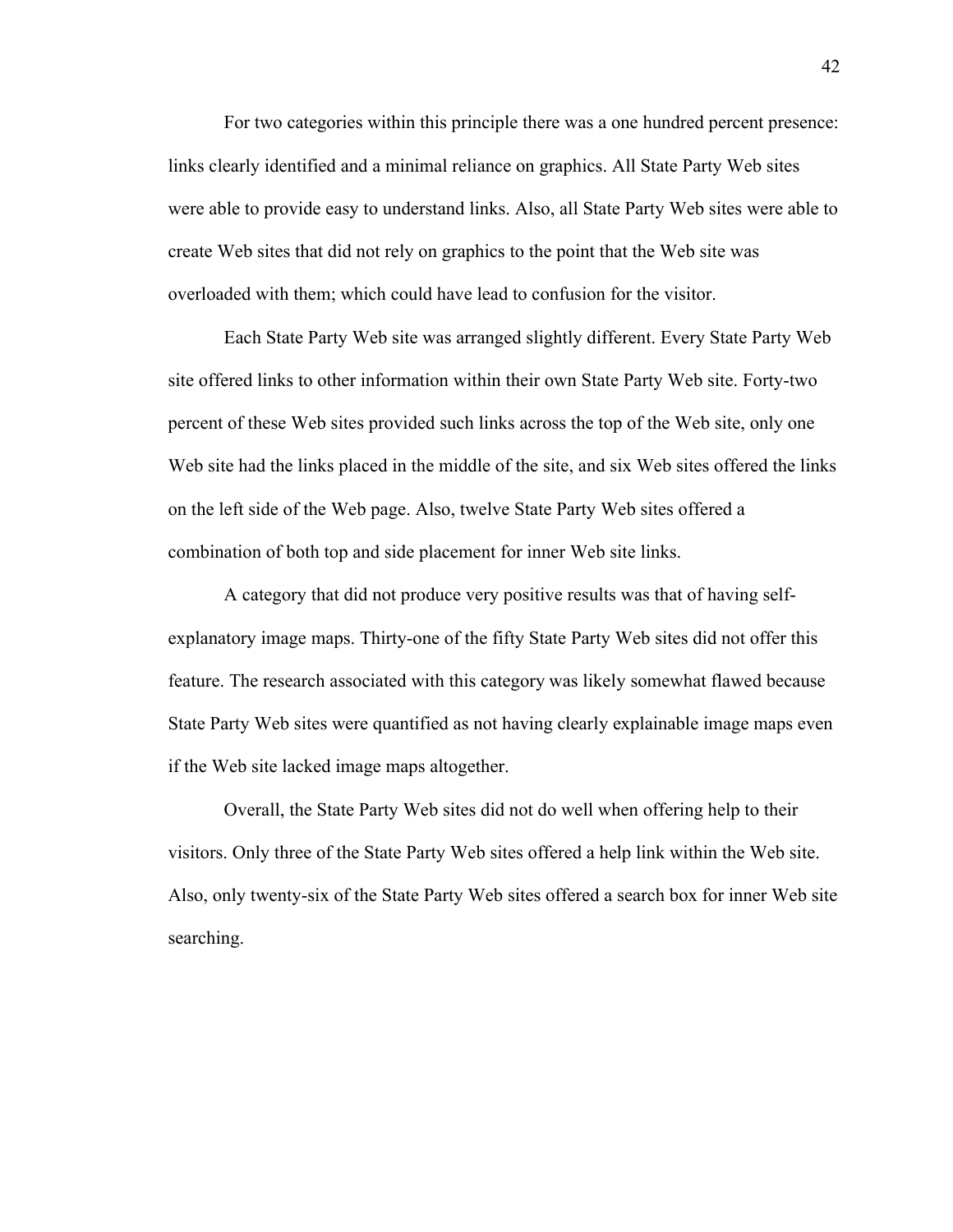For two categories within this principle there was a one hundred percent presence: links clearly identified and a minimal reliance on graphics. All State Party Web sites were able to provide easy to understand links. Also, all State Party Web sites were able to create Web sites that did not rely on graphics to the point that the Web site was overloaded with them; which could have lead to confusion for the visitor.

Each State Party Web site was arranged slightly different. Every State Party Web site offered links to other information within their own State Party Web site. Forty-two percent of these Web sites provided such links across the top of the Web site, only one Web site had the links placed in the middle of the site, and six Web sites offered the links on the left side of the Web page. Also, twelve State Party Web sites offered a combination of both top and side placement for inner Web site links.

A category that did not produce very positive results was that of having selfexplanatory image maps. Thirty-one of the fifty State Party Web sites did not offer this feature. The research associated with this category was likely somewhat flawed because State Party Web sites were quantified as not having clearly explainable image maps even if the Web site lacked image maps altogether.

Overall, the State Party Web sites did not do well when offering help to their visitors. Only three of the State Party Web sites offered a help link within the Web site. Also, only twenty-six of the State Party Web sites offered a search box for inner Web site searching.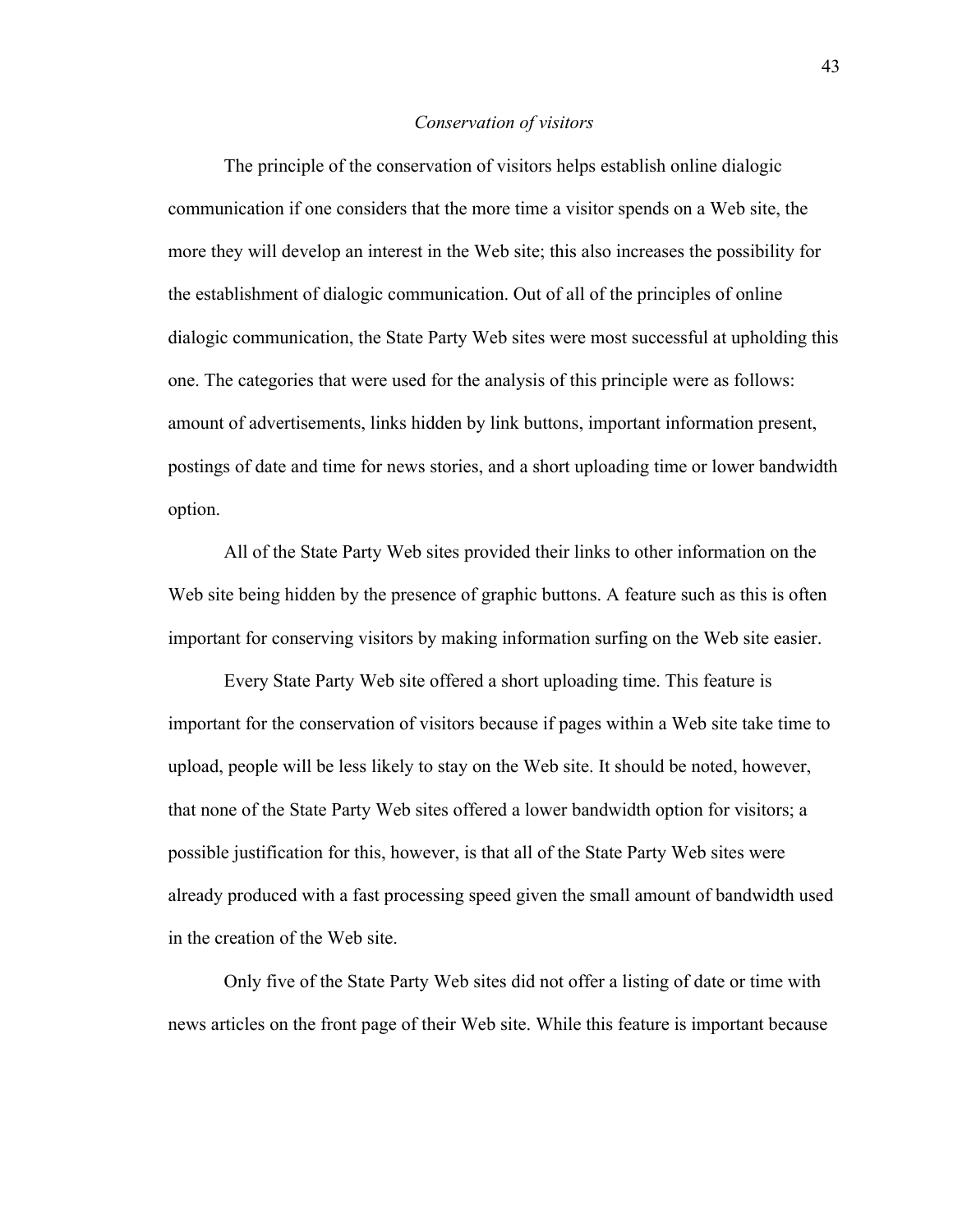#### *Conservation of visitors*

The principle of the conservation of visitors helps establish online dialogic communication if one considers that the more time a visitor spends on a Web site, the more they will develop an interest in the Web site; this also increases the possibility for the establishment of dialogic communication. Out of all of the principles of online dialogic communication, the State Party Web sites were most successful at upholding this one. The categories that were used for the analysis of this principle were as follows: amount of advertisements, links hidden by link buttons, important information present, postings of date and time for news stories, and a short uploading time or lower bandwidth option.

All of the State Party Web sites provided their links to other information on the Web site being hidden by the presence of graphic buttons. A feature such as this is often important for conserving visitors by making information surfing on the Web site easier.

Every State Party Web site offered a short uploading time. This feature is important for the conservation of visitors because if pages within a Web site take time to upload, people will be less likely to stay on the Web site. It should be noted, however, that none of the State Party Web sites offered a lower bandwidth option for visitors; a possible justification for this, however, is that all of the State Party Web sites were already produced with a fast processing speed given the small amount of bandwidth used in the creation of the Web site.

Only five of the State Party Web sites did not offer a listing of date or time with news articles on the front page of their Web site. While this feature is important because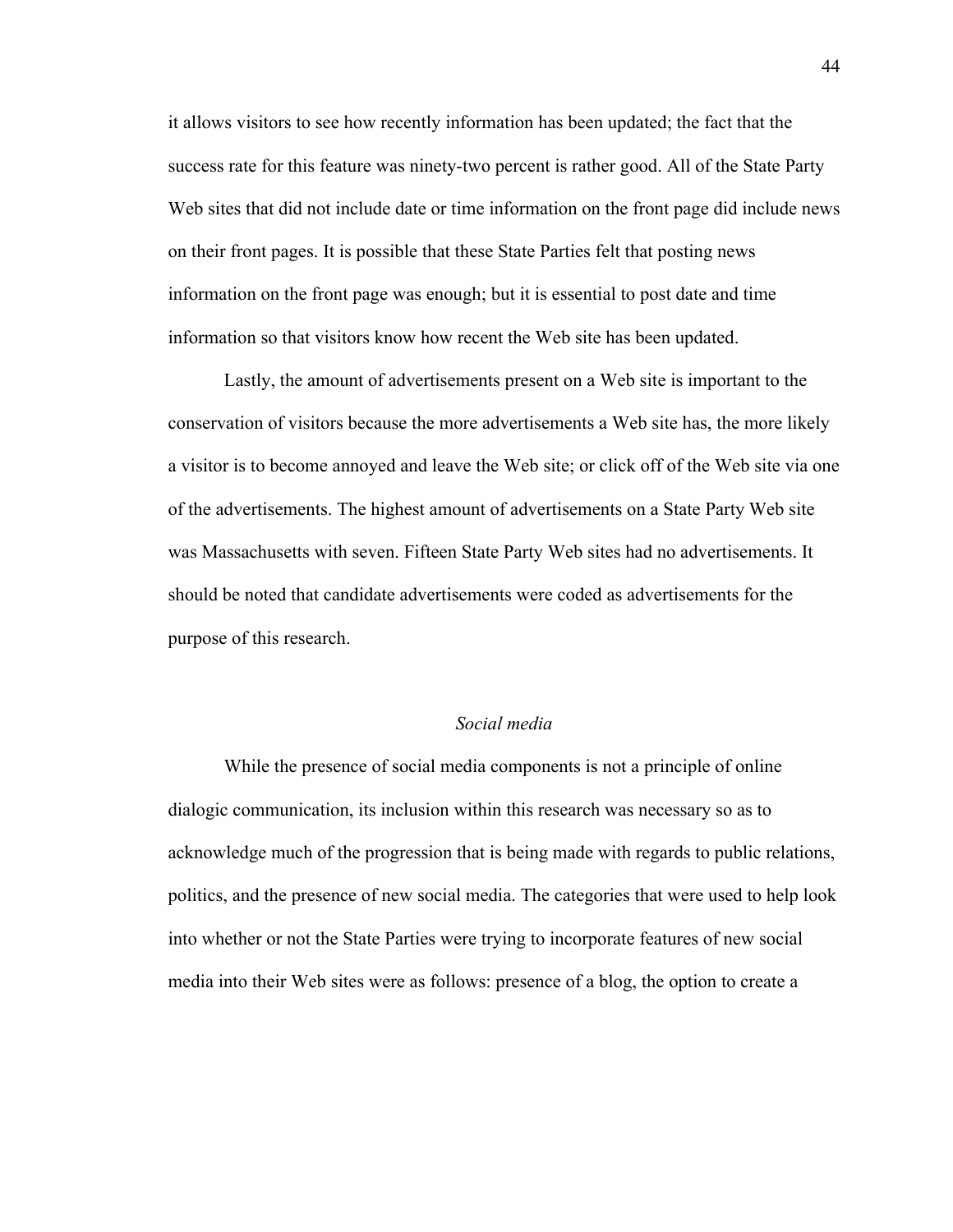it allows visitors to see how recently information has been updated; the fact that the success rate for this feature was ninety-two percent is rather good. All of the State Party Web sites that did not include date or time information on the front page did include news on their front pages. It is possible that these State Parties felt that posting news information on the front page was enough; but it is essential to post date and time information so that visitors know how recent the Web site has been updated.

Lastly, the amount of advertisements present on a Web site is important to the conservation of visitors because the more advertisements a Web site has, the more likely a visitor is to become annoyed and leave the Web site; or click off of the Web site via one of the advertisements. The highest amount of advertisements on a State Party Web site was Massachusetts with seven. Fifteen State Party Web sites had no advertisements. It should be noted that candidate advertisements were coded as advertisements for the purpose of this research.

#### *Social media*

While the presence of social media components is not a principle of online dialogic communication, its inclusion within this research was necessary so as to acknowledge much of the progression that is being made with regards to public relations, politics, and the presence of new social media. The categories that were used to help look into whether or not the State Parties were trying to incorporate features of new social media into their Web sites were as follows: presence of a blog, the option to create a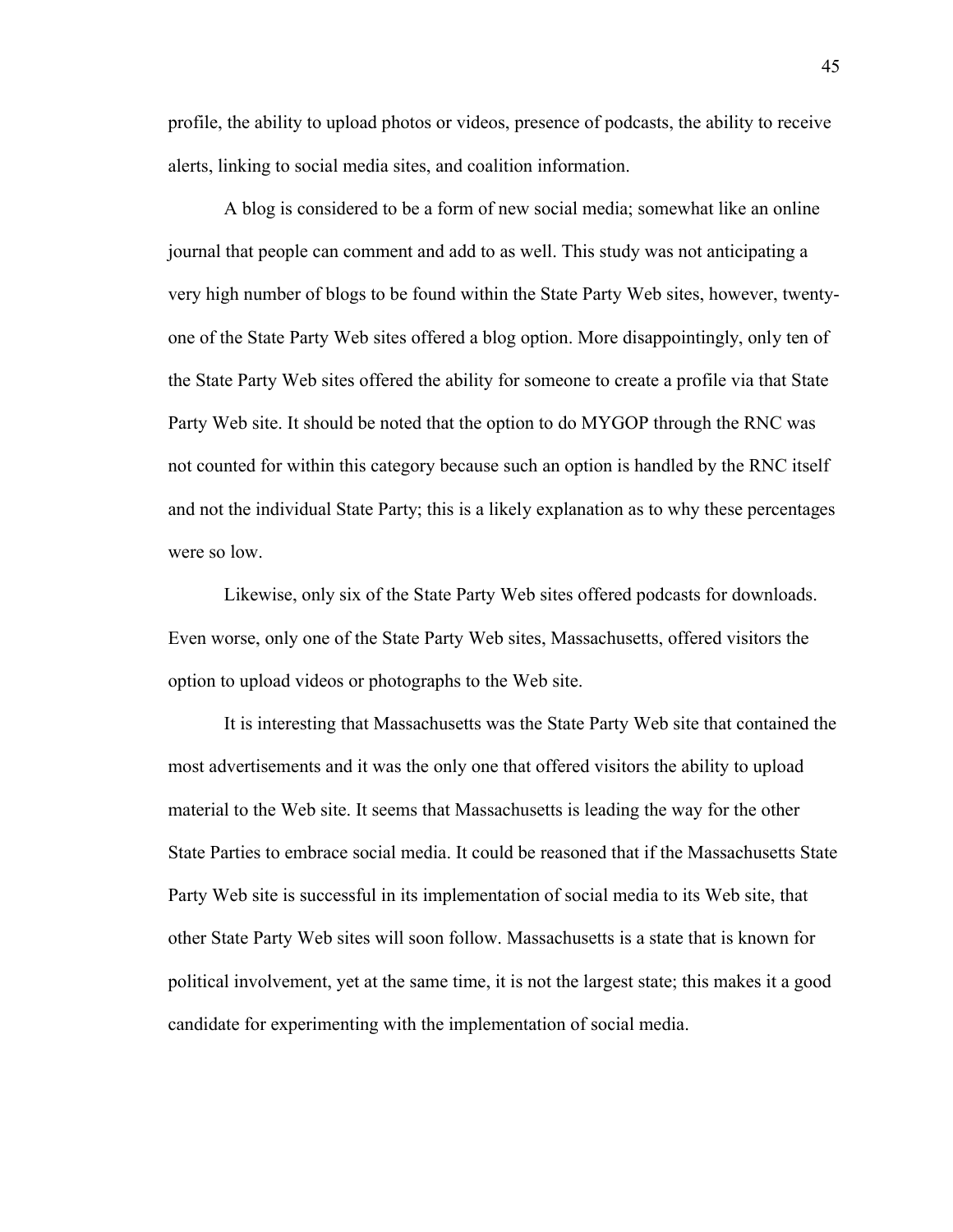profile, the ability to upload photos or videos, presence of podcasts, the ability to receive alerts, linking to social media sites, and coalition information.

A blog is considered to be a form of new social media; somewhat like an online journal that people can comment and add to as well. This study was not anticipating a very high number of blogs to be found within the State Party Web sites, however, twentyone of the State Party Web sites offered a blog option. More disappointingly, only ten of the State Party Web sites offered the ability for someone to create a profile via that State Party Web site. It should be noted that the option to do MYGOP through the RNC was not counted for within this category because such an option is handled by the RNC itself and not the individual State Party; this is a likely explanation as to why these percentages were so low.

Likewise, only six of the State Party Web sites offered podcasts for downloads. Even worse, only one of the State Party Web sites, Massachusetts, offered visitors the option to upload videos or photographs to the Web site.

It is interesting that Massachusetts was the State Party Web site that contained the most advertisements and it was the only one that offered visitors the ability to upload material to the Web site. It seems that Massachusetts is leading the way for the other State Parties to embrace social media. It could be reasoned that if the Massachusetts State Party Web site is successful in its implementation of social media to its Web site, that other State Party Web sites will soon follow. Massachusetts is a state that is known for political involvement, yet at the same time, it is not the largest state; this makes it a good candidate for experimenting with the implementation of social media.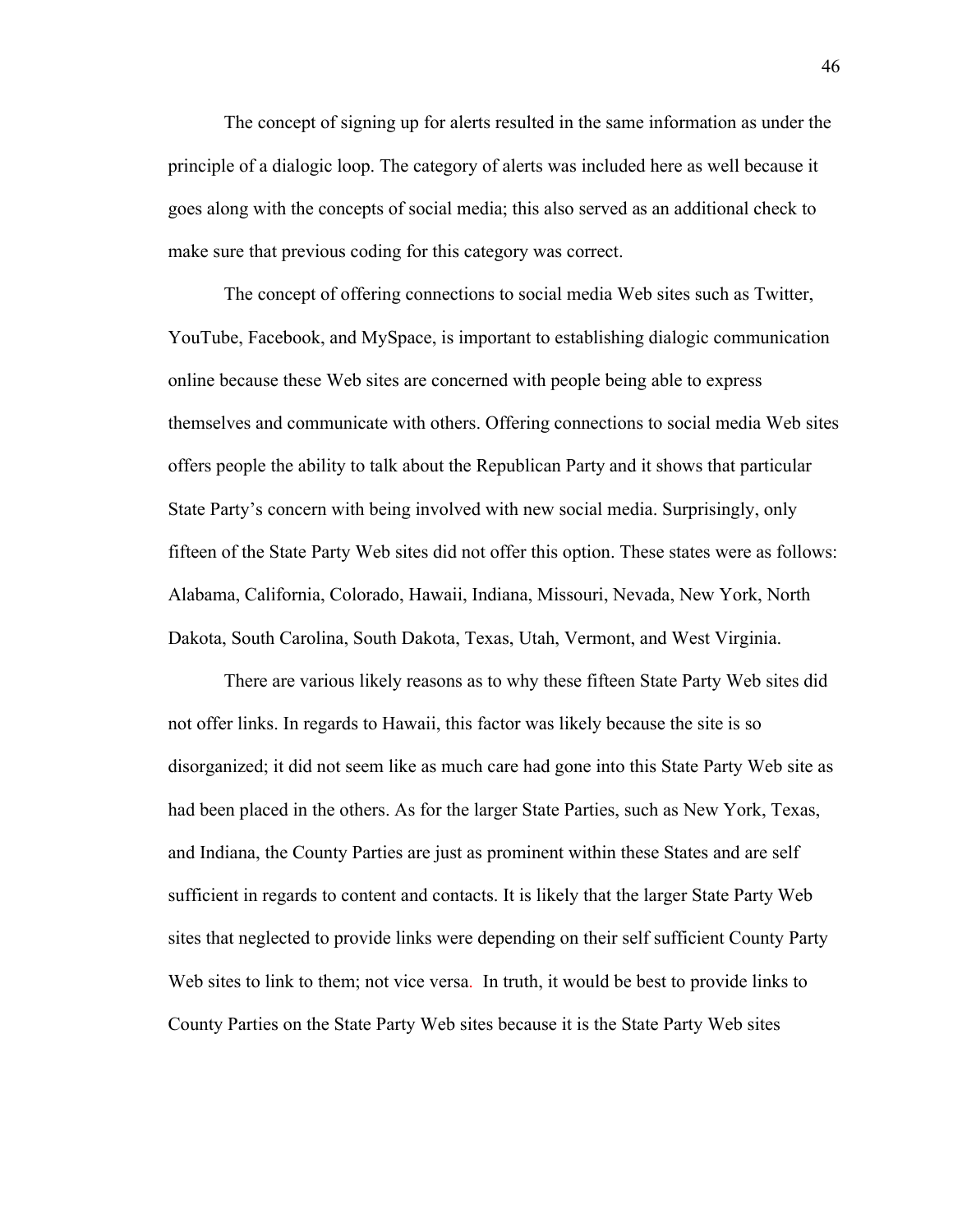The concept of signing up for alerts resulted in the same information as under the principle of a dialogic loop. The category of alerts was included here as well because it goes along with the concepts of social media; this also served as an additional check to make sure that previous coding for this category was correct.

The concept of offering connections to social media Web sites such as Twitter, YouTube, Facebook, and MySpace, is important to establishing dialogic communication online because these Web sites are concerned with people being able to express themselves and communicate with others. Offering connections to social media Web sites offers people the ability to talk about the Republican Party and it shows that particular State Party's concern with being involved with new social media. Surprisingly, only fifteen of the State Party Web sites did not offer this option. These states were as follows: Alabama, California, Colorado, Hawaii, Indiana, Missouri, Nevada, New York, North Dakota, South Carolina, South Dakota, Texas, Utah, Vermont, and West Virginia.

There are various likely reasons as to why these fifteen State Party Web sites did not offer links. In regards to Hawaii, this factor was likely because the site is so disorganized; it did not seem like as much care had gone into this State Party Web site as had been placed in the others. As for the larger State Parties, such as New York, Texas, and Indiana, the County Parties are just as prominent within these States and are self sufficient in regards to content and contacts. It is likely that the larger State Party Web sites that neglected to provide links were depending on their self sufficient County Party Web sites to link to them; not vice versa. In truth, it would be best to provide links to County Parties on the State Party Web sites because it is the State Party Web sites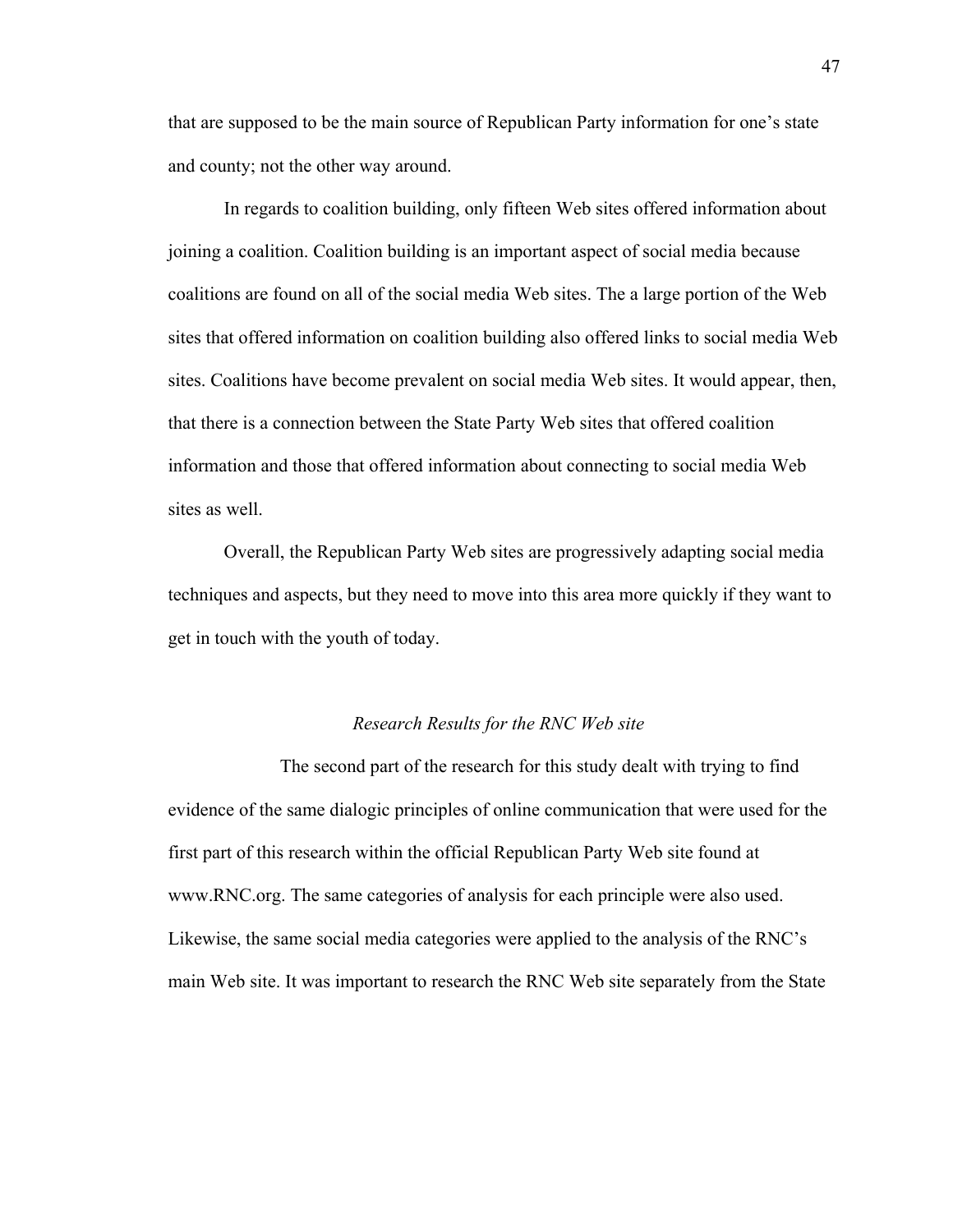that are supposed to be the main source of Republican Party information for one's state and county; not the other way around.

In regards to coalition building, only fifteen Web sites offered information about joining a coalition. Coalition building is an important aspect of social media because coalitions are found on all of the social media Web sites. The a large portion of the Web sites that offered information on coalition building also offered links to social media Web sites. Coalitions have become prevalent on social media Web sites. It would appear, then, that there is a connection between the State Party Web sites that offered coalition information and those that offered information about connecting to social media Web sites as well.

Overall, the Republican Party Web sites are progressively adapting social media techniques and aspects, but they need to move into this area more quickly if they want to get in touch with the youth of today.

### *Research Results for the RNC Web site*

The second part of the research for this study dealt with trying to find evidence of the same dialogic principles of online communication that were used for the first part of this research within the official Republican Party Web site found at www.RNC.org. The same categories of analysis for each principle were also used. Likewise, the same social media categories were applied to the analysis of the RNC's main Web site. It was important to research the RNC Web site separately from the State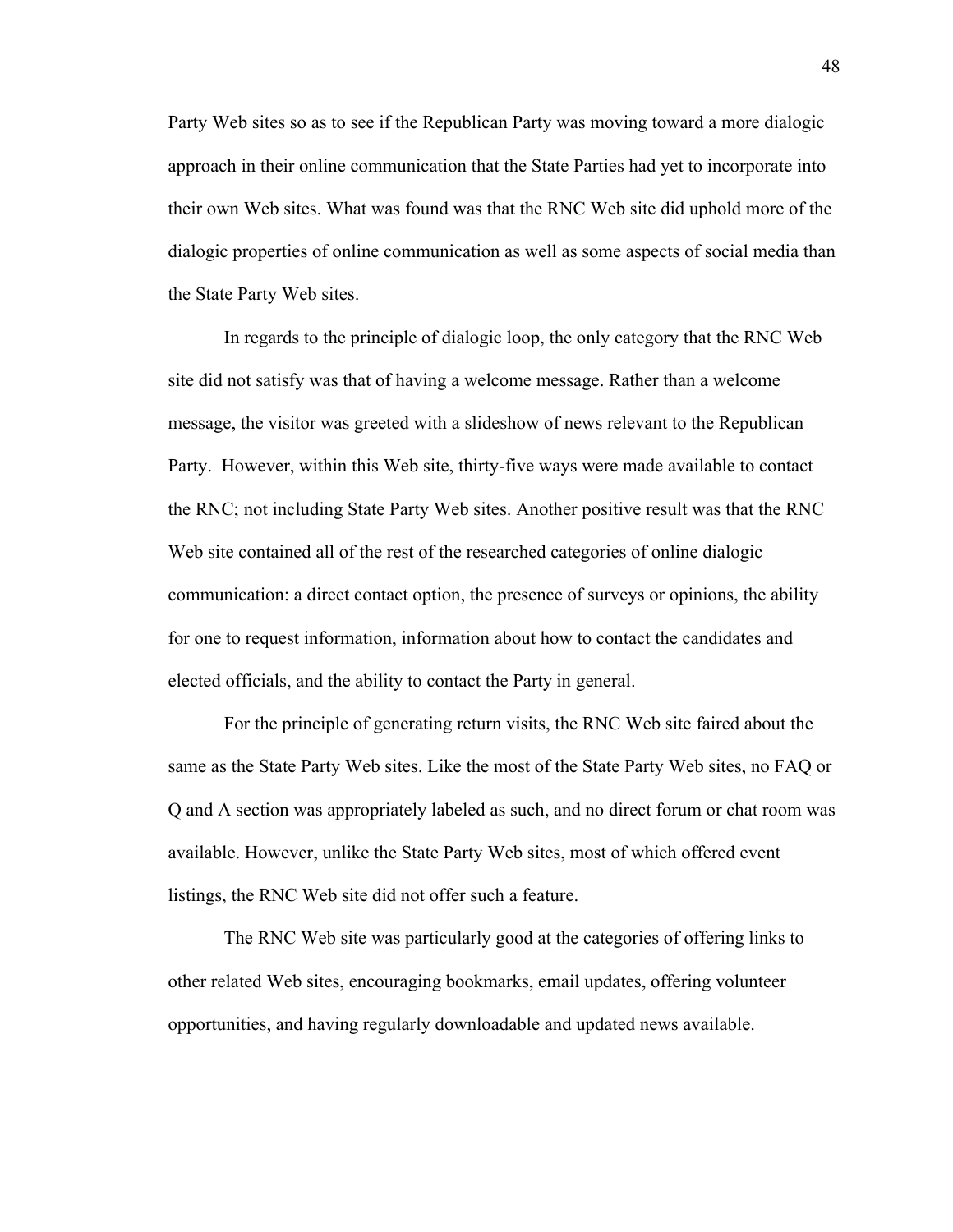Party Web sites so as to see if the Republican Party was moving toward a more dialogic approach in their online communication that the State Parties had yet to incorporate into their own Web sites. What was found was that the RNC Web site did uphold more of the dialogic properties of online communication as well as some aspects of social media than the State Party Web sites.

In regards to the principle of dialogic loop, the only category that the RNC Web site did not satisfy was that of having a welcome message. Rather than a welcome message, the visitor was greeted with a slideshow of news relevant to the Republican Party. However, within this Web site, thirty-five ways were made available to contact the RNC; not including State Party Web sites. Another positive result was that the RNC Web site contained all of the rest of the researched categories of online dialogic communication: a direct contact option, the presence of surveys or opinions, the ability for one to request information, information about how to contact the candidates and elected officials, and the ability to contact the Party in general.

For the principle of generating return visits, the RNC Web site faired about the same as the State Party Web sites. Like the most of the State Party Web sites, no FAQ or Q and A section was appropriately labeled as such, and no direct forum or chat room was available. However, unlike the State Party Web sites, most of which offered event listings, the RNC Web site did not offer such a feature.

The RNC Web site was particularly good at the categories of offering links to other related Web sites, encouraging bookmarks, email updates, offering volunteer opportunities, and having regularly downloadable and updated news available.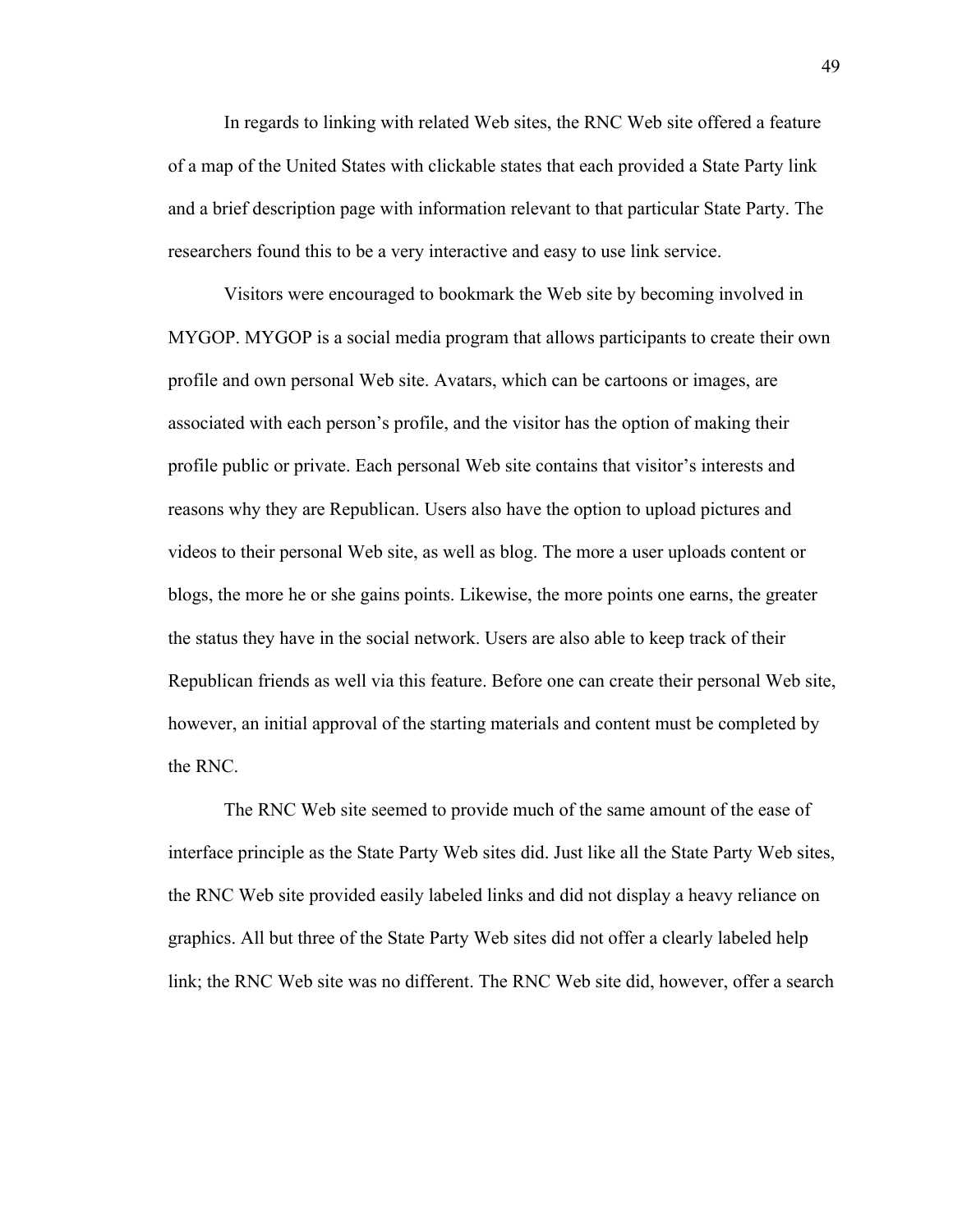In regards to linking with related Web sites, the RNC Web site offered a feature of a map of the United States with clickable states that each provided a State Party link and a brief description page with information relevant to that particular State Party. The researchers found this to be a very interactive and easy to use link service.

Visitors were encouraged to bookmark the Web site by becoming involved in MYGOP. MYGOP is a social media program that allows participants to create their own profile and own personal Web site. Avatars, which can be cartoons or images, are associated with each person's profile, and the visitor has the option of making their profile public or private. Each personal Web site contains that visitor's interests and reasons why they are Republican. Users also have the option to upload pictures and videos to their personal Web site, as well as blog. The more a user uploads content or blogs, the more he or she gains points. Likewise, the more points one earns, the greater the status they have in the social network. Users are also able to keep track of their Republican friends as well via this feature. Before one can create their personal Web site, however, an initial approval of the starting materials and content must be completed by the RNC.

The RNC Web site seemed to provide much of the same amount of the ease of interface principle as the State Party Web sites did. Just like all the State Party Web sites, the RNC Web site provided easily labeled links and did not display a heavy reliance on graphics. All but three of the State Party Web sites did not offer a clearly labeled help link; the RNC Web site was no different. The RNC Web site did, however, offer a search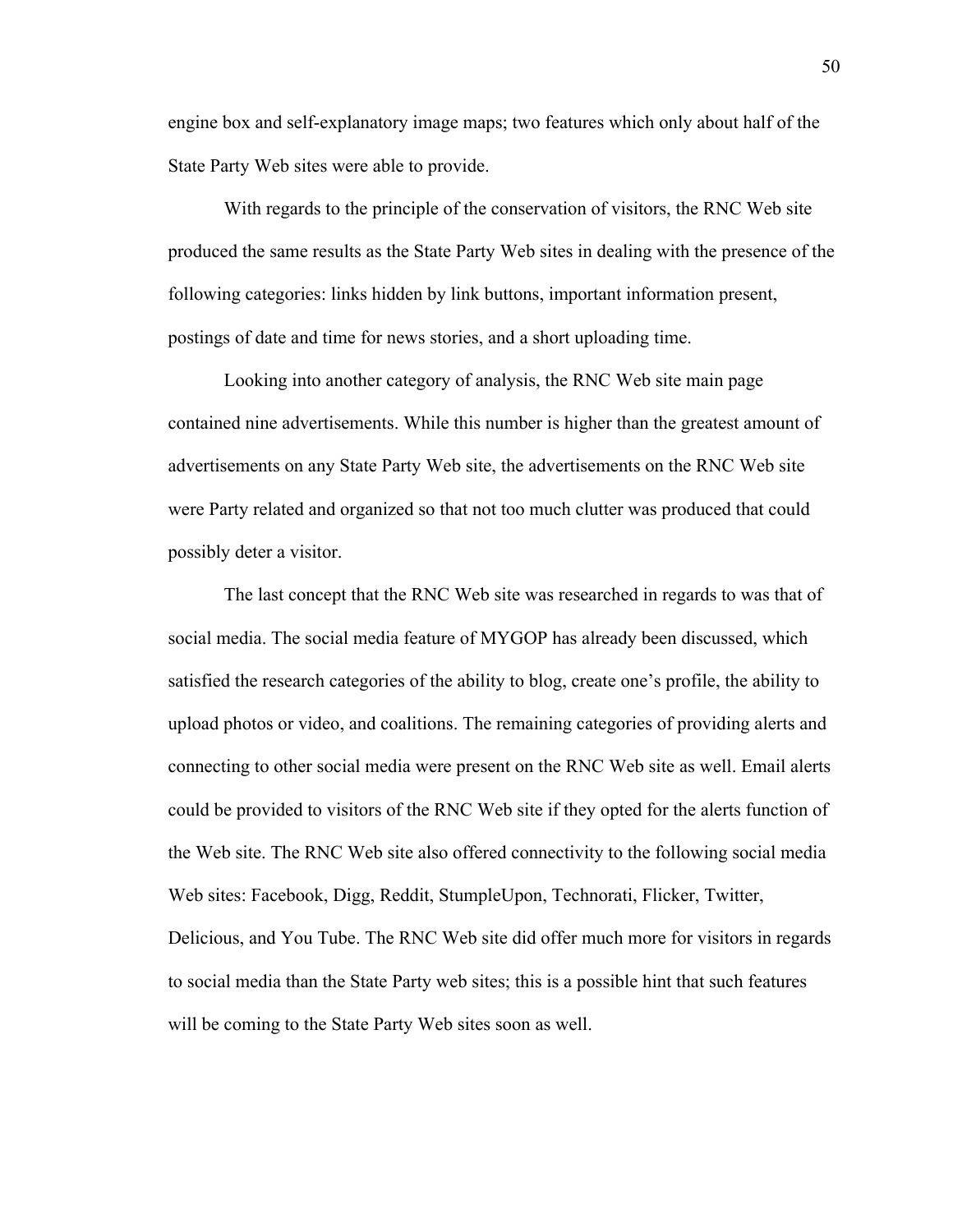engine box and self-explanatory image maps; two features which only about half of the State Party Web sites were able to provide.

With regards to the principle of the conservation of visitors, the RNC Web site produced the same results as the State Party Web sites in dealing with the presence of the following categories: links hidden by link buttons, important information present, postings of date and time for news stories, and a short uploading time.

Looking into another category of analysis, the RNC Web site main page contained nine advertisements. While this number is higher than the greatest amount of advertisements on any State Party Web site, the advertisements on the RNC Web site were Party related and organized so that not too much clutter was produced that could possibly deter a visitor.

The last concept that the RNC Web site was researched in regards to was that of social media. The social media feature of MYGOP has already been discussed, which satisfied the research categories of the ability to blog, create one's profile, the ability to upload photos or video, and coalitions. The remaining categories of providing alerts and connecting to other social media were present on the RNC Web site as well. Email alerts could be provided to visitors of the RNC Web site if they opted for the alerts function of the Web site. The RNC Web site also offered connectivity to the following social media Web sites: Facebook, Digg, Reddit, StumpleUpon, Technorati, Flicker, Twitter, Delicious, and You Tube. The RNC Web site did offer much more for visitors in regards to social media than the State Party web sites; this is a possible hint that such features will be coming to the State Party Web sites soon as well.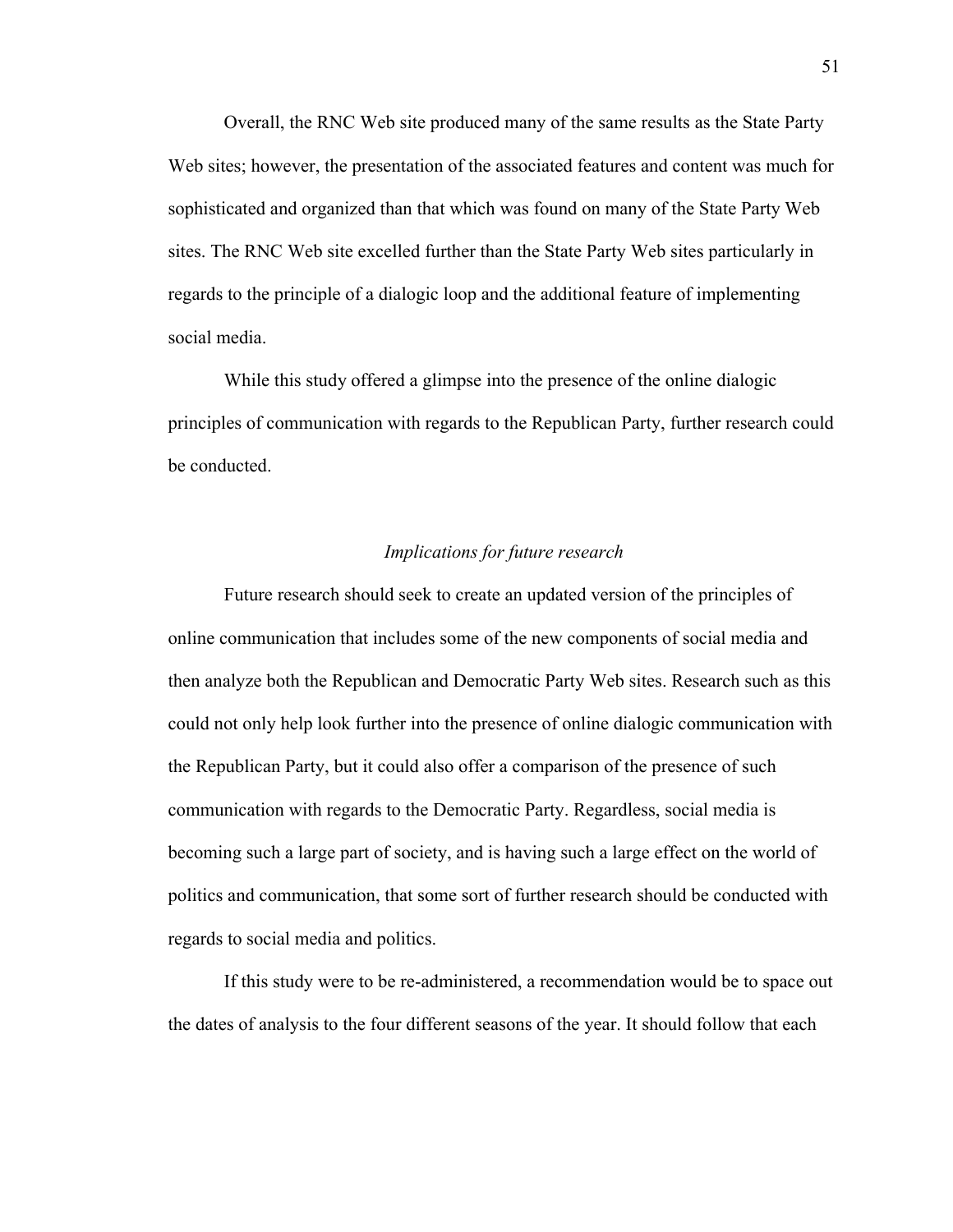Overall, the RNC Web site produced many of the same results as the State Party Web sites; however, the presentation of the associated features and content was much for sophisticated and organized than that which was found on many of the State Party Web sites. The RNC Web site excelled further than the State Party Web sites particularly in regards to the principle of a dialogic loop and the additional feature of implementing social media.

While this study offered a glimpse into the presence of the online dialogic principles of communication with regards to the Republican Party, further research could be conducted.

#### *Implications for future research*

Future research should seek to create an updated version of the principles of online communication that includes some of the new components of social media and then analyze both the Republican and Democratic Party Web sites. Research such as this could not only help look further into the presence of online dialogic communication with the Republican Party, but it could also offer a comparison of the presence of such communication with regards to the Democratic Party. Regardless, social media is becoming such a large part of society, and is having such a large effect on the world of politics and communication, that some sort of further research should be conducted with regards to social media and politics.

If this study were to be re-administered, a recommendation would be to space out the dates of analysis to the four different seasons of the year. It should follow that each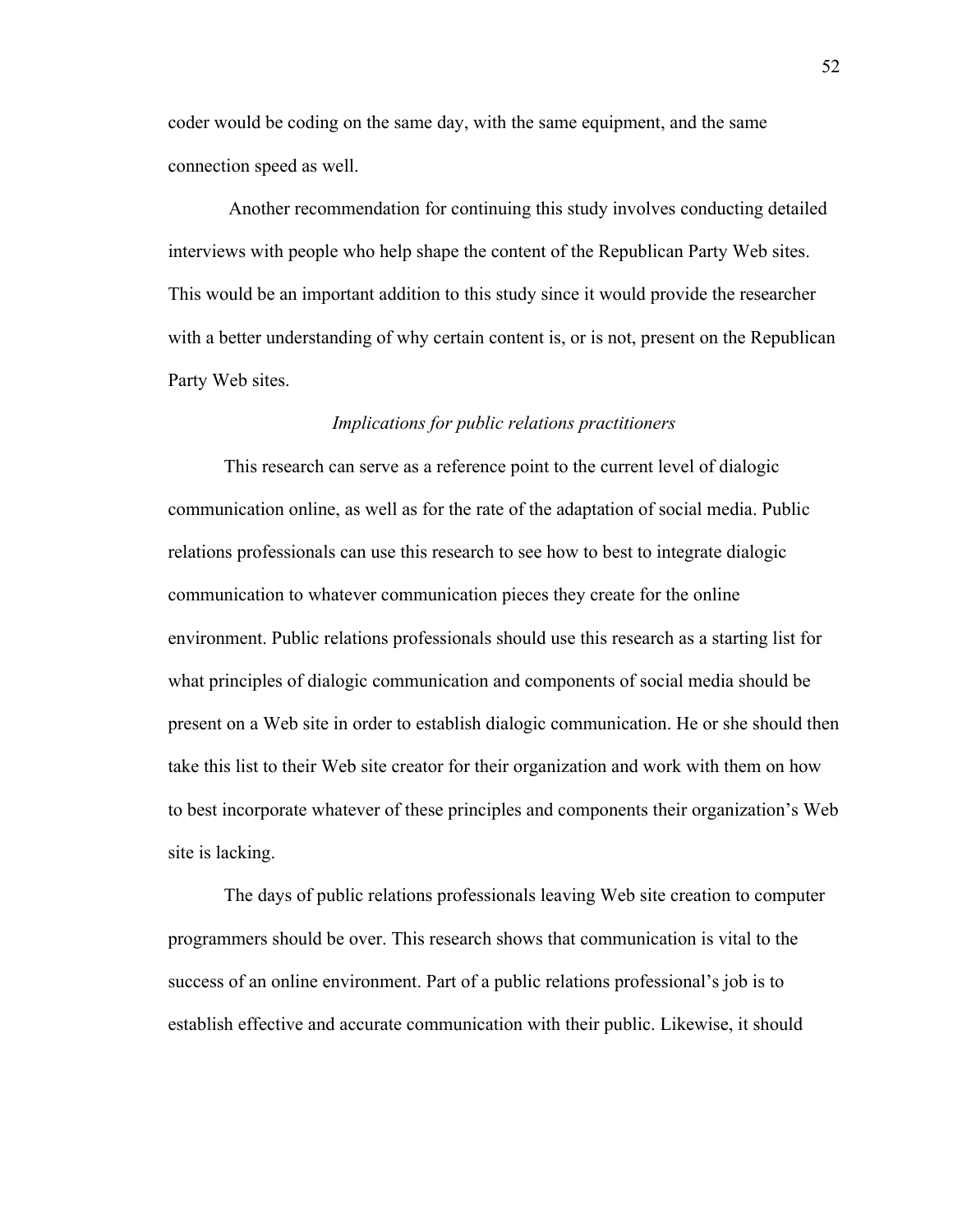coder would be coding on the same day, with the same equipment, and the same connection speed as well.

Another recommendation for continuing this study involves conducting detailed interviews with people who help shape the content of the Republican Party Web sites. This would be an important addition to this study since it would provide the researcher with a better understanding of why certain content is, or is not, present on the Republican Party Web sites.

#### *Implications for public relations practitioners*

This research can serve as a reference point to the current level of dialogic communication online, as well as for the rate of the adaptation of social media. Public relations professionals can use this research to see how to best to integrate dialogic communication to whatever communication pieces they create for the online environment. Public relations professionals should use this research as a starting list for what principles of dialogic communication and components of social media should be present on a Web site in order to establish dialogic communication. He or she should then take this list to their Web site creator for their organization and work with them on how to best incorporate whatever of these principles and components their organization's Web site is lacking.

The days of public relations professionals leaving Web site creation to computer programmers should be over. This research shows that communication is vital to the success of an online environment. Part of a public relations professional's job is to establish effective and accurate communication with their public. Likewise, it should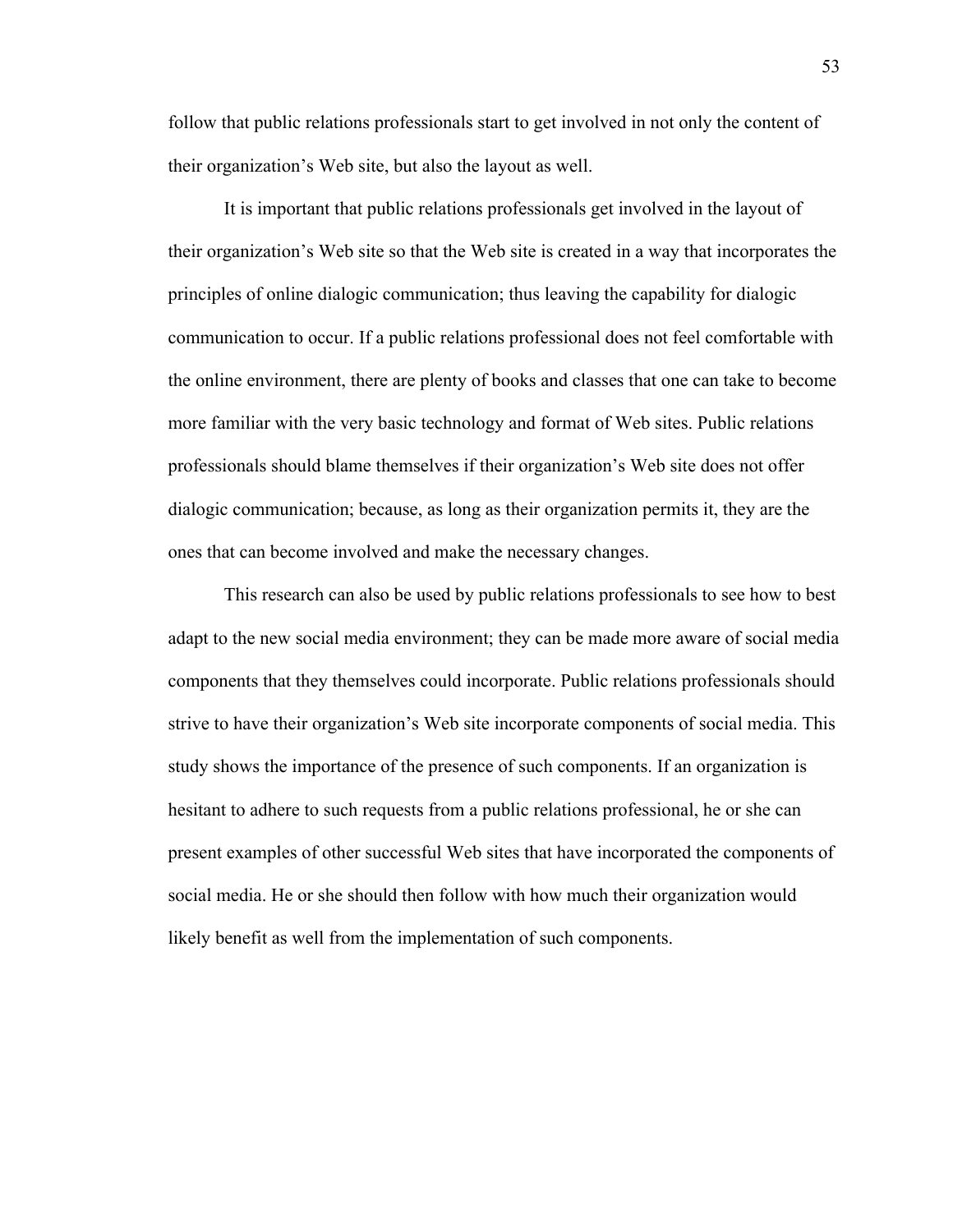follow that public relations professionals start to get involved in not only the content of their organization's Web site, but also the layout as well.

It is important that public relations professionals get involved in the layout of their organization's Web site so that the Web site is created in a way that incorporates the principles of online dialogic communication; thus leaving the capability for dialogic communication to occur. If a public relations professional does not feel comfortable with the online environment, there are plenty of books and classes that one can take to become more familiar with the very basic technology and format of Web sites. Public relations professionals should blame themselves if their organization's Web site does not offer dialogic communication; because, as long as their organization permits it, they are the ones that can become involved and make the necessary changes.

This research can also be used by public relations professionals to see how to best adapt to the new social media environment; they can be made more aware of social media components that they themselves could incorporate. Public relations professionals should strive to have their organization's Web site incorporate components of social media. This study shows the importance of the presence of such components. If an organization is hesitant to adhere to such requests from a public relations professional, he or she can present examples of other successful Web sites that have incorporated the components of social media. He or she should then follow with how much their organization would likely benefit as well from the implementation of such components.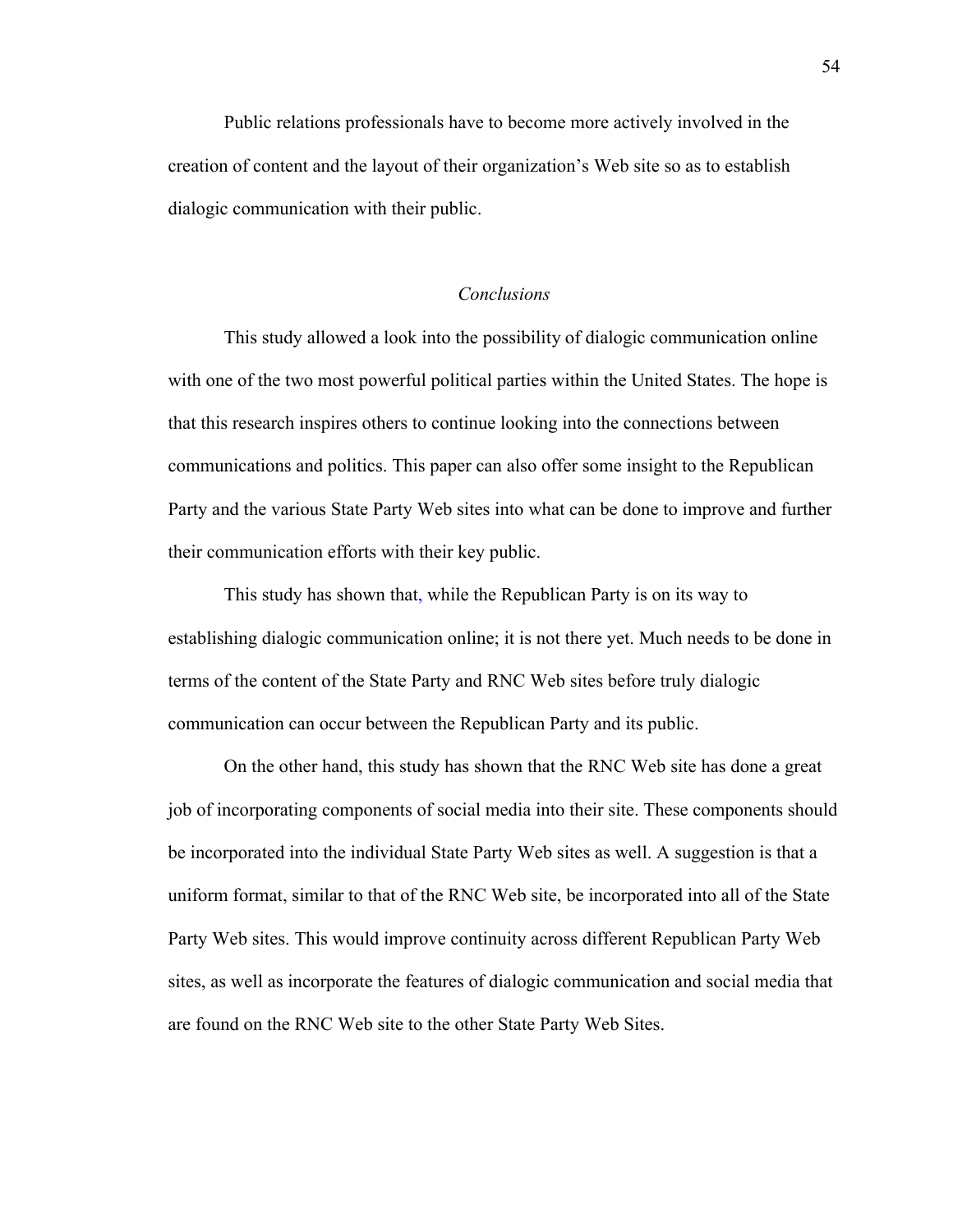Public relations professionals have to become more actively involved in the creation of content and the layout of their organization's Web site so as to establish dialogic communication with their public.

#### *Conclusions*

This study allowed a look into the possibility of dialogic communication online with one of the two most powerful political parties within the United States. The hope is that this research inspires others to continue looking into the connections between communications and politics. This paper can also offer some insight to the Republican Party and the various State Party Web sites into what can be done to improve and further their communication efforts with their key public.

This study has shown that, while the Republican Party is on its way to establishing dialogic communication online; it is not there yet. Much needs to be done in terms of the content of the State Party and RNC Web sites before truly dialogic communication can occur between the Republican Party and its public.

On the other hand, this study has shown that the RNC Web site has done a great job of incorporating components of social media into their site. These components should be incorporated into the individual State Party Web sites as well. A suggestion is that a uniform format, similar to that of the RNC Web site, be incorporated into all of the State Party Web sites. This would improve continuity across different Republican Party Web sites, as well as incorporate the features of dialogic communication and social media that are found on the RNC Web site to the other State Party Web Sites.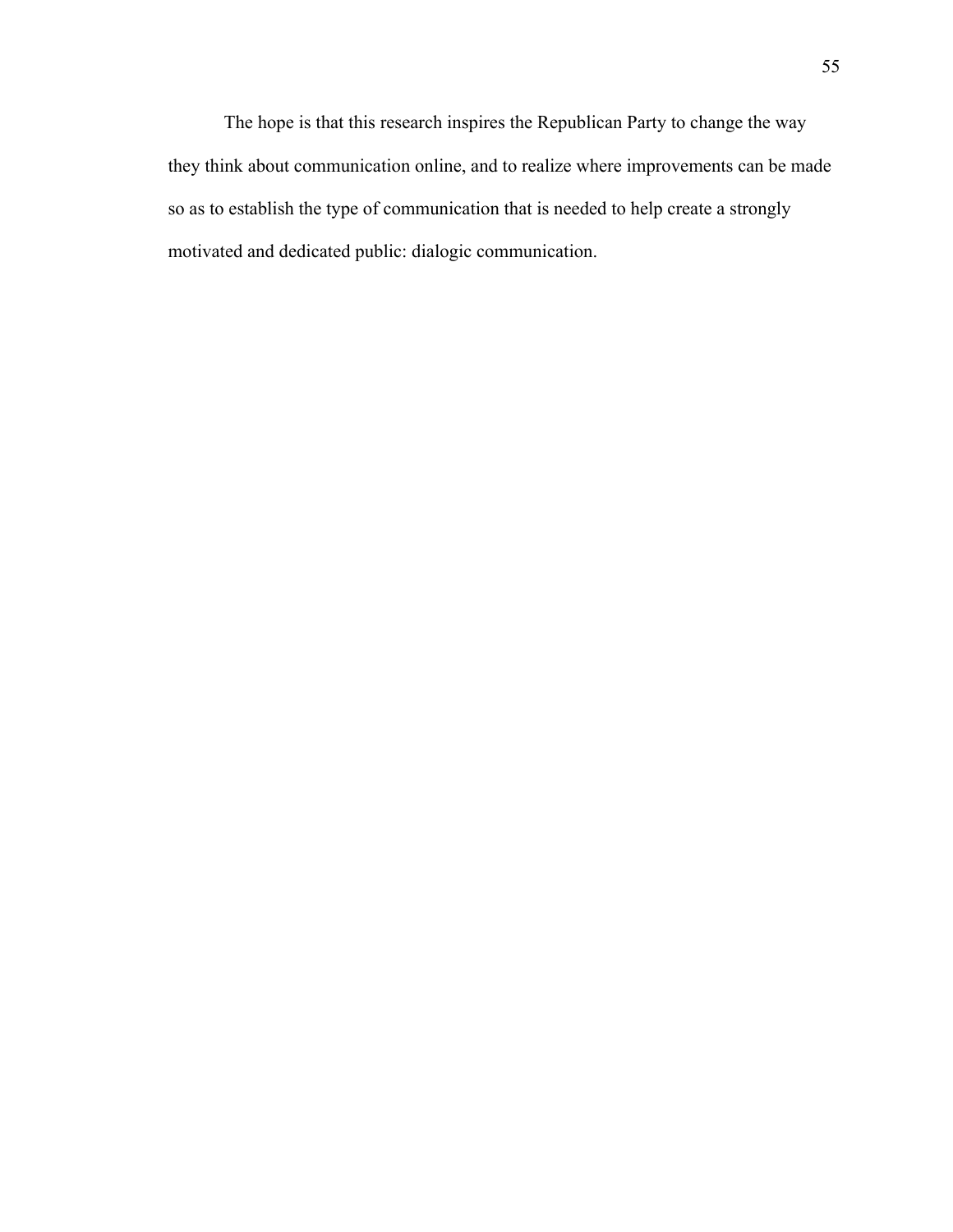The hope is that this research inspires the Republican Party to change the way they think about communication online, and to realize where improvements can be made so as to establish the type of communication that is needed to help create a strongly motivated and dedicated public: dialogic communication.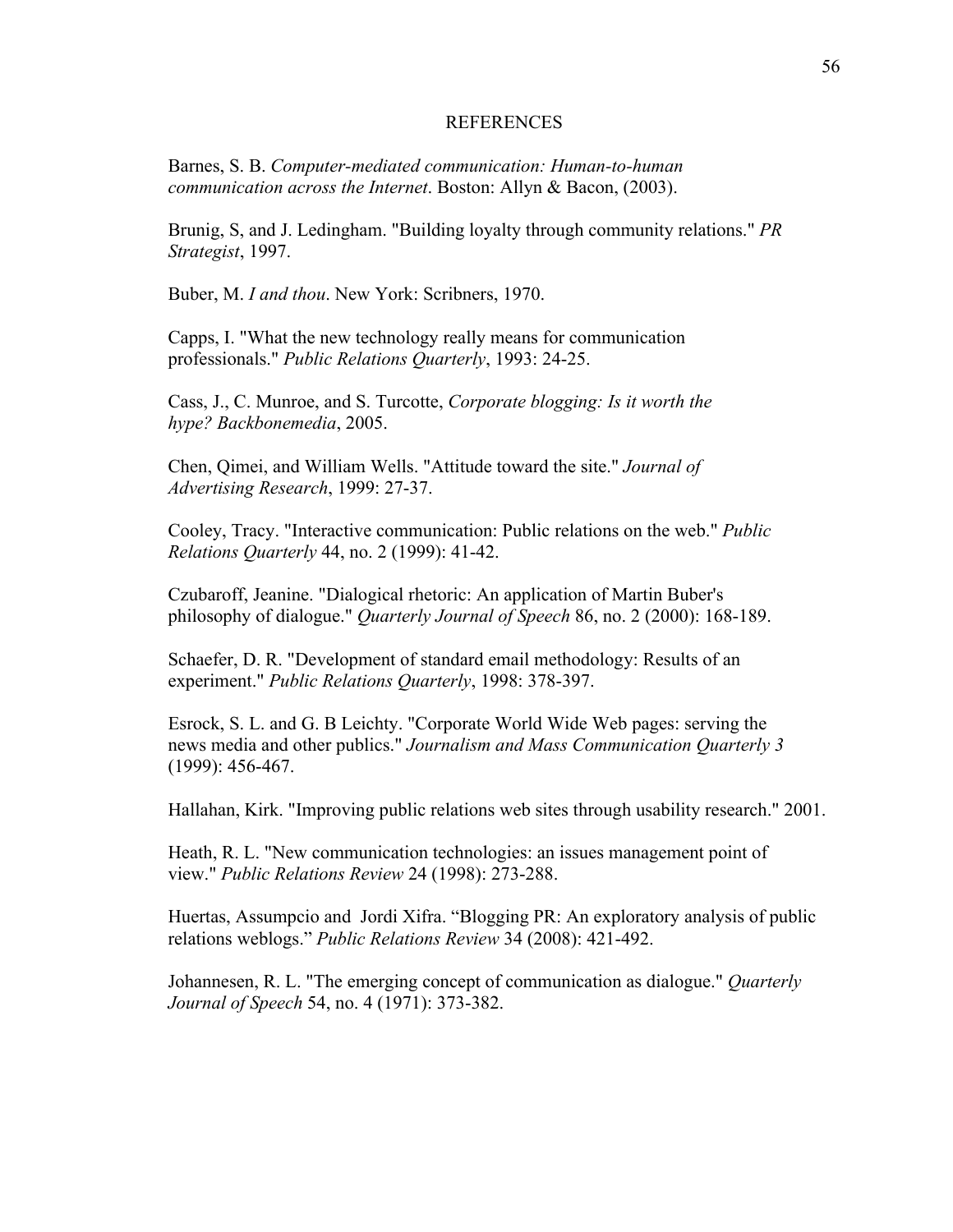#### **REFERENCES**

Barnes, S. B. *Computer-mediated communication: Human-to-human communication across the Internet*. Boston: Allyn & Bacon, (2003).

Brunig, S, and J. Ledingham. "Building loyalty through community relations." *PR Strategist*, 1997.

Buber, M. *I and thou*. New York: Scribners, 1970.

Capps, I. "What the new technology really means for communication professionals." *Public Relations Quarterly*, 1993: 24-25.

Cass, J., C. Munroe, and S. Turcotte, *Corporate blogging: Is it worth the hype? Backbonemedia*, 2005.

Chen, Qimei, and William Wells. "Attitude toward the site." *Journal of Advertising Research*, 1999: 27-37.

Cooley, Tracy. "Interactive communication: Public relations on the web." *Public Relations Quarterly* 44, no. 2 (1999): 41-42.

Czubaroff, Jeanine. "Dialogical rhetoric: An application of Martin Buber's philosophy of dialogue." *Quarterly Journal of Speech* 86, no. 2 (2000): 168-189.

Schaefer, D. R. "Development of standard email methodology: Results of an experiment." *Public Relations Quarterly*, 1998: 378-397.

Esrock, S. L. and G. B Leichty. "Corporate World Wide Web pages: serving the news media and other publics." *Journalism and Mass Communication Quarterly 3*  (1999): 456-467.

Hallahan, Kirk. "Improving public relations web sites through usability research." 2001.

Heath, R. L. "New communication technologies: an issues management point of view." *Public Relations Review* 24 (1998): 273-288.

Huertas, Assumpcio and Jordi Xifra. "Blogging PR: An exploratory analysis of public relations weblogs." *Public Relations Review* 34 (2008): 421-492.

Johannesen, R. L. "The emerging concept of communication as dialogue." *Quarterly Journal of Speech* 54, no. 4 (1971): 373-382.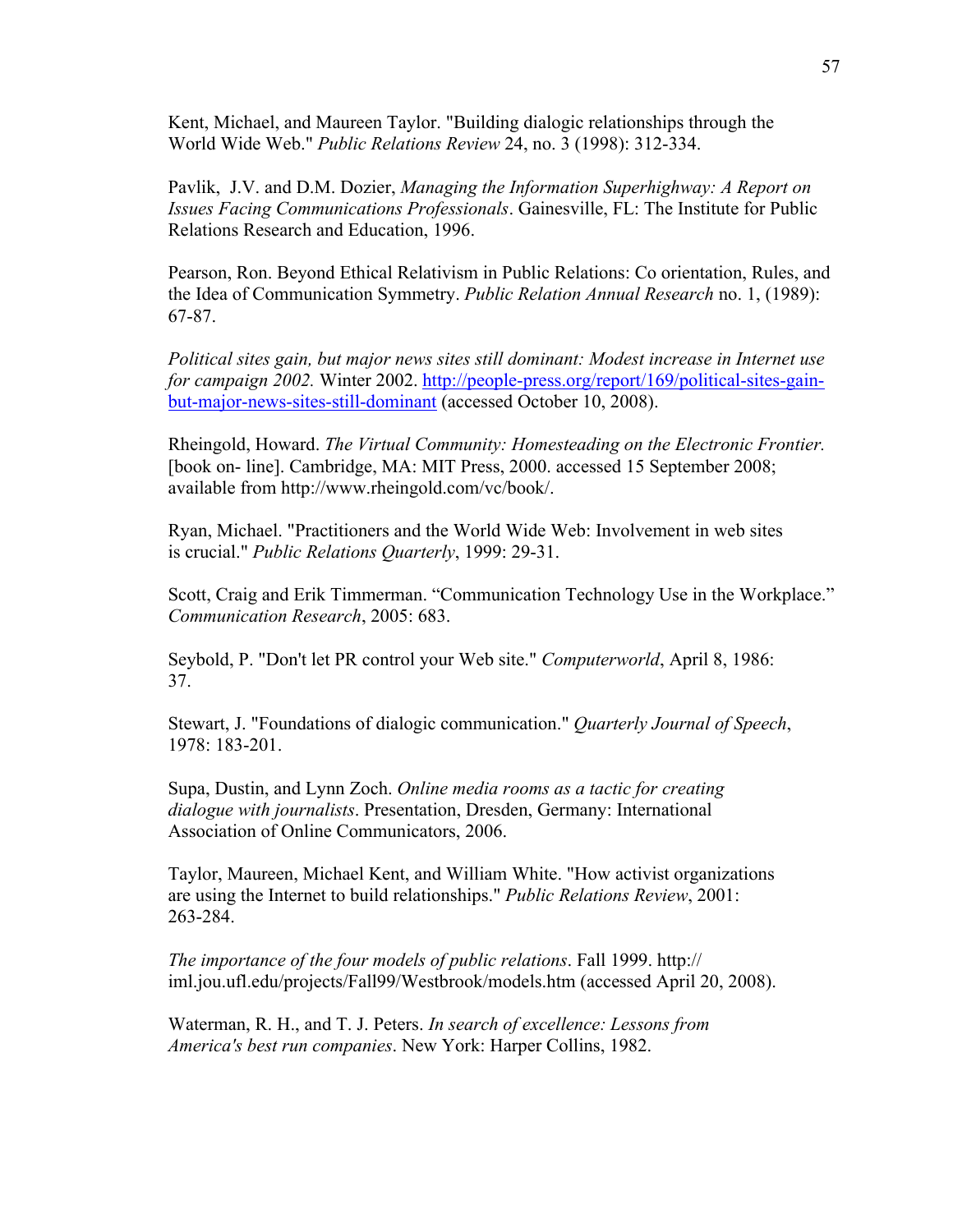Kent, Michael, and Maureen Taylor. "Building dialogic relationships through the World Wide Web." *Public Relations Review* 24, no. 3 (1998): 312-334.

Pavlik, J.V. and D.M. Dozier, *Managing the Information Superhighway: A Report on Issues Facing Communications Professionals*. Gainesville, FL: The Institute for Public Relations Research and Education, 1996.

Pearson, Ron. Beyond Ethical Relativism in Public Relations: Co orientation, Rules, and the Idea of Communication Symmetry. *Public Relation Annual Research* no. 1, (1989): 67-87.

*Political sites gain, but major news sites still dominant: Modest increase in Internet use for campaign 2002.* Winter 2002. http://people-press.org/report/169/political-sites-gainbut-major-news-sites-still-dominant (accessed October 10, 2008).

Rheingold, Howard. *The Virtual Community: Homesteading on the Electronic Frontier.*  [book on- line]. Cambridge, MA: MIT Press, 2000. accessed 15 September 2008; available from http://www.rheingold.com/vc/book/.

Ryan, Michael. "Practitioners and the World Wide Web: Involvement in web sites is crucial." *Public Relations Quarterly*, 1999: 29-31.

Scott, Craig and Erik Timmerman. "Communication Technology Use in the Workplace." *Communication Research*, 2005: 683.

Seybold, P. "Don't let PR control your Web site." *Computerworld*, April 8, 1986: 37.

Stewart, J. "Foundations of dialogic communication." *Quarterly Journal of Speech*, 1978: 183-201.

Supa, Dustin, and Lynn Zoch. *Online media rooms as a tactic for creating dialogue with journalists*. Presentation, Dresden, Germany: International Association of Online Communicators, 2006.

Taylor, Maureen, Michael Kent, and William White. "How activist organizations are using the Internet to build relationships." *Public Relations Review*, 2001: 263-284.

*The importance of the four models of public relations*. Fall 1999. http:// iml.jou.ufl.edu/projects/Fall99/Westbrook/models.htm (accessed April 20, 2008).

Waterman, R. H., and T. J. Peters. *In search of excellence: Lessons from America's best run companies*. New York: Harper Collins, 1982.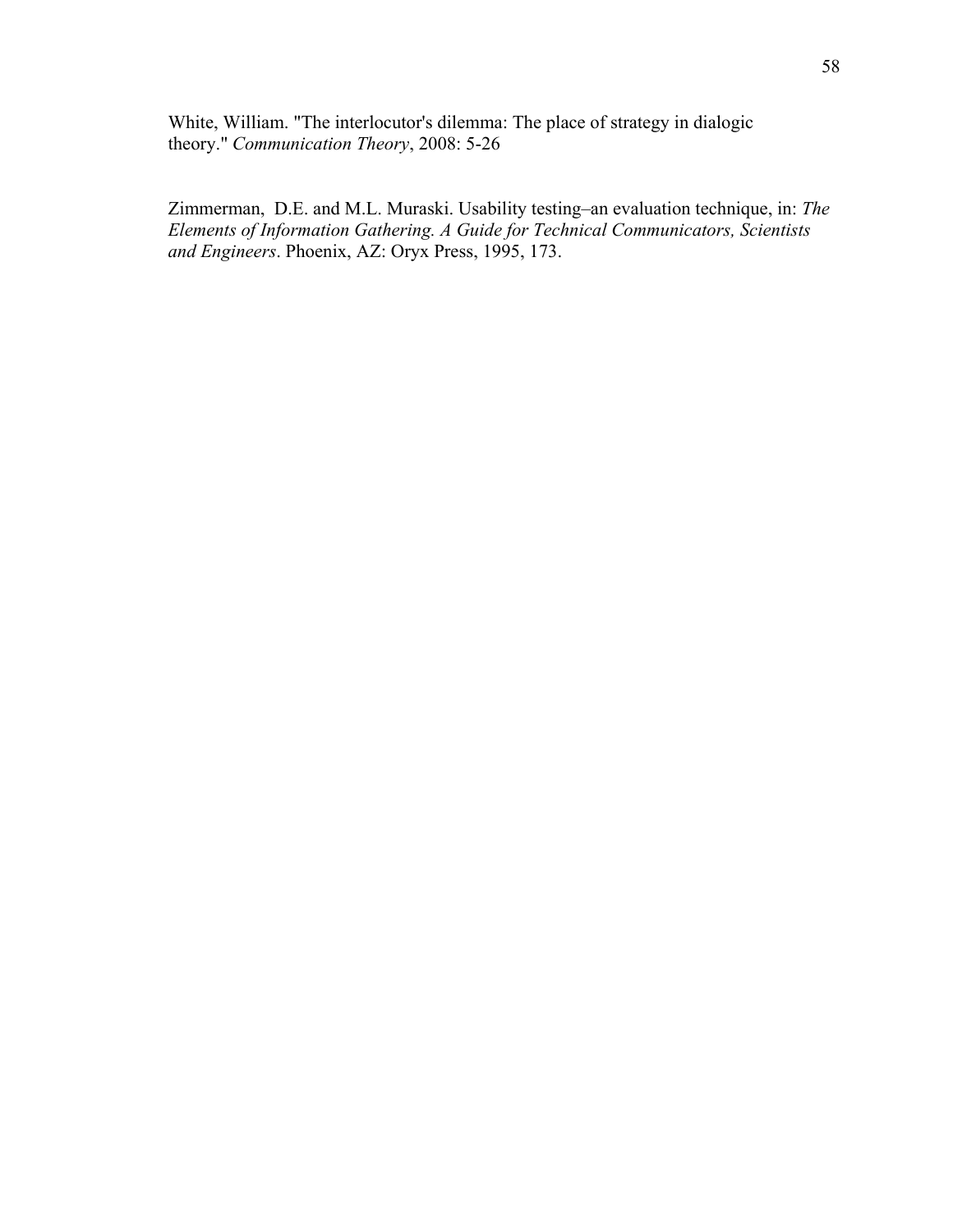White, William. "The interlocutor's dilemma: The place of strategy in dialogic theory." *Communication Theory*, 2008: 5-26

Zimmerman, D.E. and M.L. Muraski. Usability testing–an evaluation technique, in: *The Elements of Information Gathering. A Guide for Technical Communicators, Scientists and Engineers*. Phoenix, AZ: Oryx Press, 1995, 173.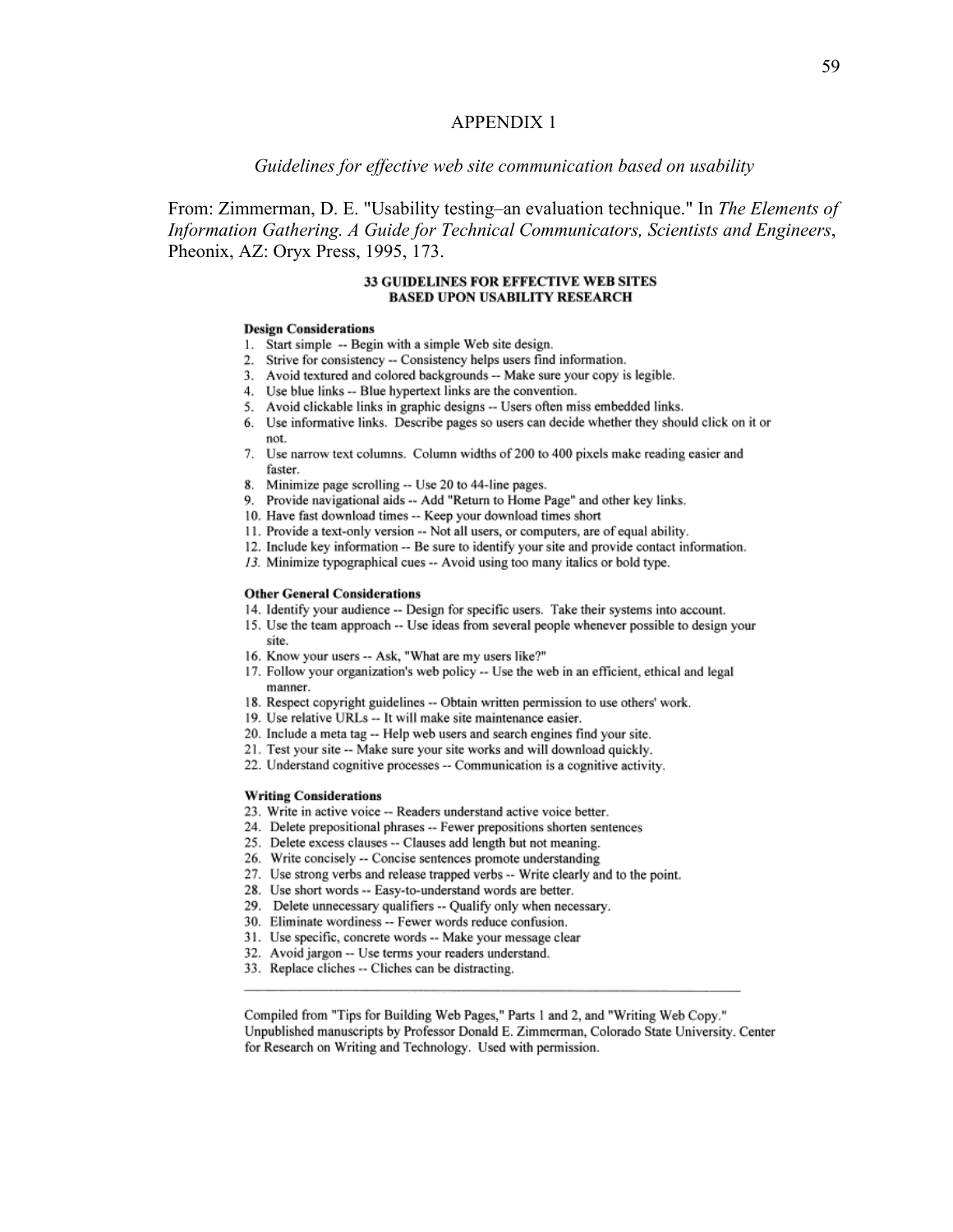#### APPENDIX 1

#### *Guidelines for effective web site communication based on usability*

From: Zimmerman, D. E. "Usability testing–an evaluation technique." In *The Elements of Information Gathering. A Guide for Technical Communicators, Scientists and Engineers*, Pheonix, AZ: Oryx Press, 1995, 173.

#### 33 GUIDELINES FOR EFFECTIVE WEB SITES **BASED UPON USABILITY RESEARCH**

#### **Design Considerations**

- 1. Start simple -- Begin with a simple Web site design.
- 2. Strive for consistency -- Consistency helps users find information.
- 3. Avoid textured and colored backgrounds -- Make sure your copy is legible.
- 4. Use blue links -- Blue hypertext links are the convention.
- 5. Avoid clickable links in graphic designs -- Users often miss embedded links.
- 6. Use informative links. Describe pages so users can decide whether they should click on it or not.
- 7. Use narrow text columns. Column widths of 200 to 400 pixels make reading easier and faster
- 8. Minimize page scrolling -- Use 20 to 44-line pages.
- 9. Provide navigational aids -- Add "Return to Home Page" and other key links.
- 10. Have fast download times -- Keep your download times short
- 11. Provide a text-only version -- Not all users, or computers, are of equal ability.
- 12. Include key information -- Be sure to identify your site and provide contact information.
- 13. Minimize typographical cues -- Avoid using too many italics or bold type.

#### **Other General Considerations**

- 14. Identify your audience -- Design for specific users. Take their systems into account.
- 15. Use the team approach -- Use ideas from several people whenever possible to design your site.
- 16. Know your users -- Ask, "What are my users like?"
- 17. Follow your organization's web policy -- Use the web in an efficient, ethical and legal manner.
- 18. Respect copyright guidelines -- Obtain written permission to use others' work.
- 19. Use relative URLs -- It will make site maintenance easier.
- 20. Include a meta tag -- Help web users and search engines find your site.
- 21. Test your site -- Make sure your site works and will download quickly.
- 22. Understand cognitive processes -- Communication is a cognitive activity.

#### **Writing Considerations**

- 23. Write in active voice -- Readers understand active voice better.
- 24. Delete prepositional phrases -- Fewer prepositions shorten sentences
- 25. Delete excess clauses -- Clauses add length but not meaning.
- 26. Write concisely -- Concise sentences promote understanding
- 27. Use strong verbs and release trapped verbs -- Write clearly and to the point.
- 28. Use short words -- Easy-to-understand words are better.
- 29. Delete unnecessary qualifiers -- Qualify only when necessary.
- 30. Eliminate wordiness -- Fewer words reduce confusion.
- 31. Use specific, concrete words -- Make your message clear
- 32. Avoid jargon -- Use terms your readers understand.
- 33. Replace cliches -- Cliches can be distracting.

Compiled from "Tips for Building Web Pages," Parts 1 and 2, and "Writing Web Copy." Unpublished manuscripts by Professor Donald E. Zimmerman, Colorado State University. Center for Research on Writing and Technology. Used with permission.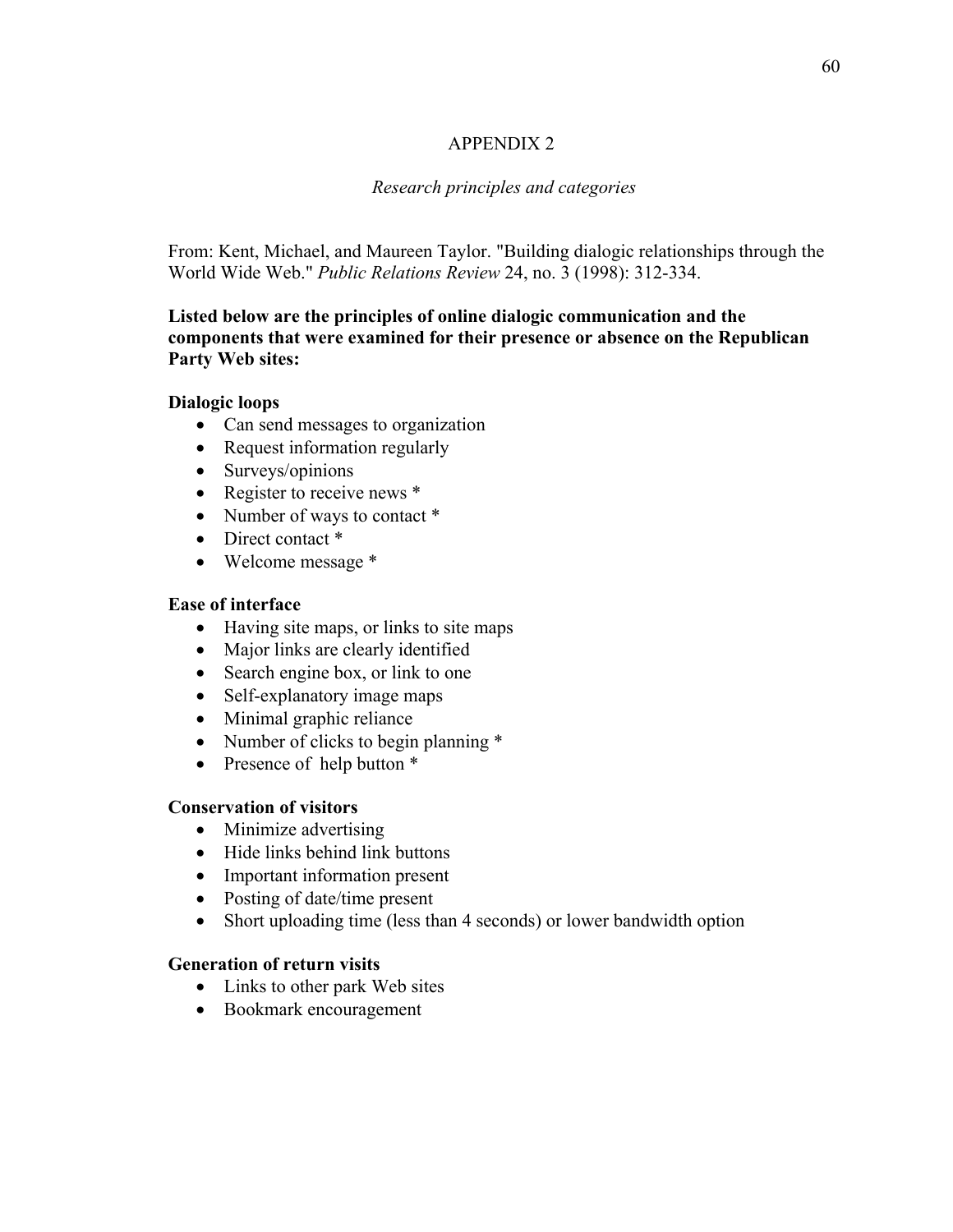# APPENDIX 2

# *Research principles and categories*

From: Kent, Michael, and Maureen Taylor. "Building dialogic relationships through the World Wide Web." *Public Relations Review* 24, no. 3 (1998): 312-334.

# **Listed below are the principles of online dialogic communication and the components that were examined for their presence or absence on the Republican Party Web sites:**

## **Dialogic loops**

- Can send messages to organization
- Request information regularly
- Surveys/opinions
- Register to receive news  $*$
- Number of ways to contact  $*$
- Direct contact \*
- Welcome message \*

## **Ease of interface**

- Having site maps, or links to site maps
- Major links are clearly identified
- Search engine box, or link to one
- Self-explanatory image maps
- Minimal graphic reliance
- Number of clicks to begin planning \*
- Presence of help button  $*$

## **Conservation of visitors**

- Minimize advertising
- Hide links behind link buttons
- Important information present
- Posting of date/time present
- Short uploading time (less than 4 seconds) or lower bandwidth option

## **Generation of return visits**

- Links to other park Web sites
- Bookmark encouragement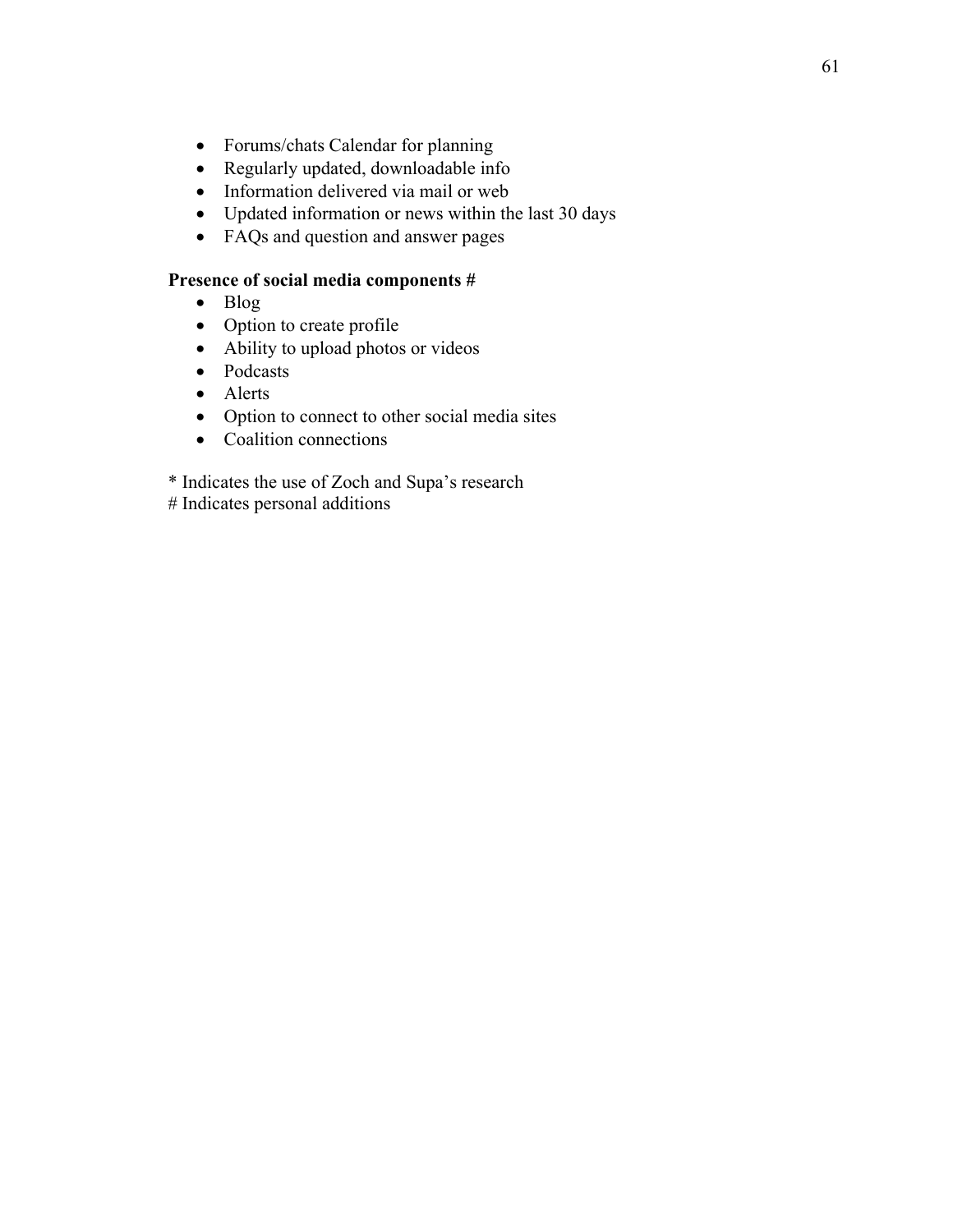- Forums/chats Calendar for planning
- Regularly updated, downloadable info
- Information delivered via mail or web
- Updated information or news within the last 30 days
- FAQs and question and answer pages

# **Presence of social media components #**

- Blog
- Option to create profile
- Ability to upload photos or videos
- Podcasts
- Alerts
- Option to connect to other social media sites
- Coalition connections

\* Indicates the use of Zoch and Supa's research

# Indicates personal additions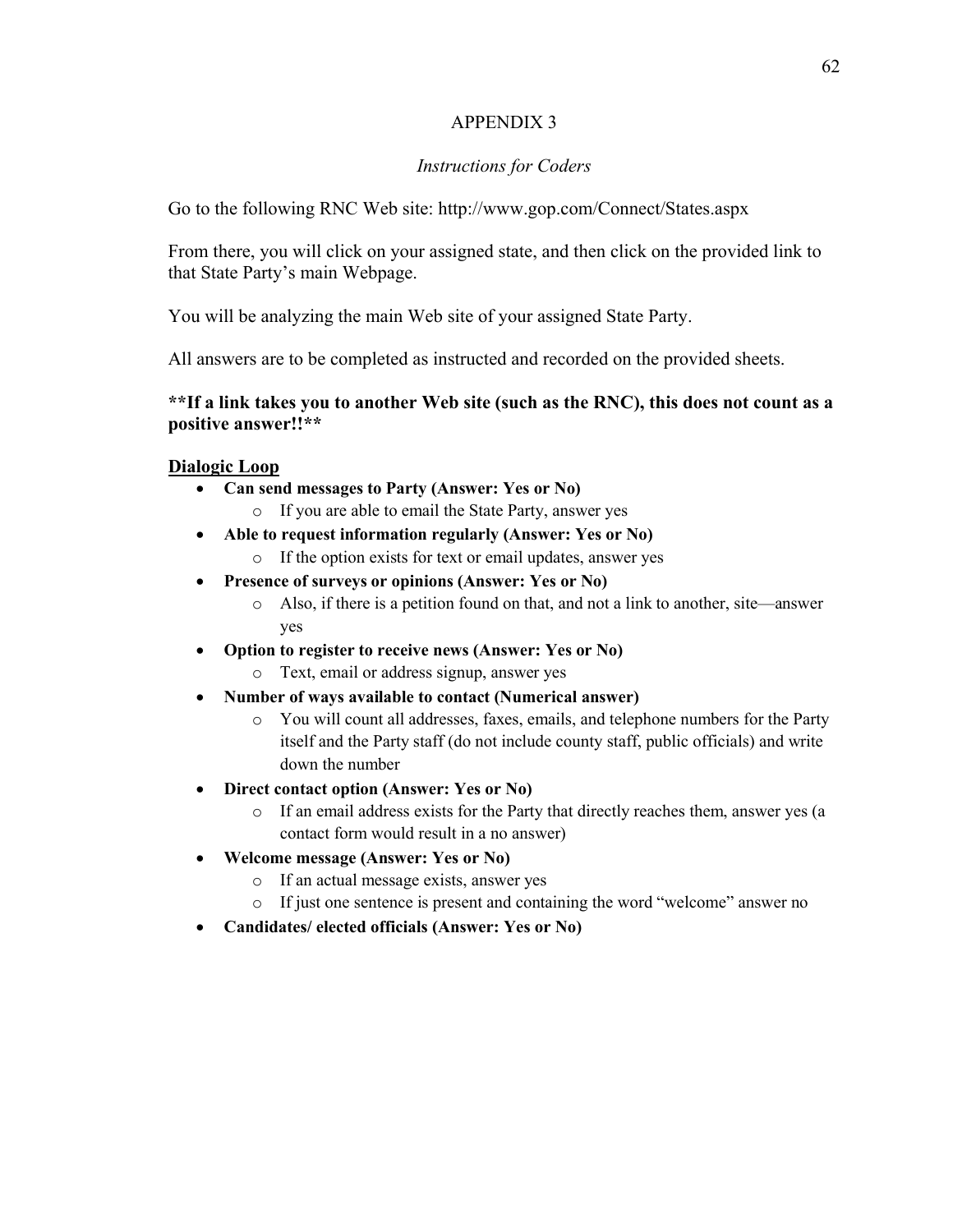## APPENDIX 3

## *Instructions for Coders*

Go to the following RNC Web site: http://www.gop.com/Connect/States.aspx

From there, you will click on your assigned state, and then click on the provided link to that State Party's main Webpage.

You will be analyzing the main Web site of your assigned State Party.

All answers are to be completed as instructed and recorded on the provided sheets.

# **\*\*If a link takes you to another Web site (such as the RNC), this does not count as a positive answer!!\*\***

# **Dialogic Loop**

- **Can send messages to Party (Answer: Yes or No)**
	- o If you are able to email the State Party, answer yes
- **Able to request information regularly (Answer: Yes or No)**
	- o If the option exists for text or email updates, answer yes
- **Presence of surveys or opinions (Answer: Yes or No)**
	- o Also, if there is a petition found on that, and not a link to another, site—answer yes
- **Option to register to receive news (Answer: Yes or No)**
	- o Text, email or address signup, answer yes
- **Number of ways available to contact (Numerical answer)**
	- o You will count all addresses, faxes, emails, and telephone numbers for the Party itself and the Party staff (do not include county staff, public officials) and write down the number
- **Direct contact option (Answer: Yes or No)**
	- o If an email address exists for the Party that directly reaches them, answer yes (a contact form would result in a no answer)
- **Welcome message (Answer: Yes or No)**
	- o If an actual message exists, answer yes
	- o If just one sentence is present and containing the word "welcome" answer no
- **Candidates/ elected officials (Answer: Yes or No)**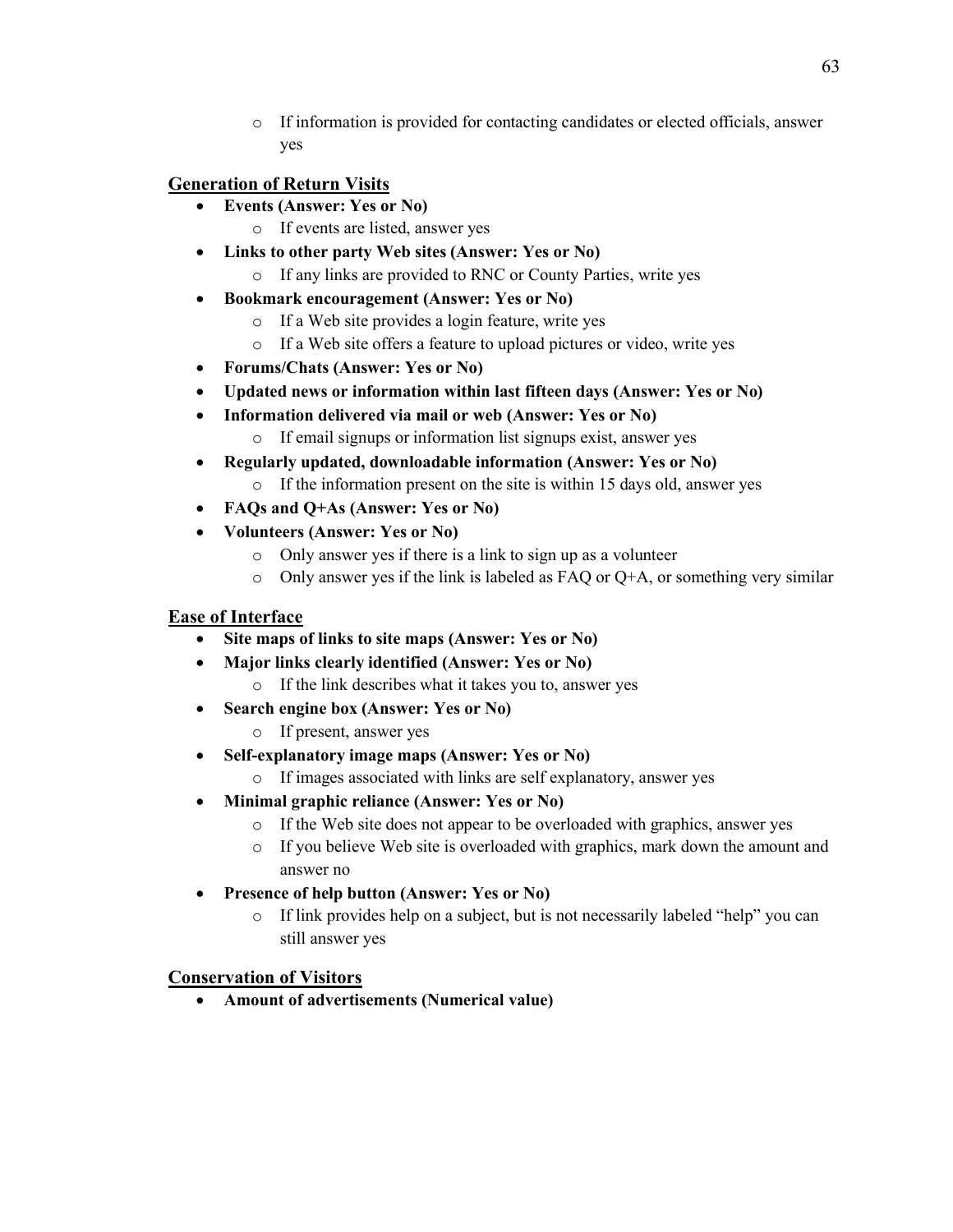$\circ$  If information is provided for contacting candidates or elected officials, answer yes

# **Generation of Return Visits**

- **Events (Answer: Yes or No)**
	- o If events are listed, answer yes
- **Links to other party Web sites (Answer: Yes or No)** 
	- o If any links are provided to RNC or County Parties, write yes
- **Bookmark encouragement (Answer: Yes or No)**
	- o If a Web site provides a login feature, write yes
	- o If a Web site offers a feature to upload pictures or video, write yes
- **Forums/Chats (Answer: Yes or No)**
- **Updated news or information within last fifteen days (Answer: Yes or No)**
- **Information delivered via mail or web (Answer: Yes or No)**
	- o If email signups or information list signups exist, answer yes
- **Regularly updated, downloadable information (Answer: Yes or No)** o If the information present on the site is within 15 days old, answer yes
- **FAQs and Q+As (Answer: Yes or No)**
- **Volunteers (Answer: Yes or No)**
	- o Only answer yes if there is a link to sign up as a volunteer
	- $\circ$  Only answer yes if the link is labeled as FAQ or Q+A, or something very similar

# **Ease of Interface**

- **Site maps of links to site maps (Answer: Yes or No)**
- **Major links clearly identified (Answer: Yes or No)**
	- o If the link describes what it takes you to, answer yes
- **Search engine box (Answer: Yes or No)**
	- o If present, answer yes
- **Self-explanatory image maps (Answer: Yes or No)**
	- o If images associated with links are self explanatory, answer yes
- **Minimal graphic reliance (Answer: Yes or No)**
	- o If the Web site does not appear to be overloaded with graphics, answer yes
	- o If you believe Web site is overloaded with graphics, mark down the amount and answer no
- **Presence of help button (Answer: Yes or No)**
	- o If link provides help on a subject, but is not necessarily labeled "help" you can still answer yes

# **Conservation of Visitors**

**Amount of advertisements (Numerical value)**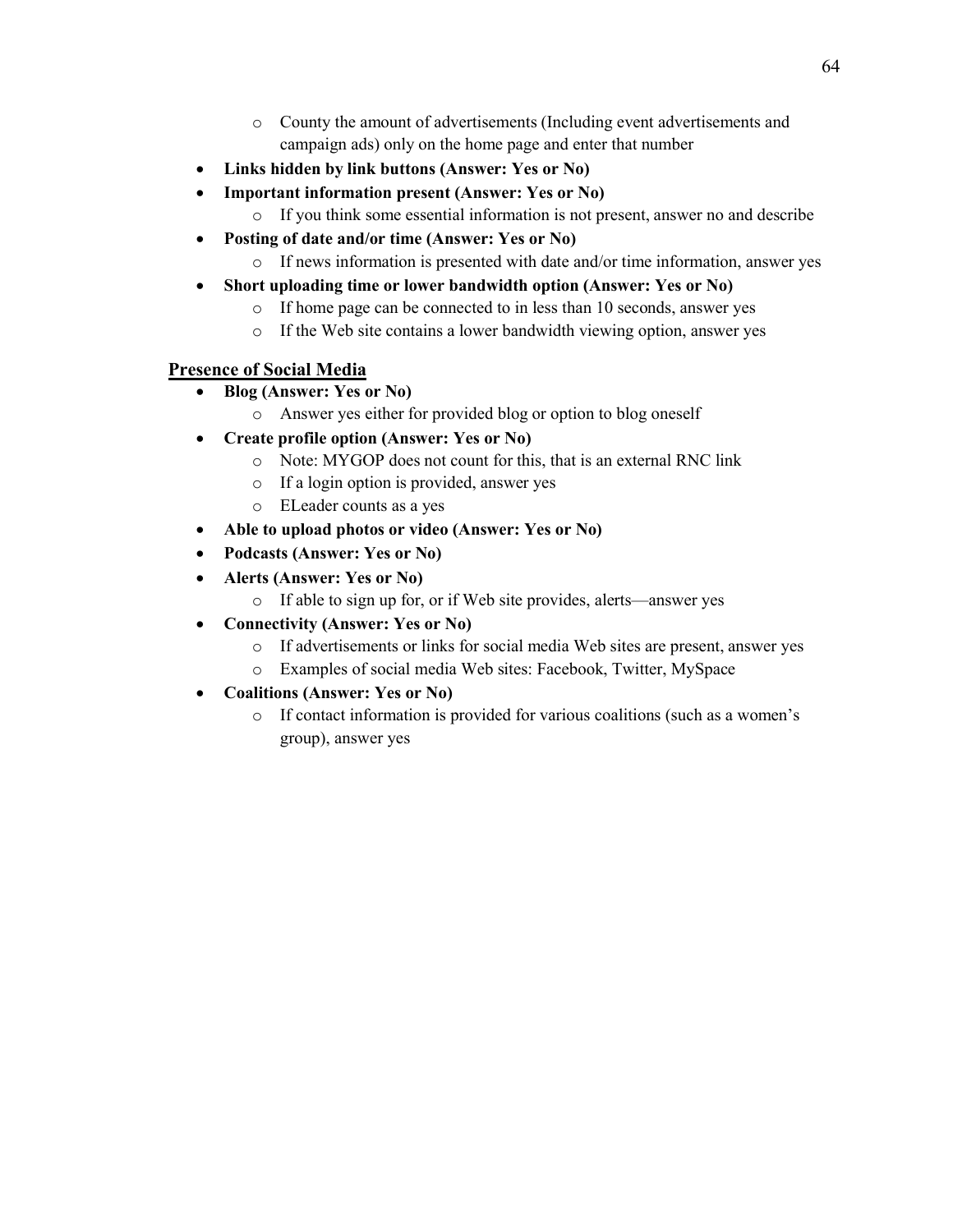- o County the amount of advertisements (Including event advertisements and campaign ads) only on the home page and enter that number
- **Links hidden by link buttons (Answer: Yes or No)**
- **Important information present (Answer: Yes or No)**
	- o If you think some essential information is not present, answer no and describe
- **Posting of date and/or time (Answer: Yes or No)**
	- o If news information is presented with date and/or time information, answer yes
- **Short uploading time or lower bandwidth option (Answer: Yes or No)**
	- o If home page can be connected to in less than 10 seconds, answer yes
	- o If the Web site contains a lower bandwidth viewing option, answer yes

# **Presence of Social Media**

- **Blog (Answer: Yes or No)**
	- o Answer yes either for provided blog or option to blog oneself
- **Create profile option (Answer: Yes or No)**
	- o Note: MYGOP does not count for this, that is an external RNC link
	- o If a login option is provided, answer yes
	- o ELeader counts as a yes
- **Able to upload photos or video (Answer: Yes or No)**
- **Podcasts (Answer: Yes or No)**
- **Alerts (Answer: Yes or No)**
	- o If able to sign up for, or if Web site provides, alerts—answer yes
- **Connectivity (Answer: Yes or No)**
	- o If advertisements or links for social media Web sites are present, answer yes
	- o Examples of social media Web sites: Facebook, Twitter, MySpace
- **Coalitions (Answer: Yes or No)**
	- o If contact information is provided for various coalitions (such as a women's group), answer yes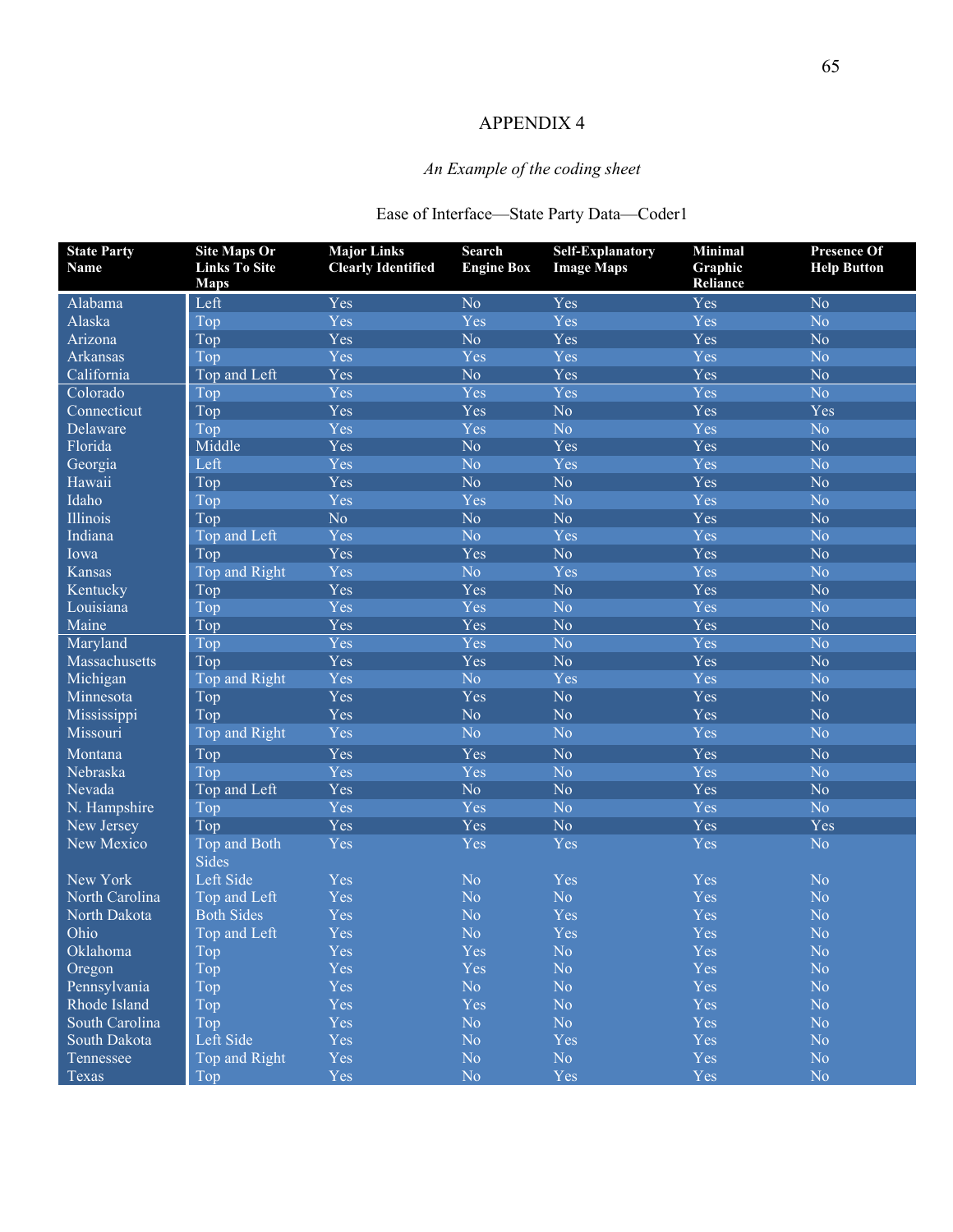# APPENDIX 4

# *An Example of the coding sheet*

# Ease of Interface—State Party Data—Coder1

| <b>State Party</b><br><b>Name</b> | <b>Site Maps Or</b><br><b>Links To Site</b> | <b>Major Links</b><br><b>Clearly Identified</b> | <b>Search</b><br><b>Engine Box</b> | <b>Self-Explanatory</b><br><b>Image Maps</b> | <b>Minimal</b><br>Graphic | <b>Presence Of</b><br><b>Help Button</b> |
|-----------------------------------|---------------------------------------------|-------------------------------------------------|------------------------------------|----------------------------------------------|---------------------------|------------------------------------------|
|                                   | <b>Maps</b>                                 |                                                 |                                    |                                              | Reliance                  |                                          |
| Alabama                           | Left                                        | Yes                                             | No                                 | Yes                                          | Yes                       | N <sub>o</sub>                           |
| Alaska                            | Top                                         | Yes                                             | Yes                                | Yes                                          | Yes                       | N <sub>o</sub>                           |
| Arizona                           | Top                                         | Yes                                             | N <sub>o</sub>                     | Yes                                          | Yes                       | No                                       |
| Arkansas                          | Top                                         | Yes                                             | Yes                                | Yes                                          | Yes                       | N <sub>o</sub>                           |
| California                        | Top and Left                                | Yes                                             | N <sub>o</sub>                     | Yes                                          | Yes                       | N <sub>o</sub>                           |
| Colorado                          | Top                                         | Yes                                             | Yes                                | Yes                                          | Yes                       | N <sub>o</sub>                           |
| Connecticut                       | Top                                         | Yes                                             | Yes                                | N <sub>o</sub>                               | Yes                       | Yes                                      |
| Delaware                          | Top                                         | Yes                                             | Yes                                | N <sub>o</sub>                               | Yes                       | No                                       |
| Florida                           | Middle                                      | Yes                                             | N <sub>o</sub>                     | Yes                                          | Yes                       | No                                       |
| Georgia                           | Left                                        | Yes                                             | No                                 | Yes                                          | Yes                       | N <sub>o</sub>                           |
| Hawaii                            | Top                                         | Yes                                             | N <sub>o</sub>                     | N <sub>o</sub>                               | Yes                       | N <sub>o</sub>                           |
| Idaho                             | Top                                         | Yes                                             | Yes                                | N <sub>o</sub>                               | Yes                       | N <sub>o</sub>                           |
| Illinois                          | Top                                         | N <sub>o</sub>                                  | N <sub>o</sub>                     | N <sub>o</sub>                               | Yes                       | N <sub>o</sub>                           |
| Indiana                           | Top and Left                                | Yes                                             | No                                 | Yes                                          | Yes                       | No                                       |
| Iowa                              | Top                                         | Yes                                             | Yes                                | N <sub>o</sub>                               | Yes                       | N <sub>o</sub>                           |
| Kansas                            | Top and Right                               | Yes                                             | N <sub>o</sub>                     | Yes                                          | Yes                       | N <sub>o</sub>                           |
| Kentucky                          | Top                                         | Yes                                             | Yes                                | N <sub>o</sub>                               | Yes                       | N <sub>o</sub>                           |
| Louisiana                         | Top                                         | Yes                                             | Yes                                | N <sub>o</sub>                               | Yes                       | N <sub>o</sub>                           |
| Maine                             | Top                                         | Yes                                             | Yes                                | N <sub>o</sub>                               | Yes                       | No                                       |
| Maryland                          | Top                                         | Yes                                             | Yes                                | N <sub>o</sub>                               | Yes                       | No                                       |
| Massachusetts                     | Top                                         | Yes                                             | Yes                                | N <sub>o</sub>                               | Yes                       | N <sub>o</sub>                           |
| Michigan                          | Top and Right                               | Yes                                             | N <sub>o</sub>                     | Yes                                          | Yes                       | N <sub>o</sub>                           |
| Minnesota                         | Top                                         | Yes                                             | Yes                                | N <sub>o</sub>                               | Yes                       | N <sub>o</sub>                           |
| Mississippi                       | Top                                         | Yes                                             | No                                 | N <sub>o</sub>                               | Yes                       | N <sub>o</sub>                           |
| Missouri                          | Top and Right                               | Yes                                             | No                                 | N <sub>o</sub>                               | Yes                       | N <sub>o</sub>                           |
| Montana                           | Top                                         | Yes                                             | Yes                                | N <sub>o</sub>                               | Yes                       | N <sub>o</sub>                           |
| Nebraska                          | Top                                         | Yes                                             | Yes                                | N <sub>o</sub>                               | Yes                       | N <sub>o</sub>                           |
| Nevada                            | Top and Left                                | Yes                                             | N <sub>o</sub>                     | N <sub>o</sub>                               | Yes                       | N <sub>o</sub>                           |
| N. Hampshire                      | Top                                         | Yes                                             | Yes                                | N <sub>o</sub>                               | Yes                       | N <sub>o</sub>                           |
| New Jersey                        | Top                                         | Yes                                             | Yes                                | N <sub>o</sub>                               | Yes                       | Yes                                      |
| New Mexico                        | Top and Both<br><b>Sides</b>                | Yes                                             | Yes                                | Yes                                          | Yes                       | N <sub>o</sub>                           |
| New York                          | Left Side                                   | Yes                                             | N <sub>o</sub>                     | Yes                                          | Yes                       | No                                       |
| North Carolina                    | Top and Left                                | Yes                                             | N <sub>o</sub>                     | N <sub>o</sub>                               | Yes                       | N <sub>o</sub>                           |
| North Dakota                      | <b>Both Sides</b>                           | Yes                                             | N <sub>o</sub>                     | Yes                                          | Yes                       | N <sub>0</sub>                           |
| Ohio                              | Top and Left                                | Yes                                             | N <sub>o</sub>                     | Yes                                          | Yes                       | N <sub>o</sub>                           |
| Oklahoma                          | Top                                         | Yes                                             | Yes                                | N <sub>o</sub>                               | Yes                       | No                                       |
| Oregon                            | Top                                         | Yes                                             | Yes                                | N <sub>o</sub>                               | Yes                       | N <sub>o</sub>                           |
| Pennsylvania                      | Top                                         | Yes                                             | No                                 | No                                           | Yes                       | No                                       |
| Rhode Island                      | Top                                         | Yes                                             | Yes                                | N <sub>o</sub>                               | Yes                       | No                                       |
| South Carolina                    | Top                                         | Yes                                             | No                                 | No                                           | Yes                       | No                                       |
| South Dakota                      | Left Side                                   | Yes                                             | No                                 | Yes                                          | Yes                       | No                                       |
| Tennessee                         | Top and Right                               | Yes                                             | No                                 | No                                           | Yes                       | No                                       |
| Texas                             | Top                                         | Yes                                             | No                                 | Yes                                          | Yes                       | No                                       |